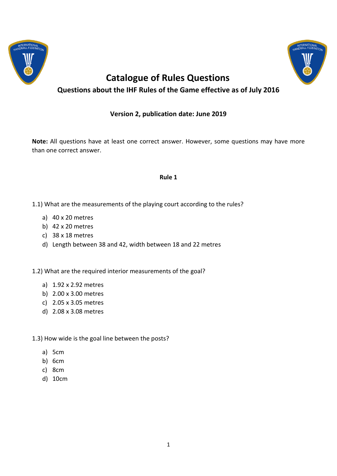



# **Catalogue of Rules Questions Questions about the IHF Rules of the Game effective as of July 2016**

# **Version 2, publication date: June 2019**

**Note:** All questions have at least one correct answer. However, some questions may have more than one correct answer.

#### **Rule 1**

- 1.1) What are the measurements of the playing court according to the rules?
	- a) 40 x 20 metres
	- b) 42 x 20 metres
	- c) 38 x 18 metres
	- d) Length between 38 and 42, width between 18 and 22 metres

1.2) What are the required interior measurements of the goal?

- a) 1.92 x 2.92 metres
- b) 2.00 x 3.00 metres
- c) 2.05 x 3.05 metres
- d) 2.08 x 3.08 metres
- 1.3) How wide is the goal line between the posts?
	- a) 5cm
	- b) 6cm
	- c) 8cm
	- d) 10cm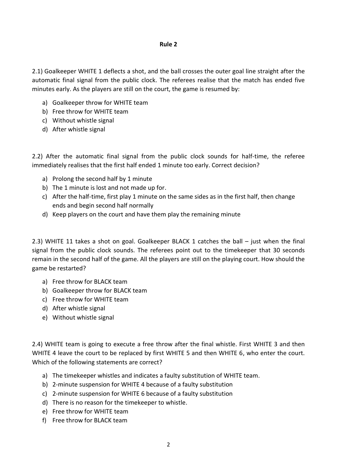### **Rule 2**

2.1) Goalkeeper WHITE 1 deflects a shot, and the ball crosses the outer goal line straight after the automatic final signal from the public clock. The referees realise that the match has ended five minutes early. As the players are still on the court, the game is resumed by:

- a) Goalkeeper throw for WHITE team
- b) Free throw for WHITE team
- c) Without whistle signal
- d) After whistle signal

2.2) After the automatic final signal from the public clock sounds for half-time, the referee immediately realises that the first half ended 1 minute too early. Correct decision?

- a) Prolong the second half by 1 minute
- b) The 1 minute is lost and not made up for.
- c) After the half-time, first play 1 minute on the same sides as in the first half, then change ends and begin second half normally
- d) Keep players on the court and have them play the remaining minute

2.3) WHITE 11 takes a shot on goal. Goalkeeper BLACK 1 catches the ball – just when the final signal from the public clock sounds. The referees point out to the timekeeper that 30 seconds remain in the second half of the game. All the players are still on the playing court. How should the game be restarted?

- a) Free throw for BLACK team
- b) Goalkeeper throw for BLACK team
- c) Free throw for WHITE team
- d) After whistle signal
- e) Without whistle signal

2.4) WHITE team is going to execute a free throw after the final whistle. First WHITE 3 and then WHITE 4 leave the court to be replaced by first WHITE 5 and then WHITE 6, who enter the court. Which of the following statements are correct?

- a) The timekeeper whistles and indicates a faulty substitution of WHITE team.
- b) 2-minute suspension for WHITE 4 because of a faulty substitution
- c) 2-minute suspension for WHITE 6 because of a faulty substitution
- d) There is no reason for the timekeeper to whistle.
- e) Free throw for WHITE team
- f) Free throw for BLACK team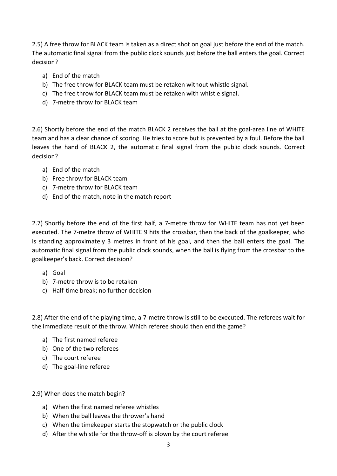2.5) A free throw for BLACK team is taken as a direct shot on goal just before the end of the match. The automatic final signal from the public clock sounds just before the ball enters the goal. Correct decision?

- a) End of the match
- b) The free throw for BLACK team must be retaken without whistle signal.
- c) The free throw for BLACK team must be retaken with whistle signal.
- d) 7-metre throw for BLACK team

2.6) Shortly before the end of the match BLACK 2 receives the ball at the goal-area line of WHITE team and has a clear chance of scoring. He tries to score but is prevented by a foul. Before the ball leaves the hand of BLACK 2, the automatic final signal from the public clock sounds. Correct decision?

- a) End of the match
- b) Free throw for BLACK team
- c) 7-metre throw for BLACK team
- d) End of the match, note in the match report

2.7) Shortly before the end of the first half, a 7-metre throw for WHITE team has not yet been executed. The 7-metre throw of WHITE 9 hits the crossbar, then the back of the goalkeeper, who is standing approximately 3 metres in front of his goal, and then the ball enters the goal. The automatic final signal from the public clock sounds, when the ball is flying from the crossbar to the goalkeeper's back. Correct decision?

- a) Goal
- b) 7-metre throw is to be retaken
- c) Half-time break; no further decision

2.8) After the end of the playing time, a 7-metre throw is still to be executed. The referees wait for the immediate result of the throw. Which referee should then end the game?

- a) The first named referee
- b) One of the two referees
- c) The court referee
- d) The goal-line referee

## 2.9) When does the match begin?

- a) When the first named referee whistles
- b) When the ball leaves the thrower's hand
- c) When the timekeeper starts the stopwatch or the public clock
- d) After the whistle for the throw-off is blown by the court referee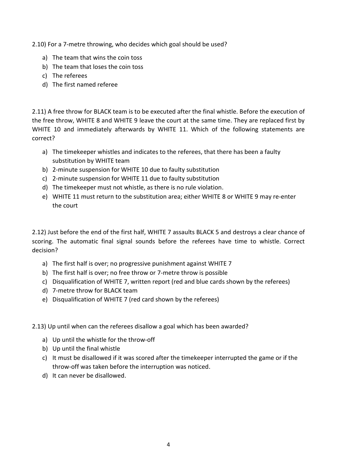2.10) For a 7-metre throwing, who decides which goal should be used?

- a) The team that wins the coin toss
- b) The team that loses the coin toss
- c) The referees
- d) The first named referee

2.11) A free throw for BLACK team is to be executed after the final whistle. Before the execution of the free throw, WHITE 8 and WHITE 9 leave the court at the same time. They are replaced first by WHITE 10 and immediately afterwards by WHITE 11. Which of the following statements are correct?

- a) The timekeeper whistles and indicates to the referees, that there has been a faulty substitution by WHITE team
- b) 2-minute suspension for WHITE 10 due to faulty substitution
- c) 2-minute suspension for WHITE 11 due to faulty substitution
- d) The timekeeper must not whistle, as there is no rule violation.
- e) WHITE 11 must return to the substitution area; either WHITE 8 or WHITE 9 may re-enter the court

2.12) Just before the end of the first half, WHITE 7 assaults BLACK 5 and destroys a clear chance of scoring. The automatic final signal sounds before the referees have time to whistle. Correct decision?

- a) The first half is over; no progressive punishment against WHITE 7
- b) The first half is over; no free throw or 7-metre throw is possible
- c) Disqualification of WHITE 7, written report (red and blue cards shown by the referees)
- d) 7-metre throw for BLACK team
- e) Disqualification of WHITE 7 (red card shown by the referees)

2.13) Up until when can the referees disallow a goal which has been awarded?

- a) Up until the whistle for the throw-off
- b) Up until the final whistle
- c) It must be disallowed if it was scored after the timekeeper interrupted the game or if the throw-off was taken before the interruption was noticed.
- d) It can never be disallowed.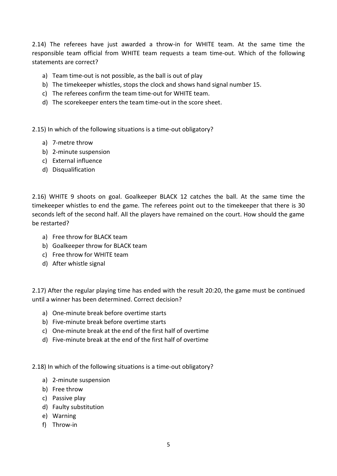2.14) The referees have just awarded a throw-in for WHITE team. At the same time the responsible team official from WHITE team requests a team time-out. Which of the following statements are correct?

- a) Team time-out is not possible, as the ball is out of play
- b) The timekeeper whistles, stops the clock and shows hand signal number 15.
- c) The referees confirm the team time-out for WHITE team.
- d) The scorekeeper enters the team time-out in the score sheet.

2.15) In which of the following situations is a time-out obligatory?

- a) 7-metre throw
- b) 2-minute suspension
- c) External influence
- d) Disqualification

2.16) WHITE 9 shoots on goal. Goalkeeper BLACK 12 catches the ball. At the same time the timekeeper whistles to end the game. The referees point out to the timekeeper that there is 30 seconds left of the second half. All the players have remained on the court. How should the game be restarted?

- a) Free throw for BLACK team
- b) Goalkeeper throw for BLACK team
- c) Free throw for WHITE team
- d) After whistle signal

2.17) After the regular playing time has ended with the result 20:20, the game must be continued until a winner has been determined. Correct decision?

- a) One-minute break before overtime starts
- b) Five-minute break before overtime starts
- c) One-minute break at the end of the first half of overtime
- d) Five-minute break at the end of the first half of overtime

2.18) In which of the following situations is a time-out obligatory?

- a) 2-minute suspension
- b) Free throw
- c) Passive play
- d) Faulty substitution
- e) Warning
- f) Throw-in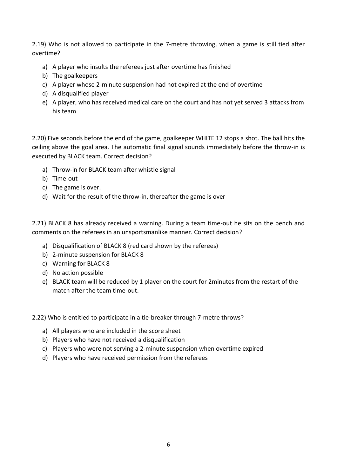2.19) Who is not allowed to participate in the 7-metre throwing, when a game is still tied after overtime?

- a) A player who insults the referees just after overtime has finished
- b) The goalkeepers
- c) A player whose 2-minute suspension had not expired at the end of overtime
- d) A disqualified player
- e) A player, who has received medical care on the court and has not yet served 3 attacks from his team

2.20) Five seconds before the end of the game, goalkeeper WHITE 12 stops a shot. The ball hits the ceiling above the goal area. The automatic final signal sounds immediately before the throw-in is executed by BLACK team. Correct decision?

- a) Throw-in for BLACK team after whistle signal
- b) Time-out
- c) The game is over.
- d) Wait for the result of the throw-in, thereafter the game is over

2.21) BLACK 8 has already received a warning. During a team time-out he sits on the bench and comments on the referees in an unsportsmanlike manner. Correct decision?

- a) Disqualification of BLACK 8 (red card shown by the referees)
- b) 2-minute suspension for BLACK 8
- c) Warning for BLACK 8
- d) No action possible
- e) BLACK team will be reduced by 1 player on the court for 2minutes from the restart of the match after the team time-out.

2.22) Who is entitled to participate in a tie-breaker through 7-metre throws?

- a) All players who are included in the score sheet
- b) Players who have not received a disqualification
- c) Players who were not serving a 2-minute suspension when overtime expired
- d) Players who have received permission from the referees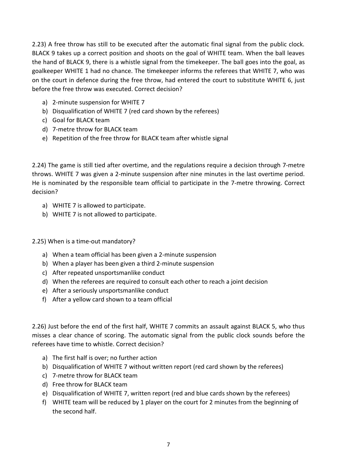2.23) A free throw has still to be executed after the automatic final signal from the public clock. BLACK 9 takes up a correct position and shoots on the goal of WHITE team. When the ball leaves the hand of BLACK 9, there is a whistle signal from the timekeeper. The ball goes into the goal, as goalkeeper WHITE 1 had no chance. The timekeeper informs the referees that WHITE 7, who was on the court in defence during the free throw, had entered the court to substitute WHITE 6, just before the free throw was executed. Correct decision?

- a) 2-minute suspension for WHITE 7
- b) Disqualification of WHITE 7 (red card shown by the referees)
- c) Goal for BLACK team
- d) 7-metre throw for BLACK team
- e) Repetition of the free throw for BLACK team after whistle signal

2.24) The game is still tied after overtime, and the regulations require a decision through 7-metre throws. WHITE 7 was given a 2-minute suspension after nine minutes in the last overtime period. He is nominated by the responsible team official to participate in the 7-metre throwing. Correct decision?

- a) WHITE 7 is allowed to participate.
- b) WHITE 7 is not allowed to participate.
- 2.25) When is a time-out mandatory?
	- a) When a team official has been given a 2-minute suspension
	- b) When a player has been given a third 2-minute suspension
	- c) After repeated unsportsmanlike conduct
	- d) When the referees are required to consult each other to reach a joint decision
	- e) After a seriously unsportsmanlike conduct
	- f) After a yellow card shown to a team official

2.26) Just before the end of the first half, WHITE 7 commits an assault against BLACK 5, who thus misses a clear chance of scoring. The automatic signal from the public clock sounds before the referees have time to whistle. Correct decision?

- a) The first half is over; no further action
- b) Disqualification of WHITE 7 without written report (red card shown by the referees)
- c) 7-metre throw for BLACK team
- d) Free throw for BLACK team
- e) Disqualification of WHITE 7, written report (red and blue cards shown by the referees)
- f) WHITE team will be reduced by 1 player on the court for 2 minutes from the beginning of the second half.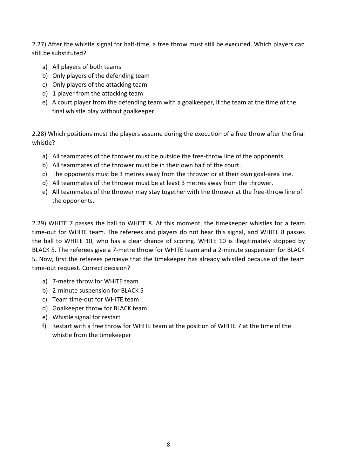2.27) After the whistle signal for half-time, a free throw must still be executed. Which players can still be substituted?

- a) All players of both teams
- b) Only players of the defending team
- c) Only players of the attacking team
- d) 1 player from the attacking team
- e) A court player from the defending team with a goalkeeper, if the team at the time of the final whistle play without goalkeeper

2.28) Which positions must the players assume during the execution of a free throw after the final whistle?

- a) All teammates of the thrower must be outside the free-throw line of the opponents.
- b) All teammates of the thrower must be in their own half of the court.
- c) The opponents must be 3 metres away from the thrower or at their own goal-area line.
- d) All teammates of the thrower must be at least 3 metres away from the thrower.
- e) All teammates of the thrower may stay together with the thrower at the free-throw line of the opponents.

2.29) WHITE 7 passes the ball to WHITE 8. At this moment, the timekeeper whistles for a team time-out for WHITE team. The referees and players do not hear this signal, and WHITE 8 passes the ball to WHITE 10, who has a clear chance of scoring. WHITE 10 is illegitimately stopped by BLACK 5. The referees give a 7-metre throw for WHITE team and a 2-minute suspension for BLACK 5. Now, first the referees perceive that the timekeeper has already whistled because of the team time-out request. Correct decision?

- a) 7-metre throw for WHITE team
- b) 2-minute suspension for BLACK 5
- c) Team time-out for WHITE team
- d) Goalkeeper throw for BLACK team
- e) Whistle signal for restart
- f) Restart with a free throw for WHITE team at the position of WHITE 7 at the time of the whistle from the timekeeper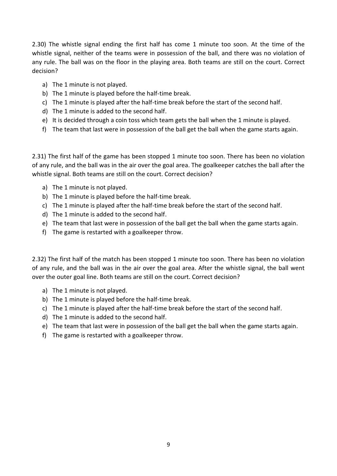2.30) The whistle signal ending the first half has come 1 minute too soon. At the time of the whistle signal, neither of the teams were in possession of the ball, and there was no violation of any rule. The ball was on the floor in the playing area. Both teams are still on the court. Correct decision?

- a) The 1 minute is not played.
- b) The 1 minute is played before the half-time break.
- c) The 1 minute is played after the half-time break before the start of the second half.
- d) The 1 minute is added to the second half.
- e) It is decided through a coin toss which team gets the ball when the 1 minute is played.
- f) The team that last were in possession of the ball get the ball when the game starts again.

2.31) The first half of the game has been stopped 1 minute too soon. There has been no violation of any rule, and the ball was in the air over the goal area. The goalkeeper catches the ball after the whistle signal. Both teams are still on the court. Correct decision?

- a) The 1 minute is not played.
- b) The 1 minute is played before the half-time break.
- c) The 1 minute is played after the half-time break before the start of the second half.
- d) The 1 minute is added to the second half.
- e) The team that last were in possession of the ball get the ball when the game starts again.
- f) The game is restarted with a goalkeeper throw.

2.32) The first half of the match has been stopped 1 minute too soon. There has been no violation of any rule, and the ball was in the air over the goal area. After the whistle signal, the ball went over the outer goal line. Both teams are still on the court. Correct decision?

- a) The 1 minute is not played.
- b) The 1 minute is played before the half-time break.
- c) The 1 minute is played after the half-time break before the start of the second half.
- d) The 1 minute is added to the second half.
- e) The team that last were in possession of the ball get the ball when the game starts again.
- f) The game is restarted with a goalkeeper throw.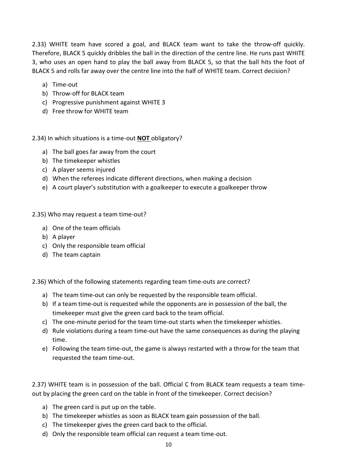2.33) WHITE team have scored a goal, and BLACK team want to take the throw-off quickly. Therefore, BLACK 5 quickly dribbles the ball in the direction of the centre line. He runs past WHITE 3, who uses an open hand to play the ball away from BLACK 5, so that the ball hits the foot of BLACK 5 and rolls far away over the centre line into the half of WHITE team. Correct decision?

- a) Time-out
- b) Throw-off for BLACK team
- c) Progressive punishment against WHITE 3
- d) Free throw for WHITE team

2.34) In which situations is a time-out **NOT** obligatory?

- a) The ball goes far away from the court
- b) The timekeeper whistles
- c) A player seems injured
- d) When the referees indicate different directions, when making a decision
- e) A court player's substitution with a goalkeeper to execute a goalkeeper throw

2.35) Who may request a team time-out?

- a) One of the team officials
- b) A player
- c) Only the responsible team official
- d) The team captain

2.36) Which of the following statements regarding team time-outs are correct?

- a) The team time-out can only be requested by the responsible team official.
- b) If a team time-out is requested while the opponents are in possession of the ball, the timekeeper must give the green card back to the team official.
- c) The one-minute period for the team time-out starts when the timekeeper whistles.
- d) Rule violations during a team time-out have the same consequences as during the playing time.
- e) Following the team time-out, the game is always restarted with a throw for the team that requested the team time-out.

2.37) WHITE team is in possession of the ball. Official C from BLACK team requests a team timeout by placing the green card on the table in front of the timekeeper. Correct decision?

- a) The green card is put up on the table.
- b) The timekeeper whistles as soon as BLACK team gain possession of the ball.
- c) The timekeeper gives the green card back to the official.
- d) Only the responsible team official can request a team time-out.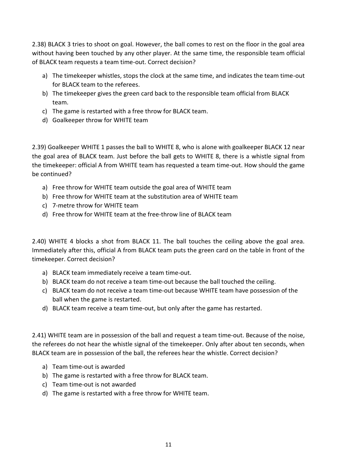2.38) BLACK 3 tries to shoot on goal. However, the ball comes to rest on the floor in the goal area without having been touched by any other player. At the same time, the responsible team official of BLACK team requests a team time-out. Correct decision?

- a) The timekeeper whistles, stops the clock at the same time, and indicates the team time-out for BLACK team to the referees.
- b) The timekeeper gives the green card back to the responsible team official from BLACK team.
- c) The game is restarted with a free throw for BLACK team.
- d) Goalkeeper throw for WHITE team

2.39) Goalkeeper WHITE 1 passes the ball to WHITE 8, who is alone with goalkeeper BLACK 12 near the goal area of BLACK team. Just before the ball gets to WHITE 8, there is a whistle signal from the timekeeper: official A from WHITE team has requested a team time-out. How should the game be continued?

- a) Free throw for WHITE team outside the goal area of WHITE team
- b) Free throw for WHITE team at the substitution area of WHITE team
- c) 7-metre throw for WHITE team
- d) Free throw for WHITE team at the free-throw line of BLACK team

2.40) WHITE 4 blocks a shot from BLACK 11. The ball touches the ceiling above the goal area. Immediately after this, official A from BLACK team puts the green card on the table in front of the timekeeper. Correct decision?

- a) BLACK team immediately receive a team time-out.
- b) BLACK team do not receive a team time-out because the ball touched the ceiling.
- c) BLACK team do not receive a team time-out because WHITE team have possession of the ball when the game is restarted.
- d) BLACK team receive a team time-out, but only after the game has restarted.

2.41) WHITE team are in possession of the ball and request a team time-out. Because of the noise, the referees do not hear the whistle signal of the timekeeper. Only after about ten seconds, when BLACK team are in possession of the ball, the referees hear the whistle. Correct decision?

- a) Team time-out is awarded
- b) The game is restarted with a free throw for BLACK team.
- c) Team time-out is not awarded
- d) The game is restarted with a free throw for WHITE team.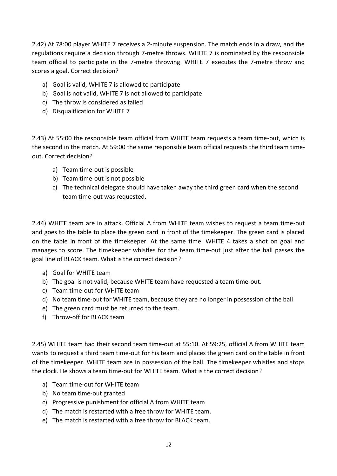2.42) At 78:00 player WHITE 7 receives a 2-minute suspension. The match ends in a draw, and the regulations require a decision through 7-metre throws. WHITE 7 is nominated by the responsible team official to participate in the 7-metre throwing. WHITE 7 executes the 7-metre throw and scores a goal. Correct decision?

- a) Goal is valid, WHITE 7 is allowed to participate
- b) Goal is not valid, WHITE 7 is not allowed to participate
- c) The throw is considered as failed
- d) Disqualification for WHITE 7

2.43) At 55:00 the responsible team official from WHITE team requests a team time-out, which is the second in the match. At 59:00 the same responsible team official requests the third team timeout. Correct decision?

- a) Team time-out is possible
- b) Team time-out is not possible
- c) The technical delegate should have taken away the third green card when the second team time-out was requested.

2.44) WHITE team are in attack. Official A from WHITE team wishes to request a team time-out and goes to the table to place the green card in front of the timekeeper. The green card is placed on the table in front of the timekeeper. At the same time, WHITE 4 takes a shot on goal and manages to score. The timekeeper whistles for the team time-out just after the ball passes the goal line of BLACK team. What is the correct decision?

- a) Goal for WHITE team
- b) The goal is not valid, because WHITE team have requested a team time-out.
- c) Team time-out for WHITE team
- d) No team time-out for WHITE team, because they are no longer in possession of the ball
- e) The green card must be returned to the team.
- f) Throw-off for BLACK team

2.45) WHITE team had their second team time-out at 55:10. At 59:25, official A from WHITE team wants to request a third team time-out for his team and places the green card on the table in front of the timekeeper. WHITE team are in possession of the ball. The timekeeper whistles and stops the clock. He shows a team time-out for WHITE team. What is the correct decision?

- a) Team time-out for WHITE team
- b) No team time-out granted
- c) Progressive punishment for official A from WHITE team
- d) The match is restarted with a free throw for WHITE team.
- e) The match is restarted with a free throw for BLACK team.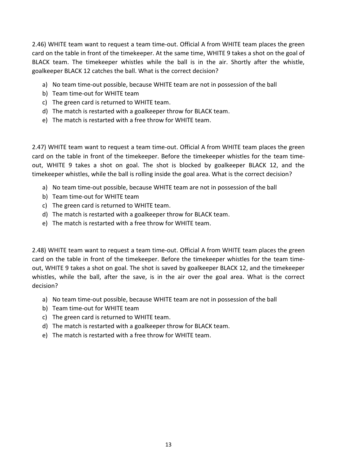2.46) WHITE team want to request a team time-out. Official A from WHITE team places the green card on the table in front of the timekeeper. At the same time, WHITE 9 takes a shot on the goal of BLACK team. The timekeeper whistles while the ball is in the air. Shortly after the whistle, goalkeeper BLACK 12 catches the ball. What is the correct decision?

- a) No team time-out possible, because WHITE team are not in possession of the ball
- b) Team time-out for WHITE team
- c) The green card is returned to WHITE team.
- d) The match is restarted with a goalkeeper throw for BLACK team.
- e) The match is restarted with a free throw for WHITE team.

2.47) WHITE team want to request a team time-out. Official A from WHITE team places the green card on the table in front of the timekeeper. Before the timekeeper whistles for the team timeout, WHITE 9 takes a shot on goal. The shot is blocked by goalkeeper BLACK 12, and the timekeeper whistles, while the ball is rolling inside the goal area. What is the correct decision?

- a) No team time-out possible, because WHITE team are not in possession of the ball
- b) Team time-out for WHITE team
- c) The green card is returned to WHITE team.
- d) The match is restarted with a goalkeeper throw for BLACK team.
- e) The match is restarted with a free throw for WHITE team.

2.48) WHITE team want to request a team time-out. Official A from WHITE team places the green card on the table in front of the timekeeper. Before the timekeeper whistles for the team timeout, WHITE 9 takes a shot on goal. The shot is saved by goalkeeper BLACK 12, and the timekeeper whistles, while the ball, after the save, is in the air over the goal area. What is the correct decision?

- a) No team time-out possible, because WHITE team are not in possession of the ball
- b) Team time-out for WHITE team
- c) The green card is returned to WHITE team.
- d) The match is restarted with a goalkeeper throw for BLACK team.
- e) The match is restarted with a free throw for WHITE team.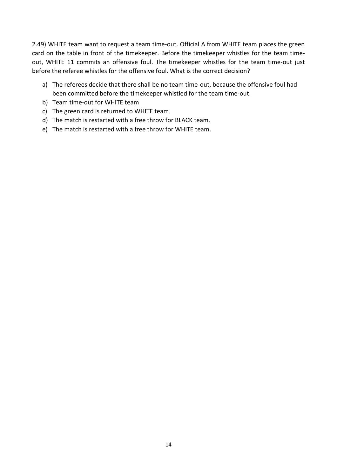2.49) WHITE team want to request a team time-out. Official A from WHITE team places the green card on the table in front of the timekeeper. Before the timekeeper whistles for the team timeout, WHITE 11 commits an offensive foul. The timekeeper whistles for the team time-out just before the referee whistles for the offensive foul. What is the correct decision?

- a) The referees decide that there shall be no team time-out, because the offensive foul had been committed before the timekeeper whistled for the team time-out.
- b) Team time-out for WHITE team
- c) The green card is returned to WHITE team.
- d) The match is restarted with a free throw for BLACK team.
- e) The match is restarted with a free throw for WHITE team.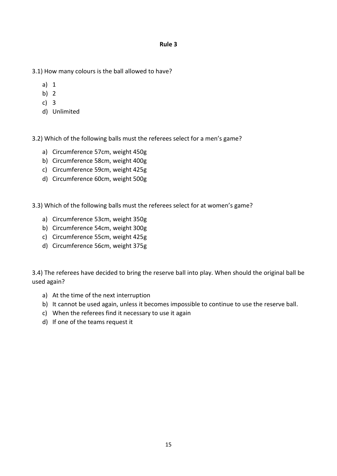**Rule 3**

- 3.1) How many colours is the ball allowed to have?
	- a) 1
	- b) 2
	- c) 3
	- d) Unlimited

3.2) Which of the following balls must the referees select for a men's game?

- a) Circumference 57cm, weight 450g
- b) Circumference 58cm, weight 400g
- c) Circumference 59cm, weight 425g
- d) Circumference 60cm, weight 500g
- 3.3) Which of the following balls must the referees select for at women's game?
	- a) Circumference 53cm, weight 350g
	- b) Circumference 54cm, weight 300g
	- c) Circumference 55cm, weight 425g
	- d) Circumference 56cm, weight 375g

3.4) The referees have decided to bring the reserve ball into play. When should the original ball be used again?

- a) At the time of the next interruption
- b) It cannot be used again, unless it becomes impossible to continue to use the reserve ball.
- c) When the referees find it necessary to use it again
- d) If one of the teams request it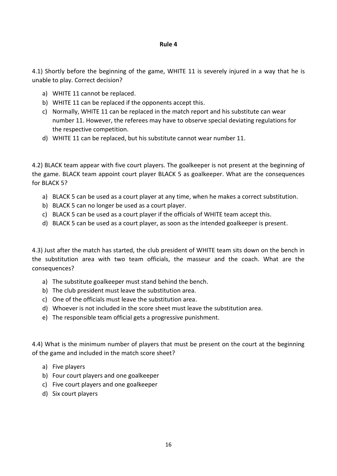#### **Rule 4**

4.1) Shortly before the beginning of the game, WHITE 11 is severely injured in a way that he is unable to play. Correct decision?

- a) WHITE 11 cannot be replaced.
- b) WHITE 11 can be replaced if the opponents accept this.
- c) Normally, WHITE 11 can be replaced in the match report and his substitute can wear number 11. However, the referees may have to observe special deviating regulations for the respective competition.
- d) WHITE 11 can be replaced, but his substitute cannot wear number 11.

4.2) BLACK team appear with five court players. The goalkeeper is not present at the beginning of the game. BLACK team appoint court player BLACK 5 as goalkeeper. What are the consequences for BLACK 5?

- a) BLACK 5 can be used as a court player at any time, when he makes a correct substitution.
- b) BLACK 5 can no longer be used as a court player.
- c) BLACK 5 can be used as a court player if the officials of WHITE team accept this.
- d) BLACK 5 can be used as a court player, as soon as the intended goalkeeper is present.

4.3) Just after the match has started, the club president of WHITE team sits down on the bench in the substitution area with two team officials, the masseur and the coach. What are the consequences?

- a) The substitute goalkeeper must stand behind the bench.
- b) The club president must leave the substitution area.
- c) One of the officials must leave the substitution area.
- d) Whoever is not included in the score sheet must leave the substitution area.
- e) The responsible team official gets a progressive punishment.

4.4) What is the minimum number of players that must be present on the court at the beginning of the game and included in the match score sheet?

- a) Five players
- b) Four court players and one goalkeeper
- c) Five court players and one goalkeeper
- d) Six court players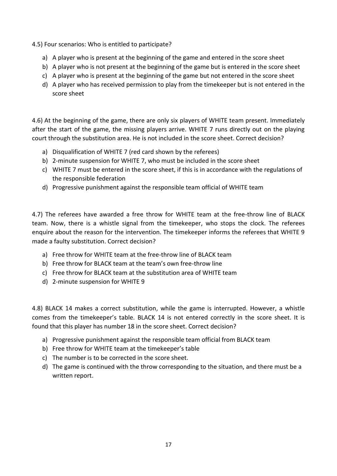4.5) Four scenarios: Who is entitled to participate?

- a) A player who is present at the beginning of the game and entered in the score sheet
- b) A player who is not present at the beginning of the game but is entered in the score sheet
- c) A player who is present at the beginning of the game but not entered in the score sheet
- d) A player who has received permission to play from the timekeeper but is not entered in the score sheet

4.6) At the beginning of the game, there are only six players of WHITE team present. Immediately after the start of the game, the missing players arrive. WHITE 7 runs directly out on the playing court through the substitution area. He is not included in the score sheet. Correct decision?

- a) Disqualification of WHITE 7 (red card shown by the referees)
- b) 2-minute suspension for WHITE 7, who must be included in the score sheet
- c) WHITE 7 must be entered in the score sheet, if this is in accordance with the regulations of the responsible federation
- d) Progressive punishment against the responsible team official of WHITE team

4.7) The referees have awarded a free throw for WHITE team at the free-throw line of BLACK team. Now, there is a whistle signal from the timekeeper, who stops the clock. The referees enquire about the reason for the intervention. The timekeeper informs the referees that WHITE 9 made a faulty substitution. Correct decision?

- a) Free throw for WHITE team at the free-throw line of BLACK team
- b) Free throw for BLACK team at the team's own free-throw line
- c) Free throw for BLACK team at the substitution area of WHITE team
- d) 2-minute suspension for WHITE 9

4.8) BLACK 14 makes a correct substitution, while the game is interrupted. However, a whistle comes from the timekeeper's table. BLACK 14 is not entered correctly in the score sheet. It is found that this player has number 18 in the score sheet. Correct decision?

- a) Progressive punishment against the responsible team official from BLACK team
- b) Free throw for WHITE team at the timekeeper's table
- c) The number is to be corrected in the score sheet.
- d) The game is continued with the throw corresponding to the situation, and there must be a written report.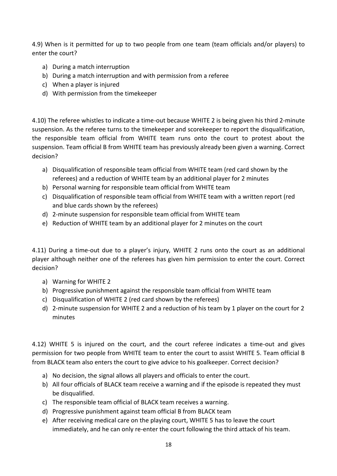4.9) When is it permitted for up to two people from one team (team officials and/or players) to enter the court?

- a) During a match interruption
- b) During a match interruption and with permission from a referee
- c) When a player is injured
- d) With permission from the timekeeper

4.10) The referee whistles to indicate a time-out because WHITE 2 is being given his third 2-minute suspension. As the referee turns to the timekeeper and scorekeeper to report the disqualification, the responsible team official from WHITE team runs onto the court to protest about the suspension. Team official B from WHITE team has previously already been given a warning. Correct decision?

- a) Disqualification of responsible team official from WHITE team (red card shown by the referees) and a reduction of WHITE team by an additional player for 2 minutes
- b) Personal warning for responsible team official from WHITE team
- c) Disqualification of responsible team official from WHITE team with a written report (red and blue cards shown by the referees)
- d) 2-minute suspension for responsible team official from WHITE team
- e) Reduction of WHITE team by an additional player for 2 minutes on the court

4.11) During a time-out due to a player's injury, WHITE 2 runs onto the court as an additional player although neither one of the referees has given him permission to enter the court. Correct decision?

- a) Warning for WHITE 2
- b) Progressive punishment against the responsible team official from WHITE team
- c) Disqualification of WHITE 2 (red card shown by the referees)
- d) 2-minute suspension for WHITE 2 and a reduction of his team by 1 player on the court for 2 minutes

4.12) WHITE 5 is injured on the court, and the court referee indicates a time-out and gives permission for two people from WHITE team to enter the court to assist WHITE 5. Team official B from BLACK team also enters the court to give advice to his goalkeeper. Correct decision?

- a) No decision, the signal allows all players and officials to enter the court.
- b) All four officials of BLACK team receive a warning and if the episode is repeated they must be disqualified.
- c) The responsible team official of BLACK team receives a warning.
- d) Progressive punishment against team official B from BLACK team
- e) After receiving medical care on the playing court, WHITE 5 has to leave the court immediately, and he can only re-enter the court following the third attack of his team.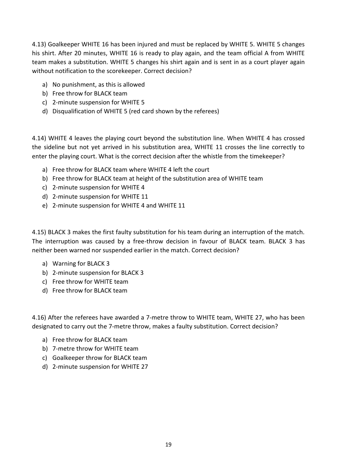4.13) Goalkeeper WHITE 16 has been injured and must be replaced by WHITE 5. WHITE 5 changes his shirt. After 20 minutes, WHITE 16 is ready to play again, and the team official A from WHITE team makes a substitution. WHITE 5 changes his shirt again and is sent in as a court player again without notification to the scorekeeper. Correct decision?

- a) No punishment, as this is allowed
- b) Free throw for BLACK team
- c) 2-minute suspension for WHITE 5
- d) Disqualification of WHITE 5 (red card shown by the referees)

4.14) WHITE 4 leaves the playing court beyond the substitution line. When WHITE 4 has crossed the sideline but not yet arrived in his substitution area, WHITE 11 crosses the line correctly to enter the playing court. What is the correct decision after the whistle from the timekeeper?

- a) Free throw for BLACK team where WHITE 4 left the court
- b) Free throw for BLACK team at height of the substitution area of WHITE team
- c) 2-minute suspension for WHITE 4
- d) 2-minute suspension for WHITE 11
- e) 2-minute suspension for WHITE 4 and WHITE 11

4.15) BLACK 3 makes the first faulty substitution for his team during an interruption of the match. The interruption was caused by a free-throw decision in favour of BLACK team. BLACK 3 has neither been warned nor suspended earlier in the match. Correct decision?

- a) Warning for BLACK 3
- b) 2-minute suspension for BLACK 3
- c) Free throw for WHITE team
- d) Free throw for BLACK team

4.16) After the referees have awarded a 7-metre throw to WHITE team, WHITE 27, who has been designated to carry out the 7-metre throw, makes a faulty substitution. Correct decision?

- a) Free throw for BLACK team
- b) 7-metre throw for WHITE team
- c) Goalkeeper throw for BLACK team
- d) 2-minute suspension for WHITE 27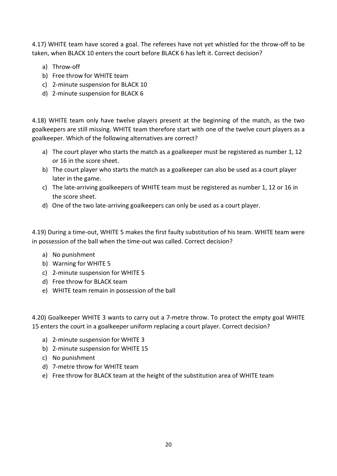4.17) WHITE team have scored a goal. The referees have not yet whistled for the throw-off to be taken, when BLACK 10 enters the court before BLACK 6 has left it. Correct decision?

- a) Throw-off
- b) Free throw for WHITE team
- c) 2-minute suspension for BLACK 10
- d) 2-minute suspension for BLACK 6

4.18) WHITE team only have twelve players present at the beginning of the match, as the two goalkeepers are still missing. WHITE team therefore start with one of the twelve court players as a goalkeeper. Which of the following alternatives are correct?

- a) The court player who starts the match as a goalkeeper must be registered as number 1, 12 or 16 in the score sheet.
- b) The court player who starts the match as a goalkeeper can also be used as a court player later in the game.
- c) The late-arriving goalkeepers of WHITE team must be registered as number 1, 12 or 16 in the score sheet.
- d) One of the two late-arriving goalkeepers can only be used as a court player.

4.19) During a time-out, WHITE 5 makes the first faulty substitution of his team. WHITE team were in possession of the ball when the time-out was called. Correct decision?

- a) No punishment
- b) Warning for WHITE 5
- c) 2-minute suspension for WHITE 5
- d) Free throw for BLACK team
- e) WHITE team remain in possession of the ball

4.20) Goalkeeper WHITE 3 wants to carry out a 7-metre throw. To protect the empty goal WHITE 15 enters the court in a goalkeeper uniform replacing a court player. Correct decision?

- a) 2-minute suspension for WHITE 3
- b) 2-minute suspension for WHITE 15
- c) No punishment
- d) 7-metre throw for WHITE team
- e) Free throw for BLACK team at the height of the substitution area of WHITE team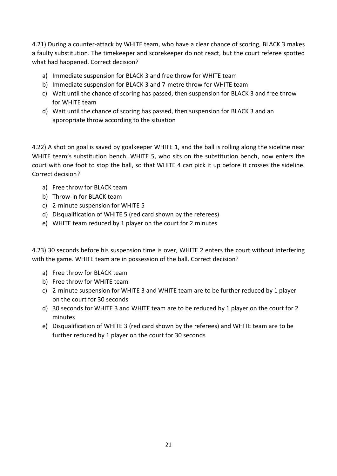4.21) During a counter-attack by WHITE team, who have a clear chance of scoring, BLACK 3 makes a faulty substitution. The timekeeper and scorekeeper do not react, but the court referee spotted what had happened. Correct decision?

- a) Immediate suspension for BLACK 3 and free throw for WHITE team
- b) Immediate suspension for BLACK 3 and 7-metre throw for WHITE team
- c) Wait until the chance of scoring has passed, then suspension for BLACK 3 and free throw for WHITE team
- d) Wait until the chance of scoring has passed, then suspension for BLACK 3 and an appropriate throw according to the situation

4.22) A shot on goal is saved by goalkeeper WHITE 1, and the ball is rolling along the sideline near WHITE team's substitution bench. WHITE 5, who sits on the substitution bench, now enters the court with one foot to stop the ball, so that WHITE 4 can pick it up before it crosses the sideline. Correct decision?

- a) Free throw for BLACK team
- b) Throw-in for BLACK team
- c) 2-minute suspension for WHITE 5
- d) Disqualification of WHITE 5 (red card shown by the referees)
- e) WHITE team reduced by 1 player on the court for 2 minutes

4.23) 30 seconds before his suspension time is over, WHITE 2 enters the court without interfering with the game. WHITE team are in possession of the ball. Correct decision?

- a) Free throw for BLACK team
- b) Free throw for WHITE team
- c) 2-minute suspension for WHITE 3 and WHITE team are to be further reduced by 1 player on the court for 30 seconds
- d) 30 seconds for WHITE 3 and WHITE team are to be reduced by 1 player on the court for 2 minutes
- e) Disqualification of WHITE 3 (red card shown by the referees) and WHITE team are to be further reduced by 1 player on the court for 30 seconds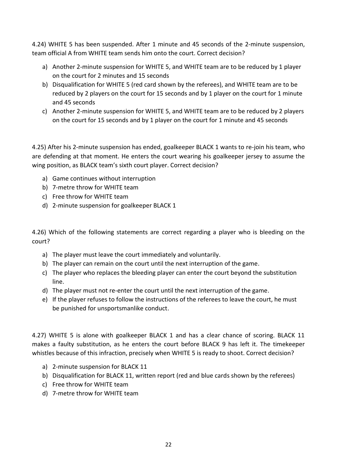4.24) WHITE 5 has been suspended. After 1 minute and 45 seconds of the 2-minute suspension, team official A from WHITE team sends him onto the court. Correct decision?

- a) Another 2-minute suspension for WHITE 5, and WHITE team are to be reduced by 1 player on the court for 2 minutes and 15 seconds
- b) Disqualification for WHITE 5 (red card shown by the referees), and WHITE team are to be reduced by 2 players on the court for 15 seconds and by 1 player on the court for 1 minute and 45 seconds
- c) Another 2-minute suspension for WHITE 5, and WHITE team are to be reduced by 2 players on the court for 15 seconds and by 1 player on the court for 1 minute and 45 seconds

4.25) After his 2-minute suspension has ended, goalkeeper BLACK 1 wants to re-join his team, who are defending at that moment. He enters the court wearing his goalkeeper jersey to assume the wing position, as BLACK team's sixth court player. Correct decision?

- a) Game continues without interruption
- b) 7-metre throw for WHITE team
- c) Free throw for WHITE team
- d) 2-minute suspension for goalkeeper BLACK 1

4.26) Which of the following statements are correct regarding a player who is bleeding on the court?

- a) The player must leave the court immediately and voluntarily.
- b) The player can remain on the court until the next interruption of the game.
- c) The player who replaces the bleeding player can enter the court beyond the substitution line.
- d) The player must not re-enter the court until the next interruption of the game.
- e) If the player refuses to follow the instructions of the referees to leave the court, he must be punished for unsportsmanlike conduct.

4.27) WHITE 5 is alone with goalkeeper BLACK 1 and has a clear chance of scoring. BLACK 11 makes a faulty substitution, as he enters the court before BLACK 9 has left it. The timekeeper whistles because of this infraction, precisely when WHITE 5 is ready to shoot. Correct decision?

- a) 2-minute suspension for BLACK 11
- b) Disqualification for BLACK 11, written report (red and blue cards shown by the referees)
- c) Free throw for WHITE team
- d) 7-metre throw for WHITE team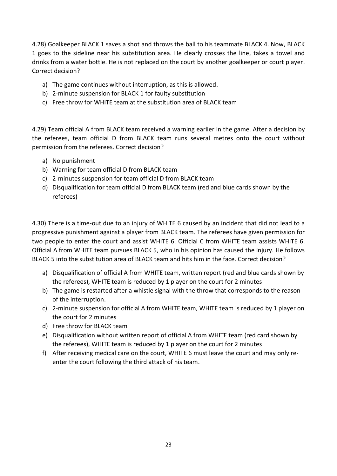4.28) Goalkeeper BLACK 1 saves a shot and throws the ball to his teammate BLACK 4. Now, BLACK 1 goes to the sideline near his substitution area. He clearly crosses the line, takes a towel and drinks from a water bottle. He is not replaced on the court by another goalkeeper or court player. Correct decision?

- a) The game continues without interruption, as this is allowed.
- b) 2-minute suspension for BLACK 1 for faulty substitution
- c) Free throw for WHITE team at the substitution area of BLACK team

4.29) Team official A from BLACK team received a warning earlier in the game. After a decision by the referees, team official D from BLACK team runs several metres onto the court without permission from the referees. Correct decision?

- a) No punishment
- b) Warning for team official D from BLACK team
- c) 2-minutes suspension for team official D from BLACK team
- d) Disqualification for team official D from BLACK team (red and blue cards shown by the referees)

4.30) There is a time-out due to an injury of WHITE 6 caused by an incident that did not lead to a progressive punishment against a player from BLACK team. The referees have given permission for two people to enter the court and assist WHITE 6. Official C from WHITE team assists WHITE 6. Official A from WHITE team pursues BLACK 5, who in his opinion has caused the injury. He follows BLACK 5 into the substitution area of BLACK team and hits him in the face. Correct decision?

- a) Disqualification of official A from WHITE team, written report (red and blue cards shown by the referees), WHITE team is reduced by 1 player on the court for 2 minutes
- b) The game is restarted after a whistle signal with the throw that corresponds to the reason of the interruption.
- c) 2-minute suspension for official A from WHITE team, WHITE team is reduced by 1 player on the court for 2 minutes
- d) Free throw for BLACK team
- e) Disqualification without written report of official A from WHITE team (red card shown by the referees), WHITE team is reduced by 1 player on the court for 2 minutes
- f) After receiving medical care on the court, WHITE 6 must leave the court and may only reenter the court following the third attack of his team.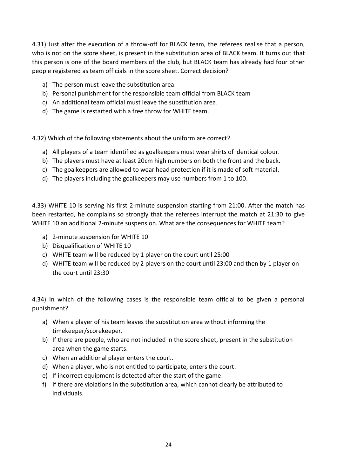4.31) Just after the execution of a throw-off for BLACK team, the referees realise that a person, who is not on the score sheet, is present in the substitution area of BLACK team. It turns out that this person is one of the board members of the club, but BLACK team has already had four other people registered as team officials in the score sheet. Correct decision?

- a) The person must leave the substitution area.
- b) Personal punishment for the responsible team official from BLACK team
- c) An additional team official must leave the substitution area.
- d) The game is restarted with a free throw for WHITE team.

4.32) Which of the following statements about the uniform are correct?

- a) All players of a team identified as goalkeepers must wear shirts of identical colour.
- b) The players must have at least 20cm high numbers on both the front and the back.
- c) The goalkeepers are allowed to wear head protection if it is made of soft material.
- d) The players including the goalkeepers may use numbers from 1 to 100.

4.33) WHITE 10 is serving his first 2-minute suspension starting from 21:00. After the match has been restarted, he complains so strongly that the referees interrupt the match at 21:30 to give WHITE 10 an additional 2-minute suspension. What are the consequences for WHITE team?

- a) 2-minute suspension for WHITE 10
- b) Disqualification of WHITE 10
- c) WHITE team will be reduced by 1 player on the court until 25:00
- d) WHITE team will be reduced by 2 players on the court until 23:00 and then by 1 player on the court until 23:30

4.34) In which of the following cases is the responsible team official to be given a personal punishment?

- a) When a player of his team leaves the substitution area without informing the timekeeper/scorekeeper.
- b) If there are people, who are not included in the score sheet, present in the substitution area when the game starts.
- c) When an additional player enters the court.
- d) When a player, who is not entitled to participate, enters the court.
- e) If incorrect equipment is detected after the start of the game.
- f) If there are violations in the substitution area, which cannot clearly be attributed to individuals.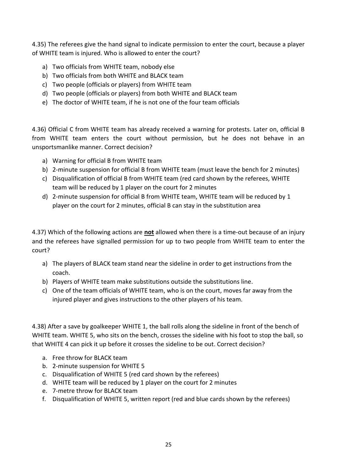4.35) The referees give the hand signal to indicate permission to enter the court, because a player of WHITE team is injured. Who is allowed to enter the court?

- a) Two officials from WHITE team, nobody else
- b) Two officials from both WHITE and BLACK team
- c) Two people (officials or players) from WHITE team
- d) Two people (officials or players) from both WHITE and BLACK team
- e) The doctor of WHITE team, if he is not one of the four team officials

4.36) Official C from WHITE team has already received a warning for protests. Later on, official B from WHITE team enters the court without permission, but he does not behave in an unsportsmanlike manner. Correct decision?

- a) Warning for official B from WHITE team
- b) 2-minute suspension for official B from WHITE team (must leave the bench for 2 minutes)
- c) Disqualification of official B from WHITE team (red card shown by the referees, WHITE team will be reduced by 1 player on the court for 2 minutes
- d) 2-minute suspension for official B from WHITE team, WHITE team will be reduced by 1 player on the court for 2 minutes, official B can stay in the substitution area

4.37) Which of the following actions are **not** allowed when there is a time-out because of an injury and the referees have signalled permission for up to two people from WHITE team to enter the court?

- a) The players of BLACK team stand near the sideline in order to get instructions from the coach.
- b) Players of WHITE team make substitutions outside the substitutions line.
- c) One of the team officials of WHITE team, who is on the court, moves far away from the injured player and gives instructions to the other players of his team.

4.38) After a save by goalkeeper WHITE 1, the ball rolls along the sideline in front of the bench of WHITE team. WHITE 5, who sits on the bench, crosses the sideline with his foot to stop the ball, so that WHITE 4 can pick it up before it crosses the sideline to be out. Correct decision?

- a. Free throw for BLACK team
- b. 2-minute suspension for WHITE 5
- c. Disqualification of WHITE 5 (red card shown by the referees)
- d. WHITE team will be reduced by 1 player on the court for 2 minutes
- e. 7-metre throw for BLACK team
- f. Disqualification of WHITE 5, written report (red and blue cards shown by the referees)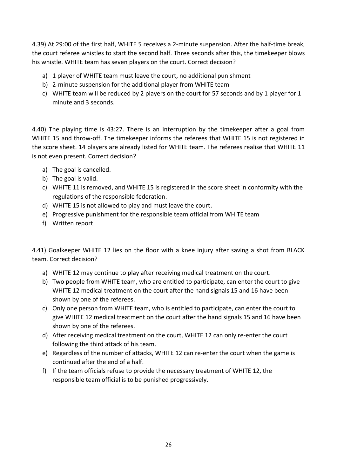4.39) At 29:00 of the first half, WHITE 5 receives a 2-minute suspension. After the half-time break, the court referee whistles to start the second half. Three seconds after this, the timekeeper blows his whistle. WHITE team has seven players on the court. Correct decision?

- a) 1 player of WHITE team must leave the court, no additional punishment
- b) 2-minute suspension for the additional player from WHITE team
- c) WHITE team will be reduced by 2 players on the court for 57 seconds and by 1 player for 1 minute and 3 seconds.

4.40) The playing time is 43:27. There is an interruption by the timekeeper after a goal from WHITE 15 and throw-off. The timekeeper informs the referees that WHITE 15 is not registered in the score sheet. 14 players are already listed for WHITE team. The referees realise that WHITE 11 is not even present. Correct decision?

- a) The goal is cancelled.
- b) The goal is valid.
- c) WHITE 11 is removed, and WHITE 15 is registered in the score sheet in conformity with the regulations of the responsible federation.
- d) WHITE 15 is not allowed to play and must leave the court.
- e) Progressive punishment for the responsible team official from WHITE team
- f) Written report

4.41) Goalkeeper WHITE 12 lies on the floor with a knee injury after saving a shot from BLACK team. Correct decision?

- a) WHITE 12 may continue to play after receiving medical treatment on the court.
- b) Two people from WHITE team, who are entitled to participate, can enter the court to give WHITE 12 medical treatment on the court after the hand signals 15 and 16 have been shown by one of the referees.
- c) Only one person from WHITE team, who is entitled to participate, can enter the court to give WHITE 12 medical treatment on the court after the hand signals 15 and 16 have been shown by one of the referees.
- d) After receiving medical treatment on the court, WHITE 12 can only re-enter the court following the third attack of his team.
- e) Regardless of the number of attacks, WHITE 12 can re-enter the court when the game is continued after the end of a half.
- f) If the team officials refuse to provide the necessary treatment of WHITE 12, the responsible team official is to be punished progressively.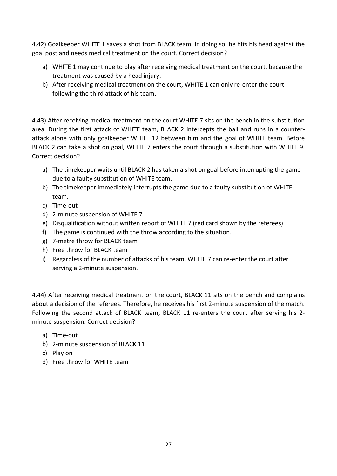4.42) Goalkeeper WHITE 1 saves a shot from BLACK team. In doing so, he hits his head against the goal post and needs medical treatment on the court. Correct decision?

- a) WHITE 1 may continue to play after receiving medical treatment on the court, because the treatment was caused by a head injury.
- b) After receiving medical treatment on the court, WHITE 1 can only re-enter the court following the third attack of his team.

4.43) After receiving medical treatment on the court WHITE 7 sits on the bench in the substitution area. During the first attack of WHITE team, BLACK 2 intercepts the ball and runs in a counterattack alone with only goalkeeper WHITE 12 between him and the goal of WHITE team. Before BLACK 2 can take a shot on goal, WHITE 7 enters the court through a substitution with WHITE 9. Correct decision?

- a) The timekeeper waits until BLACK 2 has taken a shot on goal before interrupting the game due to a faulty substitution of WHITE team.
- b) The timekeeper immediately interrupts the game due to a faulty substitution of WHITE team.
- c) Time-out
- d) 2-minute suspension of WHITE 7
- e) Disqualification without written report of WHITE 7 (red card shown by the referees)
- f) The game is continued with the throw according to the situation.
- g) 7-metre throw for BLACK team
- h) Free throw for BLACK team
- i) Regardless of the number of attacks of his team, WHITE 7 can re-enter the court after serving a 2-minute suspension.

4.44) After receiving medical treatment on the court, BLACK 11 sits on the bench and complains about a decision of the referees. Therefore, he receives his first 2-minute suspension of the match. Following the second attack of BLACK team, BLACK 11 re-enters the court after serving his 2minute suspension. Correct decision?

- a) Time-out
- b) 2-minute suspension of BLACK 11
- c) Play on
- d) Free throw for WHITE team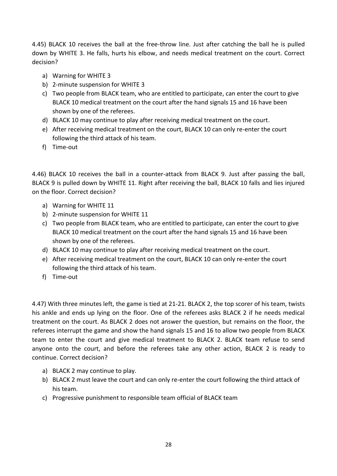4.45) BLACK 10 receives the ball at the free-throw line. Just after catching the ball he is pulled down by WHITE 3. He falls, hurts his elbow, and needs medical treatment on the court. Correct decision?

- a) Warning for WHITE 3
- b) 2-minute suspension for WHITE 3
- c) Two people from BLACK team, who are entitled to participate, can enter the court to give BLACK 10 medical treatment on the court after the hand signals 15 and 16 have been shown by one of the referees.
- d) BLACK 10 may continue to play after receiving medical treatment on the court.
- e) After receiving medical treatment on the court, BLACK 10 can only re-enter the court following the third attack of his team.
- f) Time-out

4.46) BLACK 10 receives the ball in a counter-attack from BLACK 9. Just after passing the ball, BLACK 9 is pulled down by WHITE 11. Right after receiving the ball, BLACK 10 falls and lies injured on the floor. Correct decision?

- a) Warning for WHITE 11
- b) 2-minute suspension for WHITE 11
- c) Two people from BLACK team, who are entitled to participate, can enter the court to give BLACK 10 medical treatment on the court after the hand signals 15 and 16 have been shown by one of the referees.
- d) BLACK 10 may continue to play after receiving medical treatment on the court.
- e) After receiving medical treatment on the court, BLACK 10 can only re-enter the court following the third attack of his team.
- f) Time-out

4.47) With three minutes left, the game is tied at 21-21. BLACK 2, the top scorer of his team, twists his ankle and ends up lying on the floor. One of the referees asks BLACK 2 if he needs medical treatment on the court. As BLACK 2 does not answer the question, but remains on the floor, the referees interrupt the game and show the hand signals 15 and 16 to allow two people from BLACK team to enter the court and give medical treatment to BLACK 2. BLACK team refuse to send anyone onto the court, and before the referees take any other action, BLACK 2 is ready to continue. Correct decision?

- a) BLACK 2 may continue to play.
- b) BLACK 2 must leave the court and can only re-enter the court following the third attack of his team.
- c) Progressive punishment to responsible team official of BLACK team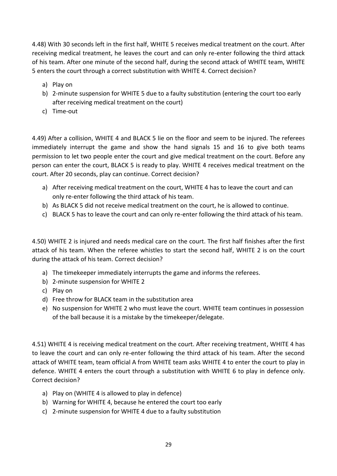4.48) With 30 seconds left in the first half, WHITE 5 receives medical treatment on the court. After receiving medical treatment, he leaves the court and can only re-enter following the third attack of his team. After one minute of the second half, during the second attack of WHITE team, WHITE 5 enters the court through a correct substitution with WHITE 4. Correct decision?

- a) Play on
- b) 2-minute suspension for WHITE 5 due to a faulty substitution (entering the court too early after receiving medical treatment on the court)
- c) Time-out

4.49) After a collision, WHITE 4 and BLACK 5 lie on the floor and seem to be injured. The referees immediately interrupt the game and show the hand signals 15 and 16 to give both teams permission to let two people enter the court and give medical treatment on the court. Before any person can enter the court, BLACK 5 is ready to play. WHITE 4 receives medical treatment on the court. After 20 seconds, play can continue. Correct decision?

- a) After receiving medical treatment on the court, WHITE 4 has to leave the court and can only re-enter following the third attack of his team.
- b) As BLACK 5 did not receive medical treatment on the court, he is allowed to continue.
- c) BLACK 5 has to leave the court and can only re-enter following the third attack of his team.

4.50) WHITE 2 is injured and needs medical care on the court. The first half finishes after the first attack of his team. When the referee whistles to start the second half, WHITE 2 is on the court during the attack of his team. Correct decision?

- a) The timekeeper immediately interrupts the game and informs the referees.
- b) 2-minute suspension for WHITE 2
- c) Play on
- d) Free throw for BLACK team in the substitution area
- e) No suspension for WHITE 2 who must leave the court. WHITE team continues in possession of the ball because it is a mistake by the timekeeper/delegate.

4.51) WHITE 4 is receiving medical treatment on the court. After receiving treatment, WHITE 4 has to leave the court and can only re-enter following the third attack of his team. After the second attack of WHITE team, team official A from WHITE team asks WHITE 4 to enter the court to play in defence. WHITE 4 enters the court through a substitution with WHITE 6 to play in defence only. Correct decision?

- a) Play on (WHITE 4 is allowed to play in defence)
- b) Warning for WHITE 4, because he entered the court too early
- c) 2-minute suspension for WHITE 4 due to a faulty substitution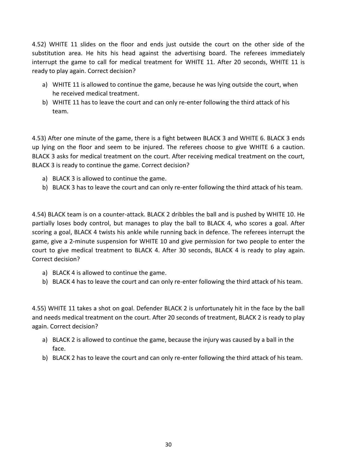4.52) WHITE 11 slides on the floor and ends just outside the court on the other side of the substitution area. He hits his head against the advertising board. The referees immediately interrupt the game to call for medical treatment for WHITE 11. After 20 seconds, WHITE 11 is ready to play again. Correct decision?

- a) WHITE 11 is allowed to continue the game, because he was lying outside the court, when he received medical treatment.
- b) WHITE 11 has to leave the court and can only re-enter following the third attack of his team.

4.53) After one minute of the game, there is a fight between BLACK 3 and WHITE 6. BLACK 3 ends up lying on the floor and seem to be injured. The referees choose to give WHITE 6 a caution. BLACK 3 asks for medical treatment on the court. After receiving medical treatment on the court, BLACK 3 is ready to continue the game. Correct decision?

- a) BLACK 3 is allowed to continue the game.
- b) BLACK 3 has to leave the court and can only re-enter following the third attack of his team.

4.54) BLACK team is on a counter-attack. BLACK 2 dribbles the ball and is pushed by WHITE 10. He partially loses body control, but manages to play the ball to BLACK 4, who scores a goal. After scoring a goal, BLACK 4 twists his ankle while running back in defence. The referees interrupt the game, give a 2-minute suspension for WHITE 10 and give permission for two people to enter the court to give medical treatment to BLACK 4. After 30 seconds, BLACK 4 is ready to play again. Correct decision?

- a) BLACK 4 is allowed to continue the game.
- b) BLACK 4 has to leave the court and can only re-enter following the third attack of his team.

4.55) WHITE 11 takes a shot on goal. Defender BLACK 2 is unfortunately hit in the face by the ball and needs medical treatment on the court. After 20 seconds of treatment, BLACK 2 is ready to play again. Correct decision?

- a) BLACK 2 is allowed to continue the game, because the injury was caused by a ball in the face.
- b) BLACK 2 has to leave the court and can only re-enter following the third attack of his team.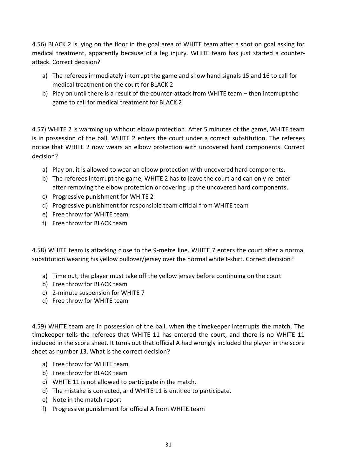4.56) BLACK 2 is lying on the floor in the goal area of WHITE team after a shot on goal asking for medical treatment, apparently because of a leg injury. WHITE team has just started a counterattack. Correct decision?

- a) The referees immediately interrupt the game and show hand signals 15 and 16 to call for medical treatment on the court for BLACK 2
- b) Play on until there is a result of the counter-attack from WHITE team then interrupt the game to call for medical treatment for BLACK 2

4.57) WHITE 2 is warming up without elbow protection. After 5 minutes of the game, WHITE team is in possession of the ball. WHITE 2 enters the court under a correct substitution. The referees notice that WHITE 2 now wears an elbow protection with uncovered hard components. Correct decision?

- a) Play on, it is allowed to wear an elbow protection with uncovered hard components.
- b) The referees interrupt the game, WHITE 2 has to leave the court and can only re-enter after removing the elbow protection or covering up the uncovered hard components.
- c) Progressive punishment for WHITE 2
- d) Progressive punishment for responsible team official from WHITE team
- e) Free throw for WHITE team
- f) Free throw for BLACK team

4.58) WHITE team is attacking close to the 9-metre line. WHITE 7 enters the court after a normal substitution wearing his yellow pullover/jersey over the normal white t-shirt. Correct decision?

- a) Time out, the player must take off the yellow jersey before continuing on the court
- b) Free throw for BLACK team
- c) 2-minute suspension for WHITE 7
- d) Free throw for WHITE team

4.59) WHITE team are in possession of the ball, when the timekeeper interrupts the match. The timekeeper tells the referees that WHITE 11 has entered the court, and there is no WHITE 11 included in the score sheet. It turns out that official A had wrongly included the player in the score sheet as number 13. What is the correct decision?

- a) Free throw for WHITE team
- b) Free throw for BLACK team
- c) WHITE 11 is not allowed to participate in the match.
- d) The mistake is corrected, and WHITE 11 is entitled to participate.
- e) Note in the match report
- f) Progressive punishment for official A from WHITE team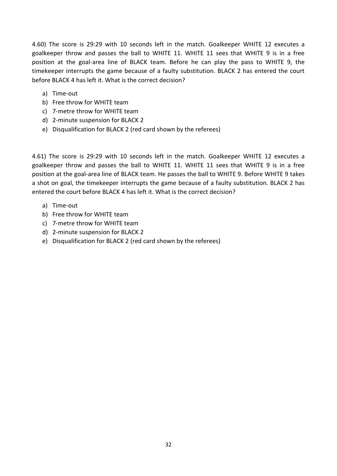4.60) The score is 29:29 with 10 seconds left in the match. Goalkeeper WHITE 12 executes a goalkeeper throw and passes the ball to WHITE 11. WHITE 11 sees that WHITE 9 is in a free position at the goal-area line of BLACK team. Before he can play the pass to WHITE 9, the timekeeper interrupts the game because of a faulty substitution. BLACK 2 has entered the court before BLACK 4 has left it. What is the correct decision?

- a) Time-out
- b) Free throw for WHITE team
- c) 7-metre throw for WHITE team
- d) 2-minute suspension for BLACK 2
- e) Disqualification for BLACK 2 (red card shown by the referees)

4.61) The score is 29:29 with 10 seconds left in the match. Goalkeeper WHITE 12 executes a goalkeeper throw and passes the ball to WHITE 11. WHITE 11 sees that WHITE 9 is in a free position at the goal-area line of BLACK team. He passes the ball to WHITE 9. Before WHITE 9 takes a shot on goal, the timekeeper interrupts the game because of a faulty substitution. BLACK 2 has entered the court before BLACK 4 has left it. What is the correct decision?

- a) Time-out
- b) Free throw for WHITE team
- c) 7-metre throw for WHITE team
- d) 2-minute suspension for BLACK 2
- e) Disqualification for BLACK 2 (red card shown by the referees)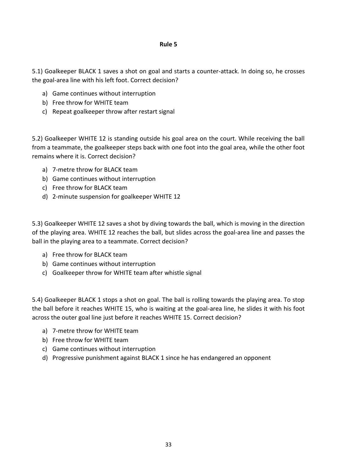### **Rule 5**

5.1) Goalkeeper BLACK 1 saves a shot on goal and starts a counter-attack. In doing so, he crosses the goal-area line with his left foot. Correct decision?

- a) Game continues without interruption
- b) Free throw for WHITE team
- c) Repeat goalkeeper throw after restart signal

5.2) Goalkeeper WHITE 12 is standing outside his goal area on the court. While receiving the ball from a teammate, the goalkeeper steps back with one foot into the goal area, while the other foot remains where it is. Correct decision?

- a) 7-metre throw for BLACK team
- b) Game continues without interruption
- c) Free throw for BLACK team
- d) 2-minute suspension for goalkeeper WHITE 12

5.3) Goalkeeper WHITE 12 saves a shot by diving towards the ball, which is moving in the direction of the playing area. WHITE 12 reaches the ball, but slides across the goal-area line and passes the ball in the playing area to a teammate. Correct decision?

- a) Free throw for BLACK team
- b) Game continues without interruption
- c) Goalkeeper throw for WHITE team after whistle signal

5.4) Goalkeeper BLACK 1 stops a shot on goal. The ball is rolling towards the playing area. To stop the ball before it reaches WHITE 15, who is waiting at the goal-area line, he slides it with his foot across the outer goal line just before it reaches WHITE 15. Correct decision?

- a) 7-metre throw for WHITE team
- b) Free throw for WHITE team
- c) Game continues without interruption
- d) Progressive punishment against BLACK 1 since he has endangered an opponent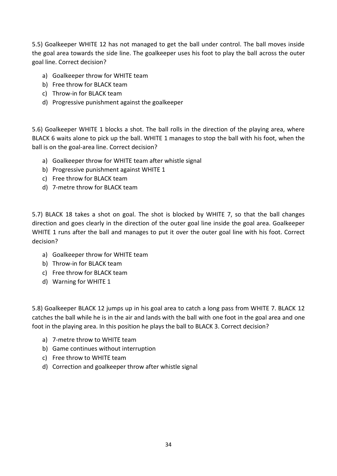5.5) Goalkeeper WHITE 12 has not managed to get the ball under control. The ball moves inside the goal area towards the side line. The goalkeeper uses his foot to play the ball across the outer goal line. Correct decision?

- a) Goalkeeper throw for WHITE team
- b) Free throw for BLACK team
- c) Throw-in for BLACK team
- d) Progressive punishment against the goalkeeper

5.6) Goalkeeper WHITE 1 blocks a shot. The ball rolls in the direction of the playing area, where BLACK 6 waits alone to pick up the ball. WHITE 1 manages to stop the ball with his foot, when the ball is on the goal-area line. Correct decision?

- a) Goalkeeper throw for WHITE team after whistle signal
- b) Progressive punishment against WHITE 1
- c) Free throw for BLACK team
- d) 7-metre throw for BLACK team

5.7) BLACK 18 takes a shot on goal. The shot is blocked by WHITE 7, so that the ball changes direction and goes clearly in the direction of the outer goal line inside the goal area. Goalkeeper WHITE 1 runs after the ball and manages to put it over the outer goal line with his foot. Correct decision?

- a) Goalkeeper throw for WHITE team
- b) Throw-in for BLACK team
- c) Free throw for BLACK team
- d) Warning for WHITE 1

5.8) Goalkeeper BLACK 12 jumps up in his goal area to catch a long pass from WHITE 7. BLACK 12 catches the ball while he is in the air and lands with the ball with one foot in the goal area and one foot in the playing area. In this position he plays the ball to BLACK 3. Correct decision?

- a) 7-metre throw to WHITE team
- b) Game continues without interruption
- c) Free throw to WHITE team
- d) Correction and goalkeeper throw after whistle signal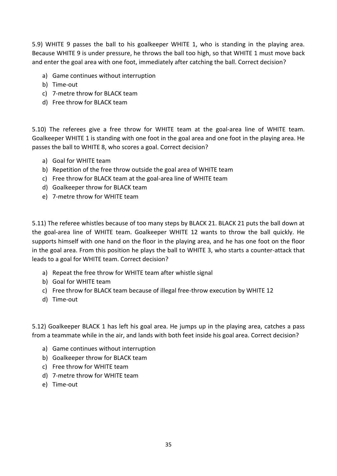5.9) WHITE 9 passes the ball to his goalkeeper WHITE 1, who is standing in the playing area. Because WHITE 9 is under pressure, he throws the ball too high, so that WHITE 1 must move back and enter the goal area with one foot, immediately after catching the ball. Correct decision?

- a) Game continues without interruption
- b) Time-out
- c) 7-metre throw for BLACK team
- d) Free throw for BLACK team

5.10) The referees give a free throw for WHITE team at the goal-area line of WHITE team. Goalkeeper WHITE 1 is standing with one foot in the goal area and one foot in the playing area. He passes the ball to WHITE 8, who scores a goal. Correct decision?

- a) Goal for WHITE team
- b) Repetition of the free throw outside the goal area of WHITE team
- c) Free throw for BLACK team at the goal-area line of WHITE team
- d) Goalkeeper throw for BLACK team
- e) 7-metre throw for WHITE team

5.11) The referee whistles because of too many steps by BLACK 21. BLACK 21 puts the ball down at the goal-area line of WHITE team. Goalkeeper WHITE 12 wants to throw the ball quickly. He supports himself with one hand on the floor in the playing area, and he has one foot on the floor in the goal area. From this position he plays the ball to WHITE 3, who starts a counter-attack that leads to a goal for WHITE team. Correct decision?

- a) Repeat the free throw for WHITE team after whistle signal
- b) Goal for WHITE team
- c) Free throw for BLACK team because of illegal free-throw execution by WHITE 12
- d) Time-out

5.12) Goalkeeper BLACK 1 has left his goal area. He jumps up in the playing area, catches a pass from a teammate while in the air, and lands with both feet inside his goal area. Correct decision?

- a) Game continues without interruption
- b) Goalkeeper throw for BLACK team
- c) Free throw for WHITE team
- d) 7-metre throw for WHITE team
- e) Time-out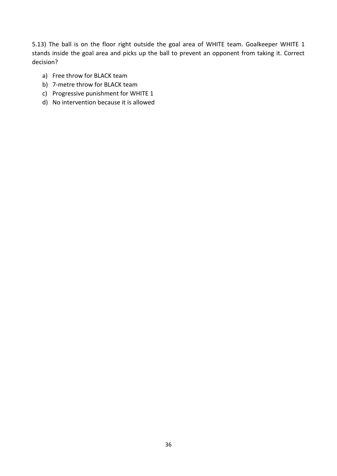5.13) The ball is on the floor right outside the goal area of WHITE team. Goalkeeper WHITE 1 stands inside the goal area and picks up the ball to prevent an opponent from taking it. Correct decision?

- a) Free throw for BLACK team
- b) 7-metre throw for BLACK team
- c) Progressive punishment for WHITE 1
- d) No intervention because it is allowed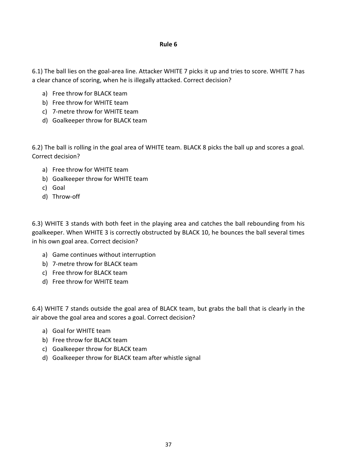## **Rule 6**

6.1) The ball lies on the goal-area line. Attacker WHITE 7 picks it up and tries to score. WHITE 7 has a clear chance of scoring, when he is illegally attacked. Correct decision?

- a) Free throw for BLACK team
- b) Free throw for WHITE team
- c) 7-metre throw for WHITE team
- d) Goalkeeper throw for BLACK team

6.2) The ball is rolling in the goal area of WHITE team. BLACK 8 picks the ball up and scores a goal. Correct decision?

- a) Free throw for WHITE team
- b) Goalkeeper throw for WHITE team
- c) Goal
- d) Throw-off

6.3) WHITE 3 stands with both feet in the playing area and catches the ball rebounding from his goalkeeper. When WHITE 3 is correctly obstructed by BLACK 10, he bounces the ball several times in his own goal area. Correct decision?

- a) Game continues without interruption
- b) 7-metre throw for BLACK team
- c) Free throw for BLACK team
- d) Free throw for WHITE team

6.4) WHITE 7 stands outside the goal area of BLACK team, but grabs the ball that is clearly in the air above the goal area and scores a goal. Correct decision?

- a) Goal for WHITE team
- b) Free throw for BLACK team
- c) Goalkeeper throw for BLACK team
- d) Goalkeeper throw for BLACK team after whistle signal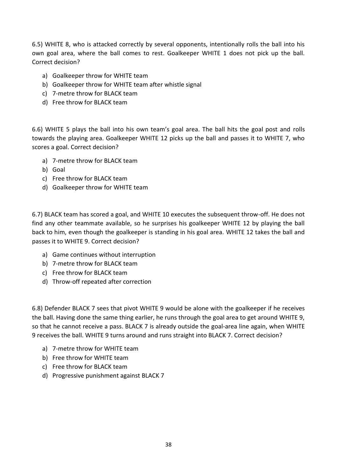6.5) WHITE 8, who is attacked correctly by several opponents, intentionally rolls the ball into his own goal area, where the ball comes to rest. Goalkeeper WHITE 1 does not pick up the ball. Correct decision?

- a) Goalkeeper throw for WHITE team
- b) Goalkeeper throw for WHITE team after whistle signal
- c) 7-metre throw for BLACK team
- d) Free throw for BLACK team

6.6) WHITE 5 plays the ball into his own team's goal area. The ball hits the goal post and rolls towards the playing area. Goalkeeper WHITE 12 picks up the ball and passes it to WHITE 7, who scores a goal. Correct decision?

- a) 7-metre throw for BLACK team
- b) Goal
- c) Free throw for BLACK team
- d) Goalkeeper throw for WHITE team

6.7) BLACK team has scored a goal, and WHITE 10 executes the subsequent throw-off. He does not find any other teammate available, so he surprises his goalkeeper WHITE 12 by playing the ball back to him, even though the goalkeeper is standing in his goal area. WHITE 12 takes the ball and passes it to WHITE 9. Correct decision?

- a) Game continues without interruption
- b) 7-metre throw for BLACK team
- c) Free throw for BLACK team
- d) Throw-off repeated after correction

6.8) Defender BLACK 7 sees that pivot WHITE 9 would be alone with the goalkeeper if he receives the ball. Having done the same thing earlier, he runs through the goal area to get around WHITE 9, so that he cannot receive a pass. BLACK 7 is already outside the goal-area line again, when WHITE 9 receives the ball. WHITE 9 turns around and runs straight into BLACK 7. Correct decision?

- a) 7-metre throw for WHITE team
- b) Free throw for WHITE team
- c) Free throw for BLACK team
- d) Progressive punishment against BLACK 7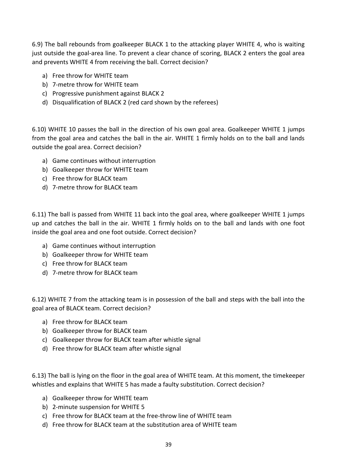6.9) The ball rebounds from goalkeeper BLACK 1 to the attacking player WHITE 4, who is waiting just outside the goal-area line. To prevent a clear chance of scoring, BLACK 2 enters the goal area and prevents WHITE 4 from receiving the ball. Correct decision?

- a) Free throw for WHITE team
- b) 7-metre throw for WHITE team
- c) Progressive punishment against BLACK 2
- d) Disqualification of BLACK 2 (red card shown by the referees)

6.10) WHITE 10 passes the ball in the direction of his own goal area. Goalkeeper WHITE 1 jumps from the goal area and catches the ball in the air. WHITE 1 firmly holds on to the ball and lands outside the goal area. Correct decision?

- a) Game continues without interruption
- b) Goalkeeper throw for WHITE team
- c) Free throw for BLACK team
- d) 7-metre throw for BLACK team

6.11) The ball is passed from WHITE 11 back into the goal area, where goalkeeper WHITE 1 jumps up and catches the ball in the air. WHITE 1 firmly holds on to the ball and lands with one foot inside the goal area and one foot outside. Correct decision?

- a) Game continues without interruption
- b) Goalkeeper throw for WHITE team
- c) Free throw for BLACK team
- d) 7-metre throw for BLACK team

6.12) WHITE 7 from the attacking team is in possession of the ball and steps with the ball into the goal area of BLACK team. Correct decision?

- a) Free throw for BLACK team
- b) Goalkeeper throw for BLACK team
- c) Goalkeeper throw for BLACK team after whistle signal
- d) Free throw for BLACK team after whistle signal

6.13) The ball is lying on the floor in the goal area of WHITE team. At this moment, the timekeeper whistles and explains that WHITE 5 has made a faulty substitution. Correct decision?

- a) Goalkeeper throw for WHITE team
- b) 2-minute suspension for WHITE 5
- c) Free throw for BLACK team at the free-throw line of WHITE team
- d) Free throw for BLACK team at the substitution area of WHITE team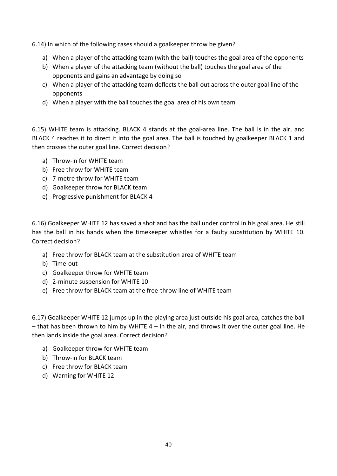6.14) In which of the following cases should a goalkeeper throw be given?

- a) When a player of the attacking team (with the ball) touches the goal area of the opponents
- b) When a player of the attacking team (without the ball) touches the goal area of the opponents and gains an advantage by doing so
- c) When a player of the attacking team deflects the ball out across the outer goal line of the opponents
- d) When a player with the ball touches the goal area of his own team

6.15) WHITE team is attacking. BLACK 4 stands at the goal-area line. The ball is in the air, and BLACK 4 reaches it to direct it into the goal area. The ball is touched by goalkeeper BLACK 1 and then crosses the outer goal line. Correct decision?

- a) Throw-in for WHITE team
- b) Free throw for WHITE team
- c) 7-metre throw for WHITE team
- d) Goalkeeper throw for BLACK team
- e) Progressive punishment for BLACK 4

6.16) Goalkeeper WHITE 12 has saved a shot and has the ball under control in his goal area. He still has the ball in his hands when the timekeeper whistles for a faulty substitution by WHITE 10. Correct decision?

- a) Free throw for BLACK team at the substitution area of WHITE team
- b) Time-out
- c) Goalkeeper throw for WHITE team
- d) 2-minute suspension for WHITE 10
- e) Free throw for BLACK team at the free-throw line of WHITE team

6.17) Goalkeeper WHITE 12 jumps up in the playing area just outside his goal area, catches the ball  $-$  that has been thrown to him by WHITE 4 – in the air, and throws it over the outer goal line. He then lands inside the goal area. Correct decision?

- a) Goalkeeper throw for WHITE team
- b) Throw-in for BLACK team
- c) Free throw for BLACK team
- d) Warning for WHITE 12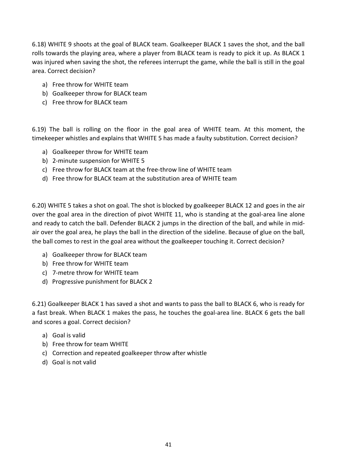6.18) WHITE 9 shoots at the goal of BLACK team. Goalkeeper BLACK 1 saves the shot, and the ball rolls towards the playing area, where a player from BLACK team is ready to pick it up. As BLACK 1 was injured when saving the shot, the referees interrupt the game, while the ball is still in the goal area. Correct decision?

- a) Free throw for WHITE team
- b) Goalkeeper throw for BLACK team
- c) Free throw for BLACK team

6.19) The ball is rolling on the floor in the goal area of WHITE team. At this moment, the timekeeper whistles and explains that WHITE 5 has made a faulty substitution. Correct decision?

- a) Goalkeeper throw for WHITE team
- b) 2-minute suspension for WHITE 5
- c) Free throw for BLACK team at the free-throw line of WHITE team
- d) Free throw for BLACK team at the substitution area of WHITE team

6.20) WHITE 5 takes a shot on goal. The shot is blocked by goalkeeper BLACK 12 and goes in the air over the goal area in the direction of pivot WHITE 11, who is standing at the goal-area line alone and ready to catch the ball. Defender BLACK 2 jumps in the direction of the ball, and while in midair over the goal area, he plays the ball in the direction of the sideline. Because of glue on the ball, the ball comes to rest in the goal area without the goalkeeper touching it. Correct decision?

- a) Goalkeeper throw for BLACK team
- b) Free throw for WHITE team
- c) 7-metre throw for WHITE team
- d) Progressive punishment for BLACK 2

6.21) Goalkeeper BLACK 1 has saved a shot and wants to pass the ball to BLACK 6, who is ready for a fast break. When BLACK 1 makes the pass, he touches the goal-area line. BLACK 6 gets the ball and scores a goal. Correct decision?

- a) Goal is valid
- b) Free throw for team WHITE
- c) Correction and repeated goalkeeper throw after whistle
- d) Goal is not valid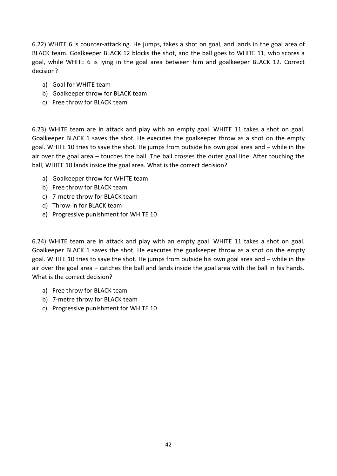6.22) WHITE 6 is counter-attacking. He jumps, takes a shot on goal, and lands in the goal area of BLACK team. Goalkeeper BLACK 12 blocks the shot, and the ball goes to WHITE 11, who scores a goal, while WHITE 6 is lying in the goal area between him and goalkeeper BLACK 12. Correct decision?

- a) Goal for WHITE team
- b) Goalkeeper throw for BLACK team
- c) Free throw for BLACK team

6.23) WHITE team are in attack and play with an empty goal. WHITE 11 takes a shot on goal. Goalkeeper BLACK 1 saves the shot. He executes the goalkeeper throw as a shot on the empty goal. WHITE 10 tries to save the shot. He jumps from outside his own goal area and – while in the air over the goal area – touches the ball. The ball crosses the outer goal line. After touching the ball, WHITE 10 lands inside the goal area. What is the correct decision?

- a) Goalkeeper throw for WHITE team
- b) Free throw for BLACK team
- c) 7-metre throw for BLACK team
- d) Throw-in for BLACK team
- e) Progressive punishment for WHITE 10

6.24) WHITE team are in attack and play with an empty goal. WHITE 11 takes a shot on goal. Goalkeeper BLACK 1 saves the shot. He executes the goalkeeper throw as a shot on the empty goal. WHITE 10 tries to save the shot. He jumps from outside his own goal area and – while in the air over the goal area – catches the ball and lands inside the goal area with the ball in his hands. What is the correct decision?

- a) Free throw for BLACK team
- b) 7-metre throw for BLACK team
- c) Progressive punishment for WHITE 10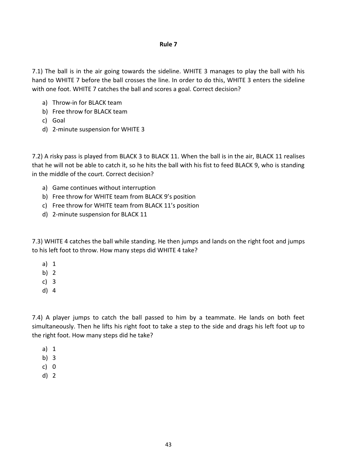## **Rule 7**

7.1) The ball is in the air going towards the sideline. WHITE 3 manages to play the ball with his hand to WHITE 7 before the ball crosses the line. In order to do this, WHITE 3 enters the sideline with one foot. WHITE 7 catches the ball and scores a goal. Correct decision?

- a) Throw-in for BLACK team
- b) Free throw for BLACK team
- c) Goal
- d) 2-minute suspension for WHITE 3

7.2) A risky pass is played from BLACK 3 to BLACK 11. When the ball is in the air, BLACK 11 realises that he will not be able to catch it, so he hits the ball with his fist to feed BLACK 9, who is standing in the middle of the court. Correct decision?

- a) Game continues without interruption
- b) Free throw for WHITE team from BLACK 9's position
- c) Free throw for WHITE team from BLACK 11's position
- d) 2-minute suspension for BLACK 11

7.3) WHITE 4 catches the ball while standing. He then jumps and lands on the right foot and jumps to his left foot to throw. How many steps did WHITE 4 take?

- a) 1
- b) 2
- c) 3
- d) 4

7.4) A player jumps to catch the ball passed to him by a teammate. He lands on both feet simultaneously. Then he lifts his right foot to take a step to the side and drags his left foot up to the right foot. How many steps did he take?

- a) 1
- b) 3
- c) 0
- d) 2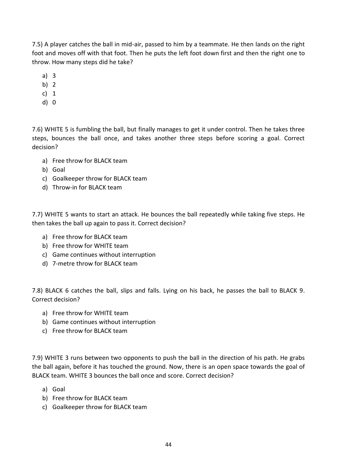7.5) A player catches the ball in mid-air, passed to him by a teammate. He then lands on the right foot and moves off with that foot. Then he puts the left foot down first and then the right one to throw. How many steps did he take?

- a) 3
- b) 2
- c) 1
- d) 0

7.6) WHITE 5 is fumbling the ball, but finally manages to get it under control. Then he takes three steps, bounces the ball once, and takes another three steps before scoring a goal. Correct decision?

- a) Free throw for BLACK team
- b) Goal
- c) Goalkeeper throw for BLACK team
- d) Throw-in for BLACK team

7.7) WHITE 5 wants to start an attack. He bounces the ball repeatedly while taking five steps. He then takes the ball up again to pass it. Correct decision?

- a) Free throw for BLACK team
- b) Free throw for WHITE team
- c) Game continues without interruption
- d) 7-metre throw for BLACK team

7.8) BLACK 6 catches the ball, slips and falls. Lying on his back, he passes the ball to BLACK 9. Correct decision?

- a) Free throw for WHITE team
- b) Game continues without interruption
- c) Free throw for BLACK team

7.9) WHITE 3 runs between two opponents to push the ball in the direction of his path. He grabs the ball again, before it has touched the ground. Now, there is an open space towards the goal of BLACK team. WHITE 3 bounces the ball once and score. Correct decision?

- a) Goal
- b) Free throw for BLACK team
- c) Goalkeeper throw for BLACK team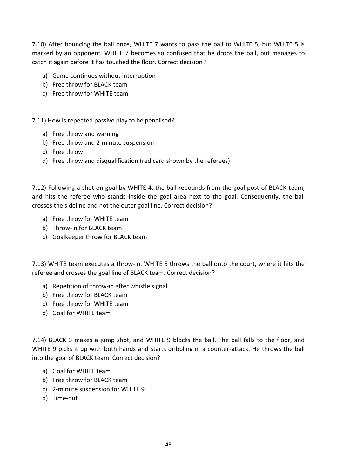7.10) After bouncing the ball once, WHITE 7 wants to pass the ball to WHITE 5, but WHITE 5 is marked by an opponent. WHITE 7 becomes so confused that he drops the ball, but manages to catch it again before it has touched the floor. Correct decision?

- a) Game continues without interruption
- b) Free throw for BLACK team
- c) Free throw for WHITE team

7.11) How is repeated passive play to be penalised?

- a) Free throw and warning
- b) Free throw and 2-minute suspension
- c) Free throw
- d) Free throw and disqualification (red card shown by the referees)

7.12) Following a shot on goal by WHITE 4, the ball rebounds from the goal post of BLACK team, and hits the referee who stands inside the goal area next to the goal. Consequently, the ball crosses the sideline and not the outer goal line. Correct decision?

- a) Free throw for WHITE team
- b) Throw-in for BLACK team
- c) Goalkeeper throw for BLACK team

7.13) WHITE team executes a throw-in. WHITE 5 throws the ball onto the court, where it hits the referee and crosses the goal line of BLACK team. Correct decision?

- a) Repetition of throw-in after whistle signal
- b) Free throw for BLACK team
- c) Free throw for WHITE team
- d) Goal for WHITE team

7.14) BLACK 3 makes a jump shot, and WHITE 9 blocks the ball. The ball falls to the floor, and WHITE 9 picks it up with both hands and starts dribbling in a counter-attack. He throws the ball into the goal of BLACK team. Correct decision?

- a) Goal for WHITE team
- b) Free throw for BLACK team
- c) 2-minute suspension for WHITE 9
- d) Time-out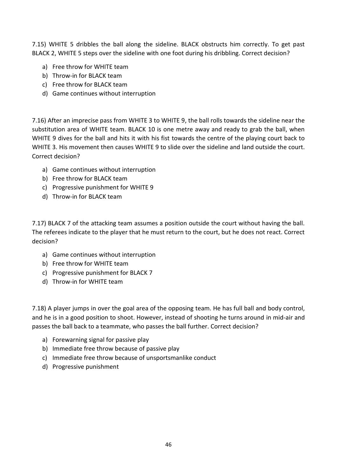7.15) WHITE 5 dribbles the ball along the sideline. BLACK obstructs him correctly. To get past BLACK 2, WHITE 5 steps over the sideline with one foot during his dribbling. Correct decision?

- a) Free throw for WHITE team
- b) Throw-in for BLACK team
- c) Free throw for BLACK team
- d) Game continues without interruption

7.16) After an imprecise pass from WHITE 3 to WHITE 9, the ball rolls towards the sideline near the substitution area of WHITE team. BLACK 10 is one metre away and ready to grab the ball, when WHITE 9 dives for the ball and hits it with his fist towards the centre of the playing court back to WHITE 3. His movement then causes WHITE 9 to slide over the sideline and land outside the court. Correct decision?

- a) Game continues without interruption
- b) Free throw for BLACK team
- c) Progressive punishment for WHITE 9
- d) Throw-in for BLACK team

7.17) BLACK 7 of the attacking team assumes a position outside the court without having the ball. The referees indicate to the player that he must return to the court, but he does not react. Correct decision?

- a) Game continues without interruption
- b) Free throw for WHITE team
- c) Progressive punishment for BLACK 7
- d) Throw-in for WHITE team

7.18) A player jumps in over the goal area of the opposing team. He has full ball and body control, and he is in a good position to shoot. However, instead of shooting he turns around in mid-air and passes the ball back to a teammate, who passes the ball further. Correct decision?

- a) Forewarning signal for passive play
- b) Immediate free throw because of passive play
- c) Immediate free throw because of unsportsmanlike conduct
- d) Progressive punishment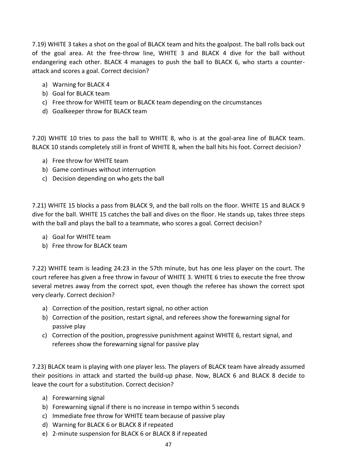7.19) WHITE 3 takes a shot on the goal of BLACK team and hits the goalpost. The ball rolls back out of the goal area. At the free-throw line, WHITE 3 and BLACK 4 dive for the ball without endangering each other. BLACK 4 manages to push the ball to BLACK 6, who starts a counterattack and scores a goal. Correct decision?

- a) Warning for BLACK 4
- b) Goal for BLACK team
- c) Free throw for WHITE team or BLACK team depending on the circumstances
- d) Goalkeeper throw for BLACK team

7.20) WHITE 10 tries to pass the ball to WHITE 8, who is at the goal-area line of BLACK team. BLACK 10 stands completely still in front of WHITE 8, when the ball hits his foot. Correct decision?

- a) Free throw for WHITE team
- b) Game continues without interruption
- c) Decision depending on who gets the ball

7.21) WHITE 15 blocks a pass from BLACK 9, and the ball rolls on the floor. WHITE 15 and BLACK 9 dive for the ball. WHITE 15 catches the ball and dives on the floor. He stands up, takes three steps with the ball and plays the ball to a teammate, who scores a goal. Correct decision?

- a) Goal for WHITE team
- b) Free throw for BLACK team

7.22) WHITE team is leading 24:23 in the 57th minute, but has one less player on the court. The court referee has given a free throw in favour of WHITE 3. WHITE 6 tries to execute the free throw several metres away from the correct spot, even though the referee has shown the correct spot very clearly. Correct decision?

- a) Correction of the position, restart signal, no other action
- b) Correction of the position, restart signal, and referees show the forewarning signal for passive play
- c) Correction of the position, progressive punishment against WHITE 6, restart signal, and referees show the forewarning signal for passive play

7.23) BLACK team is playing with one player less. The players of BLACK team have already assumed their positions in attack and started the build-up phase. Now, BLACK 6 and BLACK 8 decide to leave the court for a substitution. Correct decision?

- a) Forewarning signal
- b) Forewarning signal if there is no increase in tempo within 5 seconds
- c) Immediate free throw for WHITE team because of passive play
- d) Warning for BLACK 6 or BLACK 8 if repeated
- e) 2-minute suspension for BLACK 6 or BLACK 8 if repeated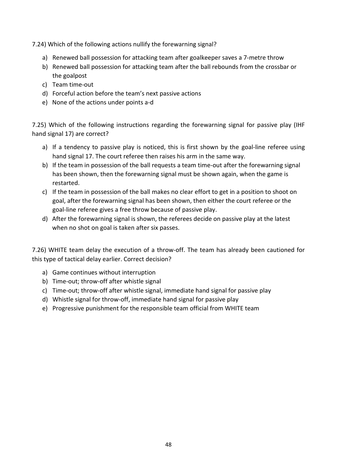7.24) Which of the following actions nullify the forewarning signal?

- a) Renewed ball possession for attacking team after goalkeeper saves a 7-metre throw
- b) Renewed ball possession for attacking team after the ball rebounds from the crossbar or the goalpost
- c) Team time-out
- d) Forceful action before the team's next passive actions
- e) None of the actions under points a-d

7.25) Which of the following instructions regarding the forewarning signal for passive play (IHF hand signal 17) are correct?

- a) If a tendency to passive play is noticed, this is first shown by the goal-line referee using hand signal 17. The court referee then raises his arm in the same way.
- b) If the team in possession of the ball requests a team time-out after the forewarning signal has been shown, then the forewarning signal must be shown again, when the game is restarted.
- c) If the team in possession of the ball makes no clear effort to get in a position to shoot on goal, after the forewarning signal has been shown, then either the court referee or the goal-line referee gives a free throw because of passive play.
- d) After the forewarning signal is shown, the referees decide on passive play at the latest when no shot on goal is taken after six passes.

7.26) WHITE team delay the execution of a throw-off. The team has already been cautioned for this type of tactical delay earlier. Correct decision?

- a) Game continues without interruption
- b) Time-out; throw-off after whistle signal
- c) Time-out; throw-off after whistle signal, immediate hand signal for passive play
- d) Whistle signal for throw-off, immediate hand signal for passive play
- e) Progressive punishment for the responsible team official from WHITE team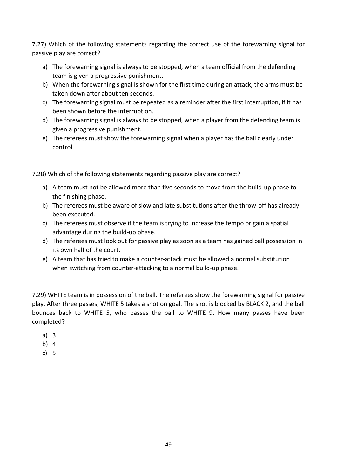7.27) Which of the following statements regarding the correct use of the forewarning signal for passive play are correct?

- a) The forewarning signal is always to be stopped, when a team official from the defending team is given a progressive punishment.
- b) When the forewarning signal is shown for the first time during an attack, the arms must be taken down after about ten seconds.
- c) The forewarning signal must be repeated as a reminder after the first interruption, if it has been shown before the interruption.
- d) The forewarning signal is always to be stopped, when a player from the defending team is given a progressive punishment.
- e) The referees must show the forewarning signal when a player has the ball clearly under control.

7.28) Which of the following statements regarding passive play are correct?

- a) A team must not be allowed more than five seconds to move from the build-up phase to the finishing phase.
- b) The referees must be aware of slow and late substitutions after the throw-off has already been executed.
- c) The referees must observe if the team is trying to increase the tempo or gain a spatial advantage during the build-up phase.
- d) The referees must look out for passive play as soon as a team has gained ball possession in its own half of the court.
- e) A team that has tried to make a counter-attack must be allowed a normal substitution when switching from counter-attacking to a normal build-up phase.

7.29) WHITE team is in possession of the ball. The referees show the forewarning signal for passive play. After three passes, WHITE 5 takes a shot on goal. The shot is blocked by BLACK 2, and the ball bounces back to WHITE 5, who passes the ball to WHITE 9. How many passes have been completed?

- a) 3
- b) 4
- c) 5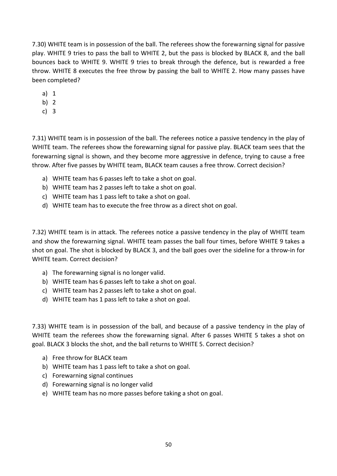7.30) WHITE team is in possession of the ball. The referees show the forewarning signal for passive play. WHITE 9 tries to pass the ball to WHITE 2, but the pass is blocked by BLACK 8, and the ball bounces back to WHITE 9. WHITE 9 tries to break through the defence, but is rewarded a free throw. WHITE 8 executes the free throw by passing the ball to WHITE 2. How many passes have been completed?

- a) 1
- b) 2
- c) 3

7.31) WHITE team is in possession of the ball. The referees notice a passive tendency in the play of WHITE team. The referees show the forewarning signal for passive play. BLACK team sees that the forewarning signal is shown, and they become more aggressive in defence, trying to cause a free throw. After five passes by WHITE team, BLACK team causes a free throw. Correct decision?

- a) WHITE team has 6 passes left to take a shot on goal.
- b) WHITE team has 2 passes left to take a shot on goal.
- c) WHITE team has 1 pass left to take a shot on goal.
- d) WHITE team has to execute the free throw as a direct shot on goal.

7.32) WHITE team is in attack. The referees notice a passive tendency in the play of WHITE team and show the forewarning signal. WHITE team passes the ball four times, before WHITE 9 takes a shot on goal. The shot is blocked by BLACK 3, and the ball goes over the sideline for a throw-in for WHITE team. Correct decision?

- a) The forewarning signal is no longer valid.
- b) WHITE team has 6 passes left to take a shot on goal.
- c) WHITE team has 2 passes left to take a shot on goal.
- d) WHITE team has 1 pass left to take a shot on goal.

7.33) WHITE team is in possession of the ball, and because of a passive tendency in the play of WHITE team the referees show the forewarning signal. After 6 passes WHITE 5 takes a shot on goal. BLACK 3 blocks the shot, and the ball returns to WHITE 5. Correct decision?

- a) Free throw for BLACK team
- b) WHITE team has 1 pass left to take a shot on goal.
- c) Forewarning signal continues
- d) Forewarning signal is no longer valid
- e) WHITE team has no more passes before taking a shot on goal.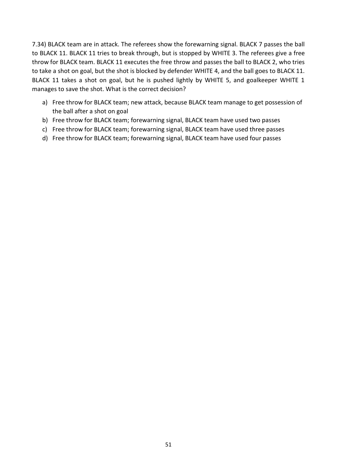7.34) BLACK team are in attack. The referees show the forewarning signal. BLACK 7 passes the ball to BLACK 11. BLACK 11 tries to break through, but is stopped by WHITE 3. The referees give a free throw for BLACK team. BLACK 11 executes the free throw and passes the ball to BLACK 2, who tries to take a shot on goal, but the shot is blocked by defender WHITE 4, and the ball goes to BLACK 11. BLACK 11 takes a shot on goal, but he is pushed lightly by WHITE 5, and goalkeeper WHITE 1 manages to save the shot. What is the correct decision?

- a) Free throw for BLACK team; new attack, because BLACK team manage to get possession of the ball after a shot on goal
- b) Free throw for BLACK team; forewarning signal, BLACK team have used two passes
- c) Free throw for BLACK team; forewarning signal, BLACK team have used three passes
- d) Free throw for BLACK team; forewarning signal, BLACK team have used four passes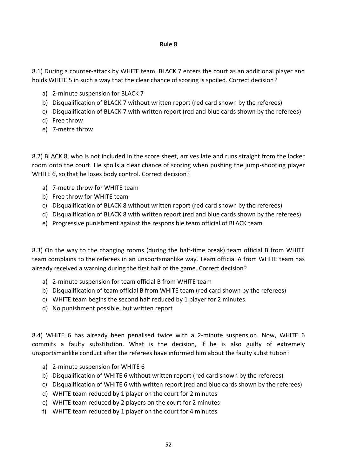## **Rule 8**

8.1) During a counter-attack by WHITE team, BLACK 7 enters the court as an additional player and holds WHITE 5 in such a way that the clear chance of scoring is spoiled. Correct decision?

- a) 2-minute suspension for BLACK 7
- b) Disqualification of BLACK 7 without written report (red card shown by the referees)
- c) Disqualification of BLACK 7 with written report (red and blue cards shown by the referees)
- d) Free throw
- e) 7-metre throw

8.2) BLACK 8, who is not included in the score sheet, arrives late and runs straight from the locker room onto the court. He spoils a clear chance of scoring when pushing the jump-shooting player WHITE 6, so that he loses body control. Correct decision?

- a) 7-metre throw for WHITE team
- b) Free throw for WHITE team
- c) Disqualification of BLACK 8 without written report (red card shown by the referees)
- d) Disqualification of BLACK 8 with written report (red and blue cards shown by the referees)
- e) Progressive punishment against the responsible team official of BLACK team

8.3) On the way to the changing rooms (during the half-time break) team official B from WHITE team complains to the referees in an unsportsmanlike way. Team official A from WHITE team has already received a warning during the first half of the game. Correct decision?

- a) 2-minute suspension for team official B from WHITE team
- b) Disqualification of team official B from WHITE team (red card shown by the referees)
- c) WHITE team begins the second half reduced by 1 player for 2 minutes.
- d) No punishment possible, but written report

8.4) WHITE 6 has already been penalised twice with a 2-minute suspension. Now, WHITE 6 commits a faulty substitution. What is the decision, if he is also guilty of extremely unsportsmanlike conduct after the referees have informed him about the faulty substitution?

- a) 2-minute suspension for WHITE 6
- b) Disqualification of WHITE 6 without written report (red card shown by the referees)
- c) Disqualification of WHITE 6 with written report (red and blue cards shown by the referees)
- d) WHITE team reduced by 1 player on the court for 2 minutes
- e) WHITE team reduced by 2 players on the court for 2 minutes
- f) WHITE team reduced by 1 player on the court for 4 minutes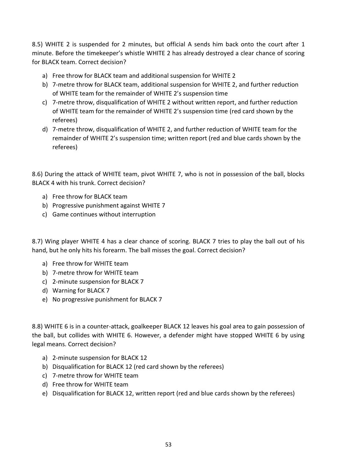8.5) WHITE 2 is suspended for 2 minutes, but official A sends him back onto the court after 1 minute. Before the timekeeper's whistle WHITE 2 has already destroyed a clear chance of scoring for BLACK team. Correct decision?

- a) Free throw for BLACK team and additional suspension for WHITE 2
- b) 7-metre throw for BLACK team, additional suspension for WHITE 2, and further reduction of WHITE team for the remainder of WHITE 2's suspension time
- c) 7-metre throw, disqualification of WHITE 2 without written report, and further reduction of WHITE team for the remainder of WHITE 2's suspension time (red card shown by the referees)
- d) 7-metre throw, disqualification of WHITE 2, and further reduction of WHITE team for the remainder of WHITE 2's suspension time; written report (red and blue cards shown by the referees)

8.6) During the attack of WHITE team, pivot WHITE 7, who is not in possession of the ball, blocks BLACK 4 with his trunk. Correct decision?

- a) Free throw for BLACK team
- b) Progressive punishment against WHITE 7
- c) Game continues without interruption

8.7) Wing player WHITE 4 has a clear chance of scoring. BLACK 7 tries to play the ball out of his hand, but he only hits his forearm. The ball misses the goal. Correct decision?

- a) Free throw for WHITE team
- b) 7-metre throw for WHITE team
- c) 2-minute suspension for BLACK 7
- d) Warning for BLACK 7
- e) No progressive punishment for BLACK 7

8.8) WHITE 6 is in a counter-attack, goalkeeper BLACK 12 leaves his goal area to gain possession of the ball, but collides with WHITE 6. However, a defender might have stopped WHITE 6 by using legal means. Correct decision?

- a) 2-minute suspension for BLACK 12
- b) Disqualification for BLACK 12 (red card shown by the referees)
- c) 7-metre throw for WHITE team
- d) Free throw for WHITE team
- e) Disqualification for BLACK 12, written report (red and blue cards shown by the referees)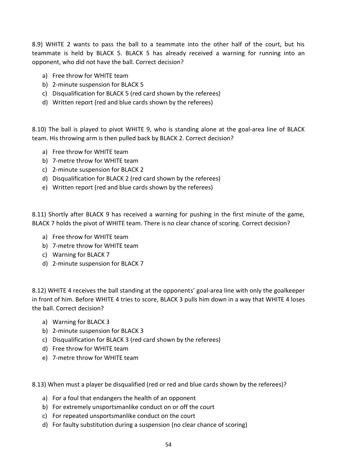8.9) WHITE 2 wants to pass the ball to a teammate into the other half of the court, but his teammate is held by BLACK 5. BLACK 5 has already received a warning for running into an opponent, who did not have the ball. Correct decision?

- a) Free throw for WHITE team
- b) 2-minute suspension for BLACK 5
- c) Disqualification for BLACK 5 (red card shown by the referees)
- d) Written report (red and blue cards shown by the referees)

8.10) The ball is played to pivot WHITE 9, who is standing alone at the goal-area line of BLACK team. His throwing arm is then pulled back by BLACK 2. Correct decision?

- a) Free throw for WHITE team
- b) 7-metre throw for WHITE team
- c) 2-minute suspension for BLACK 2
- d) Disqualification for BLACK 2 (red card shown by the referees)
- e) Written report (red and blue cards shown by the referees)

8.11) Shortly after BLACK 9 has received a warning for pushing in the first minute of the game, BLACK 7 holds the pivot of WHITE team. There is no clear chance of scoring. Correct decision?

- a) Free throw for WHITE team
- b) 7-metre throw for WHITE team
- c) Warning for BLACK 7
- d) 2-minute suspension for BLACK 7

8.12) WHITE 4 receives the ball standing at the opponents' goal-area line with only the goalkeeper in front of him. Before WHITE 4 tries to score, BLACK 3 pulls him down in a way that WHITE 4 loses the ball. Correct decision?

- a) Warning for BLACK 3
- b) 2-minute suspension for BLACK 3
- c) Disqualification for BLACK 3 (red card shown by the referees)
- d) Free throw for WHITE team
- e) 7-metre throw for WHITE team

8.13) When must a player be disqualified (red or red and blue cards shown by the referees)?

- a) For a foul that endangers the health of an opponent
- b) For extremely unsportsmanlike conduct on or off the court
- c) For repeated unsportsmanlike conduct on the court
- d) For faulty substitution during a suspension (no clear chance of scoring)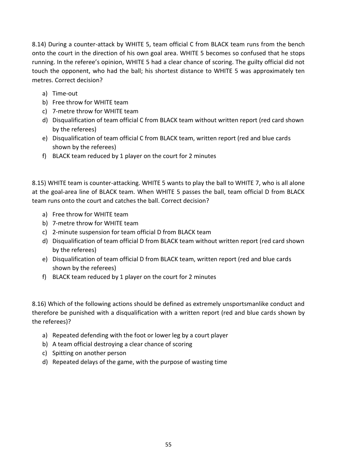8.14) During a counter-attack by WHITE 5, team official C from BLACK team runs from the bench onto the court in the direction of his own goal area. WHITE 5 becomes so confused that he stops running. In the referee's opinion, WHITE 5 had a clear chance of scoring. The guilty official did not touch the opponent, who had the ball; his shortest distance to WHITE 5 was approximately ten metres. Correct decision?

- a) Time-out
- b) Free throw for WHITE team
- c) 7-metre throw for WHITE team
- d) Disqualification of team official C from BLACK team without written report (red card shown by the referees)
- e) Disqualification of team official C from BLACK team, written report (red and blue cards shown by the referees)
- f) BLACK team reduced by 1 player on the court for 2 minutes

8.15) WHITE team is counter-attacking. WHITE 5 wants to play the ball to WHITE 7, who is all alone at the goal-area line of BLACK team. When WHITE 5 passes the ball, team official D from BLACK team runs onto the court and catches the ball. Correct decision?

- a) Free throw for WHITE team
- b) 7-metre throw for WHITE team
- c) 2-minute suspension for team official D from BLACK team
- d) Disqualification of team official D from BLACK team without written report (red card shown by the referees)
- e) Disqualification of team official D from BLACK team, written report (red and blue cards shown by the referees)
- f) BLACK team reduced by 1 player on the court for 2 minutes

8.16) Which of the following actions should be defined as extremely unsportsmanlike conduct and therefore be punished with a disqualification with a written report (red and blue cards shown by the referees)?

- a) Repeated defending with the foot or lower leg by a court player
- b) A team official destroying a clear chance of scoring
- c) Spitting on another person
- d) Repeated delays of the game, with the purpose of wasting time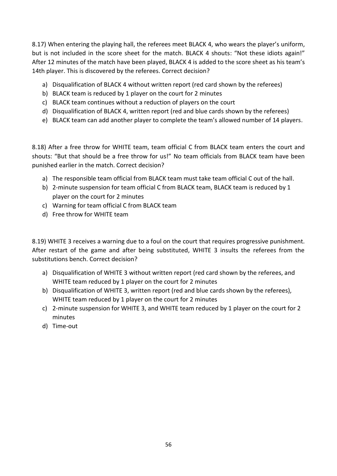8.17) When entering the playing hall, the referees meet BLACK 4, who wears the player's uniform, but is not included in the score sheet for the match. BLACK 4 shouts: "Not these idiots again!" After 12 minutes of the match have been played, BLACK 4 is added to the score sheet as his team's 14th player. This is discovered by the referees. Correct decision?

- a) Disqualification of BLACK 4 without written report (red card shown by the referees)
- b) BLACK team is reduced by 1 player on the court for 2 minutes
- c) BLACK team continues without a reduction of players on the court
- d) Disqualification of BLACK 4, written report (red and blue cards shown by the referees)
- e) BLACK team can add another player to complete the team's allowed number of 14 players.

8.18) After a free throw for WHITE team, team official C from BLACK team enters the court and shouts: "But that should be a free throw for us!" No team officials from BLACK team have been punished earlier in the match. Correct decision?

- a) The responsible team official from BLACK team must take team official C out of the hall.
- b) 2-minute suspension for team official C from BLACK team, BLACK team is reduced by 1 player on the court for 2 minutes
- c) Warning for team official C from BLACK team
- d) Free throw for WHITE team

8.19) WHITE 3 receives a warning due to a foul on the court that requires progressive punishment. After restart of the game and after being substituted, WHITE 3 insults the referees from the substitutions bench. Correct decision?

- a) Disqualification of WHITE 3 without written report (red card shown by the referees, and WHITE team reduced by 1 player on the court for 2 minutes
- b) Disqualification of WHITE 3, written report (red and blue cards shown by the referees), WHITE team reduced by 1 player on the court for 2 minutes
- c) 2-minute suspension for WHITE 3, and WHITE team reduced by 1 player on the court for 2 minutes
- d) Time-out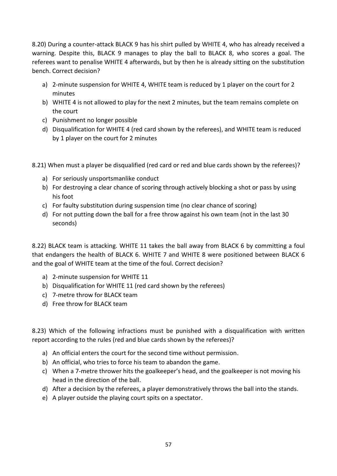8.20) During a counter-attack BLACK 9 has his shirt pulled by WHITE 4, who has already received a warning. Despite this, BLACK 9 manages to play the ball to BLACK 8, who scores a goal. The referees want to penalise WHITE 4 afterwards, but by then he is already sitting on the substitution bench. Correct decision?

- a) 2-minute suspension for WHITE 4, WHITE team is reduced by 1 player on the court for 2 minutes
- b) WHITE 4 is not allowed to play for the next 2 minutes, but the team remains complete on the court
- c) Punishment no longer possible
- d) Disqualification for WHITE 4 (red card shown by the referees), and WHITE team is reduced by 1 player on the court for 2 minutes

8.21) When must a player be disqualified (red card or red and blue cards shown by the referees)?

- a) For seriously unsportsmanlike conduct
- b) For destroying a clear chance of scoring through actively blocking a shot or pass by using his foot
- c) For faulty substitution during suspension time (no clear chance of scoring)
- d) For not putting down the ball for a free throw against his own team (not in the last 30 seconds)

8.22) BLACK team is attacking. WHITE 11 takes the ball away from BLACK 6 by committing a foul that endangers the health of BLACK 6. WHITE 7 and WHITE 8 were positioned between BLACK 6 and the goal of WHITE team at the time of the foul. Correct decision?

- a) 2-minute suspension for WHITE 11
- b) Disqualification for WHITE 11 (red card shown by the referees)
- c) 7-metre throw for BLACK team
- d) Free throw for BLACK team

8.23) Which of the following infractions must be punished with a disqualification with written report according to the rules (red and blue cards shown by the referees)?

- a) An official enters the court for the second time without permission.
- b) An official, who tries to force his team to abandon the game.
- c) When a 7-metre thrower hits the goalkeeper's head, and the goalkeeper is not moving his head in the direction of the ball.
- d) After a decision by the referees, a player demonstratively throws the ball into the stands.
- e) A player outside the playing court spits on a spectator.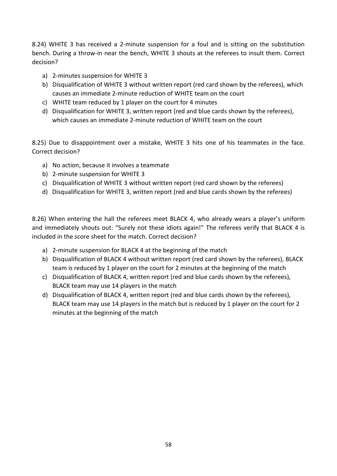8.24) WHITE 3 has received a 2-minute suspension for a foul and is sitting on the substitution bench. During a throw-in near the bench, WHITE 3 shouts at the referees to insult them. Correct decision?

- a) 2-minutes suspension for WHITE 3
- b) Disqualification of WHITE 3 without written report (red card shown by the referees), which causes an immediate 2-minute reduction of WHITE team on the court
- c) WHITE team reduced by 1 player on the court for 4 minutes
- d) Disqualification for WHITE 3, written report (red and blue cards shown by the referees), which causes an immediate 2-minute reduction of WHITE team on the court

8.25) Due to disappointment over a mistake, WHITE 3 hits one of his teammates in the face. Correct decision?

- a) No action, because it involves a teammate
- b) 2-minute suspension for WHITE 3
- c) Disqualification of WHITE 3 without written report (red card shown by the referees)
- d) Disqualification for WHITE 3, written report (red and blue cards shown by the referees)

8.26) When entering the hall the referees meet BLACK 4, who already wears a player's uniform and immediately shouts out: "Surely not these idiots again!" The referees verify that BLACK 4 is included in the score sheet for the match. Correct decision?

- a) 2-minute suspension for BLACK 4 at the beginning of the match
- b) Disqualification of BLACK 4 without written report (red card shown by the referees), BLACK team is reduced by 1 player on the court for 2 minutes at the beginning of the match
- c) Disqualification of BLACK 4, written report (red and blue cards shown by the referees), BLACK team may use 14 players in the match
- d) Disqualification of BLACK 4, written report (red and blue cards shown by the referees), BLACK team may use 14 players in the match but is reduced by 1 player on the court for 2 minutes at the beginning of the match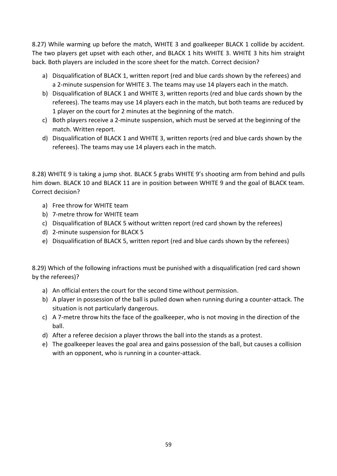8.27) While warming up before the match, WHITE 3 and goalkeeper BLACK 1 collide by accident. The two players get upset with each other, and BLACK 1 hits WHITE 3. WHITE 3 hits him straight back. Both players are included in the score sheet for the match. Correct decision?

- a) Disqualification of BLACK 1, written report (red and blue cards shown by the referees) and a 2-minute suspension for WHITE 3. The teams may use 14 players each in the match.
- b) Disqualification of BLACK 1 and WHITE 3, written reports (red and blue cards shown by the referees). The teams may use 14 players each in the match, but both teams are reduced by 1 player on the court for 2 minutes at the beginning of the match.
- c) Both players receive a 2-minute suspension, which must be served at the beginning of the match. Written report.
- d) Disqualification of BLACK 1 and WHITE 3, written reports (red and blue cards shown by the referees). The teams may use 14 players each in the match.

8.28) WHITE 9 is taking a jump shot. BLACK 5 grabs WHITE 9's shooting arm from behind and pulls him down. BLACK 10 and BLACK 11 are in position between WHITE 9 and the goal of BLACK team. Correct decision?

- a) Free throw for WHITE team
- b) 7-metre throw for WHITE team
- c) Disqualification of BLACK 5 without written report (red card shown by the referees)
- d) 2-minute suspension for BLACK 5
- e) Disqualification of BLACK 5, written report (red and blue cards shown by the referees)

8.29) Which of the following infractions must be punished with a disqualification (red card shown by the referees)?

- a) An official enters the court for the second time without permission.
- b) A player in possession of the ball is pulled down when running during a counter-attack. The situation is not particularly dangerous.
- c) A 7-metre throw hits the face of the goalkeeper, who is not moving in the direction of the ball.
- d) After a referee decision a player throws the ball into the stands as a protest.
- e) The goalkeeper leaves the goal area and gains possession of the ball, but causes a collision with an opponent, who is running in a counter-attack.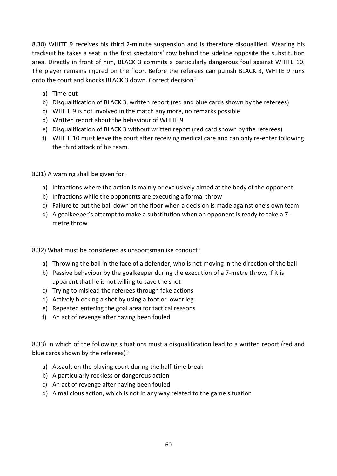8.30) WHITE 9 receives his third 2-minute suspension and is therefore disqualified. Wearing his tracksuit he takes a seat in the first spectators' row behind the sideline opposite the substitution area. Directly in front of him, BLACK 3 commits a particularly dangerous foul against WHITE 10. The player remains injured on the floor. Before the referees can punish BLACK 3, WHITE 9 runs onto the court and knocks BLACK 3 down. Correct decision?

- a) Time-out
- b) Disqualification of BLACK 3, written report (red and blue cards shown by the referees)
- c) WHITE 9 is not involved in the match any more, no remarks possible
- d) Written report about the behaviour of WHITE 9
- e) Disqualification of BLACK 3 without written report (red card shown by the referees)
- f) WHITE 10 must leave the court after receiving medical care and can only re-enter following the third attack of his team.

8.31) A warning shall be given for:

- a) Infractions where the action is mainly or exclusively aimed at the body of the opponent
- b) Infractions while the opponents are executing a formal throw
- c) Failure to put the ball down on the floor when a decision is made against one's own team
- d) A goalkeeper's attempt to make a substitution when an opponent is ready to take a 7 metre throw

8.32) What must be considered as unsportsmanlike conduct?

- a) Throwing the ball in the face of a defender, who is not moving in the direction of the ball
- b) Passive behaviour by the goalkeeper during the execution of a 7-metre throw, if it is apparent that he is not willing to save the shot
- c) Trying to mislead the referees through fake actions
- d) Actively blocking a shot by using a foot or lower leg
- e) Repeated entering the goal area for tactical reasons
- f) An act of revenge after having been fouled

8.33) In which of the following situations must a disqualification lead to a written report (red and blue cards shown by the referees)?

- a) Assault on the playing court during the half-time break
- b) A particularly reckless or dangerous action
- c) An act of revenge after having been fouled
- d) A malicious action, which is not in any way related to the game situation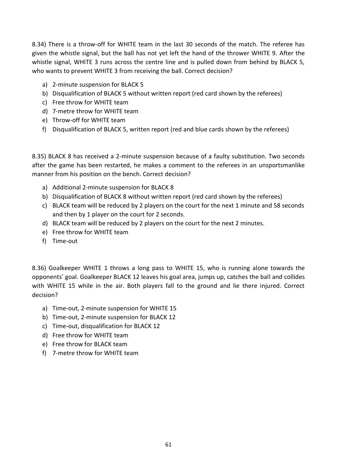8.34) There is a throw-off for WHITE team in the last 30 seconds of the match. The referee has given the whistle signal, but the ball has not yet left the hand of the thrower WHITE 9. After the whistle signal, WHITE 3 runs across the centre line and is pulled down from behind by BLACK 5, who wants to prevent WHITE 3 from receiving the ball. Correct decision?

- a) 2-minute suspension for BLACK 5
- b) Disqualification of BLACK 5 without written report (red card shown by the referees)
- c) Free throw for WHITE team
- d) 7-metre throw for WHITE team
- e) Throw-off for WHITE team
- f) Disqualification of BLACK 5, written report (red and blue cards shown by the referees)

8.35) BLACK 8 has received a 2-minute suspension because of a faulty substitution. Two seconds after the game has been restarted, he makes a comment to the referees in an unsportsmanlike manner from his position on the bench. Correct decision?

- a) Additional 2-minute suspension for BLACK 8
- b) Disqualification of BLACK 8 without written report (red card shown by the referees)
- c) BLACK team will be reduced by 2 players on the court for the next 1 minute and 58 seconds and then by 1 player on the court for 2 seconds.
- d) BLACK team will be reduced by 2 players on the court for the next 2 minutes.
- e) Free throw for WHITE team
- f) Time-out

8.36) Goalkeeper WHITE 1 throws a long pass to WHITE 15, who is running alone towards the opponents' goal. Goalkeeper BLACK 12 leaves his goal area, jumps up, catches the ball and collides with WHITE 15 while in the air. Both players fall to the ground and lie there injured. Correct decision?

- a) Time-out, 2-minute suspension for WHITE 15
- b) Time-out, 2-minute suspension for BLACK 12
- c) Time-out, disqualification for BLACK 12
- d) Free throw for WHITE team
- e) Free throw for BLACK team
- f) 7-metre throw for WHITE team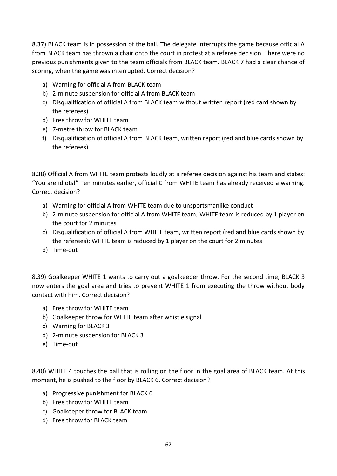8.37) BLACK team is in possession of the ball. The delegate interrupts the game because official A from BLACK team has thrown a chair onto the court in protest at a referee decision. There were no previous punishments given to the team officials from BLACK team. BLACK 7 had a clear chance of scoring, when the game was interrupted. Correct decision?

- a) Warning for official A from BLACK team
- b) 2-minute suspension for official A from BLACK team
- c) Disqualification of official A from BLACK team without written report (red card shown by the referees)
- d) Free throw for WHITE team
- e) 7-metre throw for BLACK team
- f) Disqualification of official A from BLACK team, written report (red and blue cards shown by the referees)

8.38) Official A from WHITE team protests loudly at a referee decision against his team and states: "You are idiots!" Ten minutes earlier, official C from WHITE team has already received a warning. Correct decision?

- a) Warning for official A from WHITE team due to unsportsmanlike conduct
- b) 2-minute suspension for official A from WHITE team; WHITE team is reduced by 1 player on the court for 2 minutes
- c) Disqualification of official A from WHITE team, written report (red and blue cards shown by the referees); WHITE team is reduced by 1 player on the court for 2 minutes
- d) Time-out

8.39) Goalkeeper WHITE 1 wants to carry out a goalkeeper throw. For the second time, BLACK 3 now enters the goal area and tries to prevent WHITE 1 from executing the throw without body contact with him. Correct decision?

- a) Free throw for WHITE team
- b) Goalkeeper throw for WHITE team after whistle signal
- c) Warning for BLACK 3
- d) 2-minute suspension for BLACK 3
- e) Time-out

8.40) WHITE 4 touches the ball that is rolling on the floor in the goal area of BLACK team. At this moment, he is pushed to the floor by BLACK 6. Correct decision?

- a) Progressive punishment for BLACK 6
- b) Free throw for WHITE team
- c) Goalkeeper throw for BLACK team
- d) Free throw for BLACK team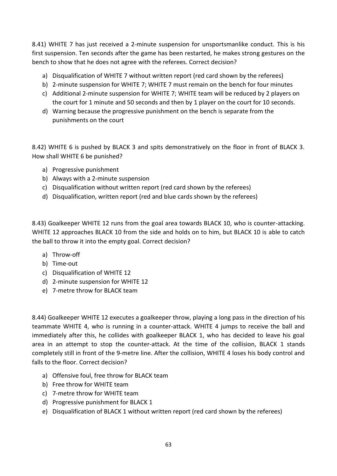8.41) WHITE 7 has just received a 2-minute suspension for unsportsmanlike conduct. This is his first suspension. Ten seconds after the game has been restarted, he makes strong gestures on the bench to show that he does not agree with the referees. Correct decision?

- a) Disqualification of WHITE 7 without written report (red card shown by the referees)
- b) 2-minute suspension for WHITE 7; WHITE 7 must remain on the bench for four minutes
- c) Additional 2-minute suspension for WHITE 7; WHITE team will be reduced by 2 players on the court for 1 minute and 50 seconds and then by 1 player on the court for 10 seconds.
- d) Warning because the progressive punishment on the bench is separate from the punishments on the court

8.42) WHITE 6 is pushed by BLACK 3 and spits demonstratively on the floor in front of BLACK 3. How shall WHITE 6 be punished?

- a) Progressive punishment
- b) Always with a 2-minute suspension
- c) Disqualification without written report (red card shown by the referees)
- d) Disqualification, written report (red and blue cards shown by the referees)

8.43) Goalkeeper WHITE 12 runs from the goal area towards BLACK 10, who is counter-attacking. WHITE 12 approaches BLACK 10 from the side and holds on to him, but BLACK 10 is able to catch the ball to throw it into the empty goal. Correct decision?

- a) Throw-off
- b) Time-out
- c) Disqualification of WHITE 12
- d) 2-minute suspension for WHITE 12
- e) 7-metre throw for BLACK team

8.44) Goalkeeper WHITE 12 executes a goalkeeper throw, playing a long pass in the direction of his teammate WHITE 4, who is running in a counter-attack. WHITE 4 jumps to receive the ball and immediately after this, he collides with goalkeeper BLACK 1, who has decided to leave his goal area in an attempt to stop the counter-attack. At the time of the collision, BLACK 1 stands completely still in front of the 9-metre line. After the collision, WHITE 4 loses his body control and falls to the floor. Correct decision?

- a) Offensive foul, free throw for BLACK team
- b) Free throw for WHITE team
- c) 7-metre throw for WHITE team
- d) Progressive punishment for BLACK 1
- e) Disqualification of BLACK 1 without written report (red card shown by the referees)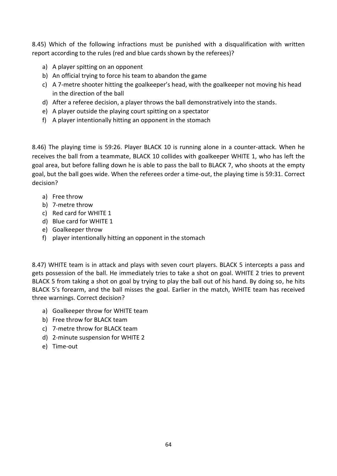8.45) Which of the following infractions must be punished with a disqualification with written report according to the rules (red and blue cards shown by the referees)?

- a) A player spitting on an opponent
- b) An official trying to force his team to abandon the game
- c) A 7-metre shooter hitting the goalkeeper's head, with the goalkeeper not moving his head in the direction of the ball
- d) After a referee decision, a player throws the ball demonstratively into the stands.
- e) A player outside the playing court spitting on a spectator
- f) A player intentionally hitting an opponent in the stomach

8.46) The playing time is 59:26. Player BLACK 10 is running alone in a counter-attack. When he receives the ball from a teammate, BLACK 10 collides with goalkeeper WHITE 1, who has left the goal area, but before falling down he is able to pass the ball to BLACK 7, who shoots at the empty goal, but the ball goes wide. When the referees order a time-out, the playing time is 59:31. Correct decision?

- a) Free throw
- b) 7-metre throw
- c) Red card for WHITE 1
- d) Blue card for WHITE 1
- e) Goalkeeper throw
- f) player intentionally hitting an opponent in the stomach

8.47) WHITE team is in attack and plays with seven court players. BLACK 5 intercepts a pass and gets possession of the ball. He immediately tries to take a shot on goal. WHITE 2 tries to prevent BLACK 5 from taking a shot on goal by trying to play the ball out of his hand. By doing so, he hits BLACK 5's forearm, and the ball misses the goal. Earlier in the match, WHITE team has received three warnings. Correct decision?

- a) Goalkeeper throw for WHITE team
- b) Free throw for BLACK team
- c) 7-metre throw for BLACK team
- d) 2-minute suspension for WHITE 2
- e) Time-out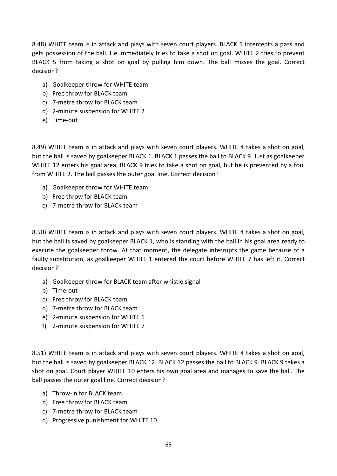8.48) WHITE team is in attack and plays with seven court players. BLACK 5 intercepts a pass and gets possession of the ball. He immediately tries to take a shot on goal. WHITE 2 tries to prevent BLACK 5 from taking a shot on goal by pulling him down. The ball misses the goal. Correct decision?

- a) Goalkeeper throw for WHITE team
- b) Free throw for BLACK team
- c) 7-metre throw for BLACK team
- d) 2-minute suspension for WHITE 2
- e) Time-out

8.49) WHITE team is in attack and plays with seven court players. WHITE 4 takes a shot on goal, but the ball is saved by goalkeeper BLACK 1. BLACK 1 passes the ball to BLACK 9. Just as goalkeeper WHITE 12 enters his goal area, BLACK 9 tries to take a shot on goal, but he is prevented by a foul from WHITE 2. The ball passes the outer goal line. Correct decision?

- a) Goalkeeper throw for WHITE team
- b) Free throw for BLACK team
- c) 7-metre throw for BLACK team

8.50) WHITE team is in attack and plays with seven court players. WHITE 4 takes a shot on goal, but the ball is saved by goalkeeper BLACK 1, who is standing with the ball in his goal area ready to execute the goalkeeper throw. At that moment, the delegate interrupts the game because of a faulty substitution, as goalkeeper WHITE 1 entered the court before WHITE 7 has left it. Correct decision?

- a) Goalkeeper throw for BLACK team after whistle signal
- b) Time-out
- c) Free throw for BLACK team
- d) 7-metre throw for BLACK team
- e) 2-minute suspension for WHITE 1
- f) 2-minute suspension for WHITE 7

8.51) WHITE team is in attack and plays with seven court players. WHITE 4 takes a shot on goal, but the ball is saved by goalkeeper BLACK 12. BLACK 12 passes the ball to BLACK 9. BLACK 9 takes a shot on goal. Court player WHITE 10 enters his own goal area and manages to save the ball. The ball passes the outer goal line. Correct decision?

- a) Throw-in for BLACK team
- b) Free throw for BLACK team
- c) 7-metre throw for BLACK team
- d) Progressive punishment for WHITE 10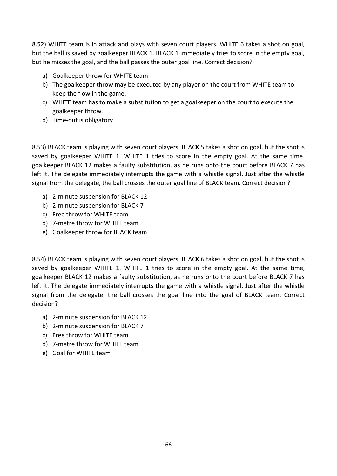8.52) WHITE team is in attack and plays with seven court players. WHITE 6 takes a shot on goal, but the ball is saved by goalkeeper BLACK 1. BLACK 1 immediately tries to score in the empty goal, but he misses the goal, and the ball passes the outer goal line. Correct decision?

- a) Goalkeeper throw for WHITE team
- b) The goalkeeper throw may be executed by any player on the court from WHITE team to keep the flow in the game.
- c) WHITE team has to make a substitution to get a goalkeeper on the court to execute the goalkeeper throw.
- d) Time-out is obligatory

8.53) BLACK team is playing with seven court players. BLACK 5 takes a shot on goal, but the shot is saved by goalkeeper WHITE 1. WHITE 1 tries to score in the empty goal. At the same time, goalkeeper BLACK 12 makes a faulty substitution, as he runs onto the court before BLACK 7 has left it. The delegate immediately interrupts the game with a whistle signal. Just after the whistle signal from the delegate, the ball crosses the outer goal line of BLACK team. Correct decision?

- a) 2-minute suspension for BLACK 12
- b) 2-minute suspension for BLACK 7
- c) Free throw for WHITE team
- d) 7-metre throw for WHITE team
- e) Goalkeeper throw for BLACK team

8.54) BLACK team is playing with seven court players. BLACK 6 takes a shot on goal, but the shot is saved by goalkeeper WHITE 1. WHITE 1 tries to score in the empty goal. At the same time, goalkeeper BLACK 12 makes a faulty substitution, as he runs onto the court before BLACK 7 has left it. The delegate immediately interrupts the game with a whistle signal. Just after the whistle signal from the delegate, the ball crosses the goal line into the goal of BLACK team. Correct decision?

- a) 2-minute suspension for BLACK 12
- b) 2-minute suspension for BLACK 7
- c) Free throw for WHITE team
- d) 7-metre throw for WHITE team
- e) Goal for WHITE team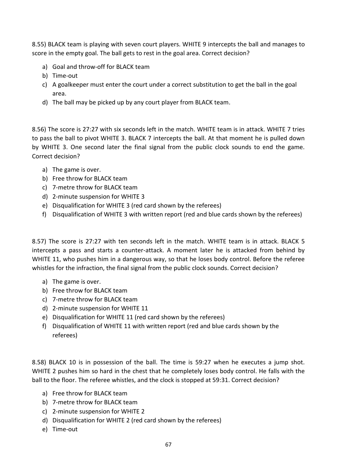8.55) BLACK team is playing with seven court players. WHITE 9 intercepts the ball and manages to score in the empty goal. The ball gets to rest in the goal area. Correct decision?

- a) Goal and throw-off for BLACK team
- b) Time-out
- c) A goalkeeper must enter the court under a correct substitution to get the ball in the goal area.
- d) The ball may be picked up by any court player from BLACK team.

8.56) The score is 27:27 with six seconds left in the match. WHITE team is in attack. WHITE 7 tries to pass the ball to pivot WHITE 3. BLACK 7 intercepts the ball. At that moment he is pulled down by WHITE 3. One second later the final signal from the public clock sounds to end the game. Correct decision?

- a) The game is over.
- b) Free throw for BLACK team
- c) 7-metre throw for BLACK team
- d) 2-minute suspension for WHITE 3
- e) Disqualification for WHITE 3 (red card shown by the referees)
- f) Disqualification of WHITE 3 with written report (red and blue cards shown by the referees)

8.57) The score is 27:27 with ten seconds left in the match. WHITE team is in attack. BLACK 5 intercepts a pass and starts a counter-attack. A moment later he is attacked from behind by WHITE 11, who pushes him in a dangerous way, so that he loses body control. Before the referee whistles for the infraction, the final signal from the public clock sounds. Correct decision?

- a) The game is over.
- b) Free throw for BLACK team
- c) 7-metre throw for BLACK team
- d) 2-minute suspension for WHITE 11
- e) Disqualification for WHITE 11 (red card shown by the referees)
- f) Disqualification of WHITE 11 with written report (red and blue cards shown by the referees)

8.58) BLACK 10 is in possession of the ball. The time is 59:27 when he executes a jump shot. WHITE 2 pushes him so hard in the chest that he completely loses body control. He falls with the ball to the floor. The referee whistles, and the clock is stopped at 59:31. Correct decision?

- a) Free throw for BLACK team
- b) 7-metre throw for BLACK team
- c) 2-minute suspension for WHITE 2
- d) Disqualification for WHITE 2 (red card shown by the referees)
- e) Time-out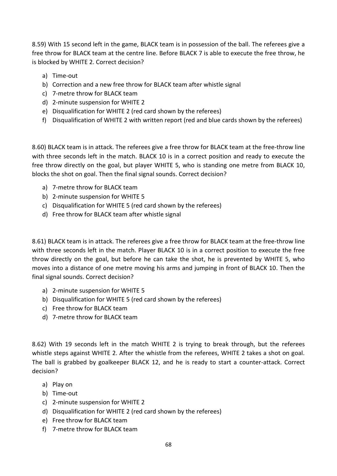8.59) With 15 second left in the game, BLACK team is in possession of the ball. The referees give a free throw for BLACK team at the centre line. Before BLACK 7 is able to execute the free throw, he is blocked by WHITE 2. Correct decision?

- a) Time-out
- b) Correction and a new free throw for BLACK team after whistle signal
- c) 7-metre throw for BLACK team
- d) 2-minute suspension for WHITE 2
- e) Disqualification for WHITE 2 (red card shown by the referees)
- f) Disqualification of WHITE 2 with written report (red and blue cards shown by the referees)

8.60) BLACK team is in attack. The referees give a free throw for BLACK team at the free-throw line with three seconds left in the match. BLACK 10 is in a correct position and ready to execute the free throw directly on the goal, but player WHITE 5, who is standing one metre from BLACK 10, blocks the shot on goal. Then the final signal sounds. Correct decision?

- a) 7-metre throw for BLACK team
- b) 2-minute suspension for WHITE 5
- c) Disqualification for WHITE 5 (red card shown by the referees)
- d) Free throw for BLACK team after whistle signal

8.61) BLACK team is in attack. The referees give a free throw for BLACK team at the free-throw line with three seconds left in the match. Player BLACK 10 is in a correct position to execute the free throw directly on the goal, but before he can take the shot, he is prevented by WHITE 5, who moves into a distance of one metre moving his arms and jumping in front of BLACK 10. Then the final signal sounds. Correct decision?

- a) 2-minute suspension for WHITE 5
- b) Disqualification for WHITE 5 (red card shown by the referees)
- c) Free throw for BLACK team
- d) 7-metre throw for BLACK team

8.62) With 19 seconds left in the match WHITE 2 is trying to break through, but the referees whistle steps against WHITE 2. After the whistle from the referees, WHITE 2 takes a shot on goal. The ball is grabbed by goalkeeper BLACK 12, and he is ready to start a counter-attack. Correct decision?

- a) Play on
- b) Time-out
- c) 2-minute suspension for WHITE 2
- d) Disqualification for WHITE 2 (red card shown by the referees)
- e) Free throw for BLACK team
- f) 7-metre throw for BLACK team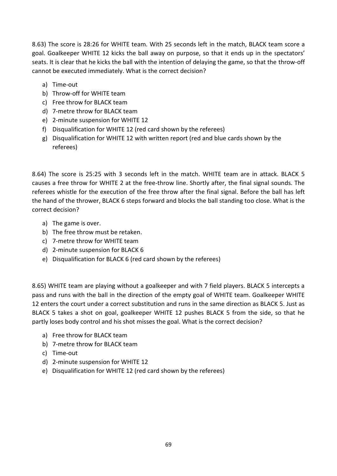8.63) The score is 28:26 for WHITE team. With 25 seconds left in the match, BLACK team score a goal. Goalkeeper WHITE 12 kicks the ball away on purpose, so that it ends up in the spectators' seats. It is clear that he kicks the ball with the intention of delaying the game, so that the throw-off cannot be executed immediately. What is the correct decision?

- a) Time-out
- b) Throw-off for WHITE team
- c) Free throw for BLACK team
- d) 7-metre throw for BLACK team
- e) 2-minute suspension for WHITE 12
- f) Disqualification for WHITE 12 (red card shown by the referees)
- g) Disqualification for WHITE 12 with written report (red and blue cards shown by the referees)

8.64) The score is 25:25 with 3 seconds left in the match. WHITE team are in attack. BLACK 5 causes a free throw for WHITE 2 at the free-throw line. Shortly after, the final signal sounds. The referees whistle for the execution of the free throw after the final signal. Before the ball has left the hand of the thrower, BLACK 6 steps forward and blocks the ball standing too close. What is the correct decision?

- a) The game is over.
- b) The free throw must be retaken.
- c) 7-metre throw for WHITE team
- d) 2-minute suspension for BLACK 6
- e) Disqualification for BLACK 6 (red card shown by the referees)

8.65) WHITE team are playing without a goalkeeper and with 7 field players. BLACK 5 intercepts a pass and runs with the ball in the direction of the empty goal of WHITE team. Goalkeeper WHITE 12 enters the court under a correct substitution and runs in the same direction as BLACK 5. Just as BLACK 5 takes a shot on goal, goalkeeper WHITE 12 pushes BLACK 5 from the side, so that he partly loses body control and his shot misses the goal. What is the correct decision?

- a) Free throw for BLACK team
- b) 7-metre throw for BLACK team
- c) Time-out
- d) 2-minute suspension for WHITE 12
- e) Disqualification for WHITE 12 (red card shown by the referees)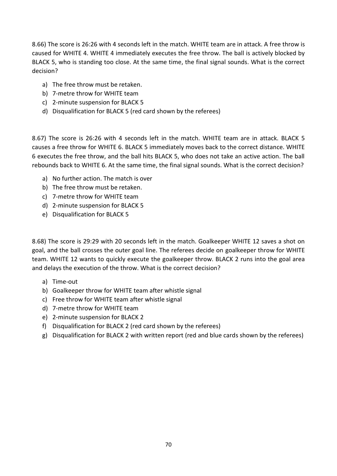8.66) The score is 26:26 with 4 seconds left in the match. WHITE team are in attack. A free throw is caused for WHITE 4. WHITE 4 immediately executes the free throw. The ball is actively blocked by BLACK 5, who is standing too close. At the same time, the final signal sounds. What is the correct decision?

- a) The free throw must be retaken.
- b) 7-metre throw for WHITE team
- c) 2-minute suspension for BLACK 5
- d) Disqualification for BLACK 5 (red card shown by the referees)

8.67) The score is 26:26 with 4 seconds left in the match. WHITE team are in attack. BLACK 5 causes a free throw for WHITE 6. BLACK 5 immediately moves back to the correct distance. WHITE 6 executes the free throw, and the ball hits BLACK 5, who does not take an active action. The ball rebounds back to WHITE 6. At the same time, the final signal sounds. What is the correct decision?

- a) No further action. The match is over
- b) The free throw must be retaken.
- c) 7-metre throw for WHITE team
- d) 2-minute suspension for BLACK 5
- e) Disqualification for BLACK 5

8.68) The score is 29:29 with 20 seconds left in the match. Goalkeeper WHITE 12 saves a shot on goal, and the ball crosses the outer goal line. The referees decide on goalkeeper throw for WHITE team. WHITE 12 wants to quickly execute the goalkeeper throw. BLACK 2 runs into the goal area and delays the execution of the throw. What is the correct decision?

- a) Time-out
- b) Goalkeeper throw for WHITE team after whistle signal
- c) Free throw for WHITE team after whistle signal
- d) 7-metre throw for WHITE team
- e) 2-minute suspension for BLACK 2
- f) Disqualification for BLACK 2 (red card shown by the referees)
- g) Disqualification for BLACK 2 with written report (red and blue cards shown by the referees)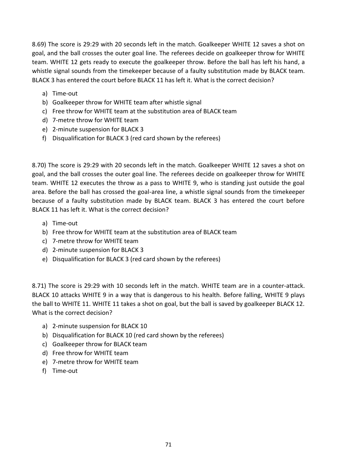8.69) The score is 29:29 with 20 seconds left in the match. Goalkeeper WHITE 12 saves a shot on goal, and the ball crosses the outer goal line. The referees decide on goalkeeper throw for WHITE team. WHITE 12 gets ready to execute the goalkeeper throw. Before the ball has left his hand, a whistle signal sounds from the timekeeper because of a faulty substitution made by BLACK team. BLACK 3 has entered the court before BLACK 11 has left it. What is the correct decision?

- a) Time-out
- b) Goalkeeper throw for WHITE team after whistle signal
- c) Free throw for WHITE team at the substitution area of BLACK team
- d) 7-metre throw for WHITE team
- e) 2-minute suspension for BLACK 3
- f) Disqualification for BLACK 3 (red card shown by the referees)

8.70) The score is 29:29 with 20 seconds left in the match. Goalkeeper WHITE 12 saves a shot on goal, and the ball crosses the outer goal line. The referees decide on goalkeeper throw for WHITE team. WHITE 12 executes the throw as a pass to WHITE 9, who is standing just outside the goal area. Before the ball has crossed the goal-area line, a whistle signal sounds from the timekeeper because of a faulty substitution made by BLACK team. BLACK 3 has entered the court before BLACK 11 has left it. What is the correct decision?

- a) Time-out
- b) Free throw for WHITE team at the substitution area of BLACK team
- c) 7-metre throw for WHITE team
- d) 2-minute suspension for BLACK 3
- e) Disqualification for BLACK 3 (red card shown by the referees)

8.71) The score is 29:29 with 10 seconds left in the match. WHITE team are in a counter-attack. BLACK 10 attacks WHITE 9 in a way that is dangerous to his health. Before falling, WHITE 9 plays the ball to WHITE 11. WHITE 11 takes a shot on goal, but the ball is saved by goalkeeper BLACK 12. What is the correct decision?

- a) 2-minute suspension for BLACK 10
- b) Disqualification for BLACK 10 (red card shown by the referees)
- c) Goalkeeper throw for BLACK team
- d) Free throw for WHITE team
- e) 7-metre throw for WHITE team
- f) Time-out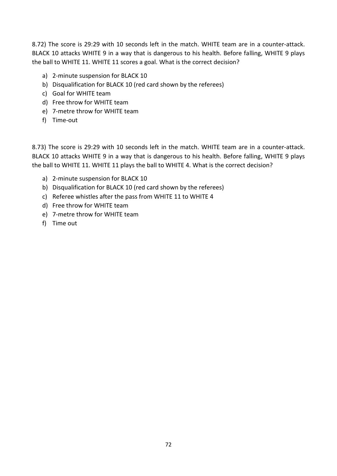8.72) The score is 29:29 with 10 seconds left in the match. WHITE team are in a counter-attack. BLACK 10 attacks WHITE 9 in a way that is dangerous to his health. Before falling, WHITE 9 plays the ball to WHITE 11. WHITE 11 scores a goal. What is the correct decision?

- a) 2-minute suspension for BLACK 10
- b) Disqualification for BLACK 10 (red card shown by the referees)
- c) Goal for WHITE team
- d) Free throw for WHITE team
- e) 7-metre throw for WHITE team
- f) Time-out

8.73) The score is 29:29 with 10 seconds left in the match. WHITE team are in a counter-attack. BLACK 10 attacks WHITE 9 in a way that is dangerous to his health. Before falling, WHITE 9 plays the ball to WHITE 11. WHITE 11 plays the ball to WHITE 4. What is the correct decision?

- a) 2-minute suspension for BLACK 10
- b) Disqualification for BLACK 10 (red card shown by the referees)
- c) Referee whistles after the pass from WHITE 11 to WHITE 4
- d) Free throw for WHITE team
- e) 7-metre throw for WHITE team
- f) Time out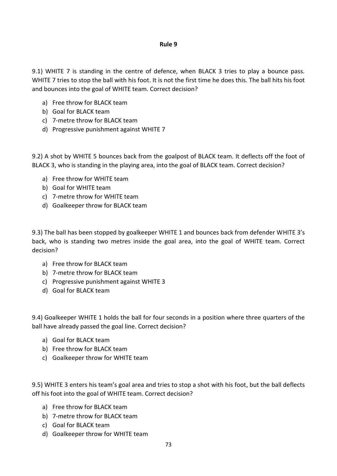9.1) WHITE 7 is standing in the centre of defence, when BLACK 3 tries to play a bounce pass. WHITE 7 tries to stop the ball with his foot. It is not the first time he does this. The ball hits his foot and bounces into the goal of WHITE team. Correct decision?

- a) Free throw for BLACK team
- b) Goal for BLACK team
- c) 7-metre throw for BLACK team
- d) Progressive punishment against WHITE 7

9.2) A shot by WHITE 5 bounces back from the goalpost of BLACK team. It deflects off the foot of BLACK 3, who is standing in the playing area, into the goal of BLACK team. Correct decision?

- a) Free throw for WHITE team
- b) Goal for WHITE team
- c) 7-metre throw for WHITE team
- d) Goalkeeper throw for BLACK team

9.3) The ball has been stopped by goalkeeper WHITE 1 and bounces back from defender WHITE 3's back, who is standing two metres inside the goal area, into the goal of WHITE team. Correct decision?

- a) Free throw for BLACK team
- b) 7-metre throw for BLACK team
- c) Progressive punishment against WHITE 3
- d) Goal for BLACK team

9.4) Goalkeeper WHITE 1 holds the ball for four seconds in a position where three quarters of the ball have already passed the goal line. Correct decision?

- a) Goal for BLACK team
- b) Free throw for BLACK team
- c) Goalkeeper throw for WHITE team

9.5) WHITE 3 enters his team's goal area and tries to stop a shot with his foot, but the ball deflects off his foot into the goal of WHITE team. Correct decision?

- a) Free throw for BLACK team
- b) 7-metre throw for BLACK team
- c) Goal for BLACK team
- d) Goalkeeper throw for WHITE team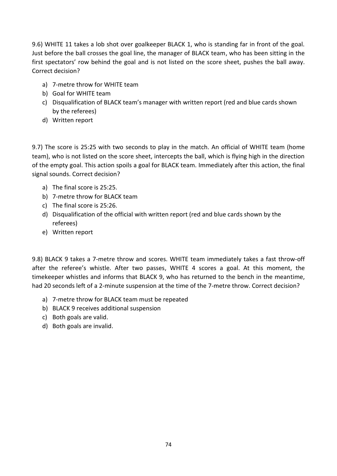9.6) WHITE 11 takes a lob shot over goalkeeper BLACK 1, who is standing far in front of the goal. Just before the ball crosses the goal line, the manager of BLACK team, who has been sitting in the first spectators' row behind the goal and is not listed on the score sheet, pushes the ball away. Correct decision?

- a) 7-metre throw for WHITE team
- b) Goal for WHITE team
- c) Disqualification of BLACK team's manager with written report (red and blue cards shown by the referees)
- d) Written report

9.7) The score is 25:25 with two seconds to play in the match. An official of WHITE team (home team), who is not listed on the score sheet, intercepts the ball, which is flying high in the direction of the empty goal. This action spoils a goal for BLACK team. Immediately after this action, the final signal sounds. Correct decision?

- a) The final score is 25:25.
- b) 7-metre throw for BLACK team
- c) The final score is 25:26.
- d) Disqualification of the official with written report (red and blue cards shown by the referees)
- e) Written report

9.8) BLACK 9 takes a 7-metre throw and scores. WHITE team immediately takes a fast throw-off after the referee's whistle. After two passes, WHITE 4 scores a goal. At this moment, the timekeeper whistles and informs that BLACK 9, who has returned to the bench in the meantime, had 20 seconds left of a 2-minute suspension at the time of the 7-metre throw. Correct decision?

- a) 7-metre throw for BLACK team must be repeated
- b) BLACK 9 receives additional suspension
- c) Both goals are valid.
- d) Both goals are invalid.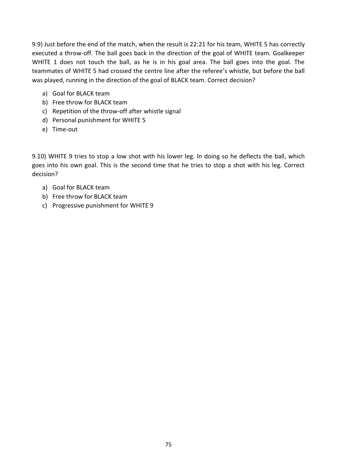9.9) Just before the end of the match, when the result is 22:21 for his team, WHITE 5 has correctly executed a throw-off. The ball goes back in the direction of the goal of WHITE team. Goalkeeper WHITE 1 does not touch the ball, as he is in his goal area. The ball goes into the goal. The teammates of WHITE 5 had crossed the centre line after the referee's whistle, but before the ball was played, running in the direction of the goal of BLACK team. Correct decision?

- a) Goal for BLACK team
- b) Free throw for BLACK team
- c) Repetition of the throw-off after whistle signal
- d) Personal punishment for WHITE 5
- e) Time-out

9.10) WHITE 9 tries to stop a low shot with his lower leg. In doing so he deflects the ball, which goes into his own goal. This is the second time that he tries to stop a shot with his leg. Correct decision?

- a) Goal for BLACK team
- b) Free throw for BLACK team
- c) Progressive punishment for WHITE 9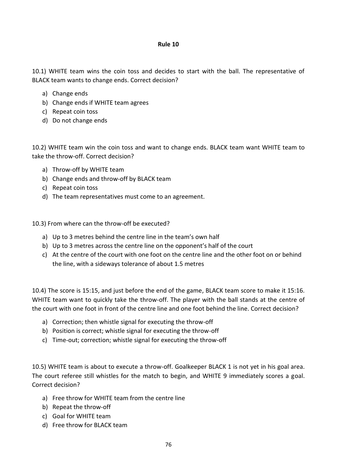10.1) WHITE team wins the coin toss and decides to start with the ball. The representative of BLACK team wants to change ends. Correct decision?

- a) Change ends
- b) Change ends if WHITE team agrees
- c) Repeat coin toss
- d) Do not change ends

10.2) WHITE team win the coin toss and want to change ends. BLACK team want WHITE team to take the throw-off. Correct decision?

- a) Throw-off by WHITE team
- b) Change ends and throw-off by BLACK team
- c) Repeat coin toss
- d) The team representatives must come to an agreement.

10.3) From where can the throw-off be executed?

- a) Up to 3 metres behind the centre line in the team's own half
- b) Up to 3 metres across the centre line on the opponent's half of the court
- c) At the centre of the court with one foot on the centre line and the other foot on or behind the line, with a sideways tolerance of about 1.5 metres

10.4) The score is 15:15, and just before the end of the game, BLACK team score to make it 15:16. WHITE team want to quickly take the throw-off. The player with the ball stands at the centre of the court with one foot in front of the centre line and one foot behind the line. Correct decision?

- a) Correction; then whistle signal for executing the throw-off
- b) Position is correct; whistle signal for executing the throw-off
- c) Time-out; correction; whistle signal for executing the throw-off

10.5) WHITE team is about to execute a throw-off. Goalkeeper BLACK 1 is not yet in his goal area. The court referee still whistles for the match to begin, and WHITE 9 immediately scores a goal. Correct decision?

- a) Free throw for WHITE team from the centre line
- b) Repeat the throw-off
- c) Goal for WHITE team
- d) Free throw for BLACK team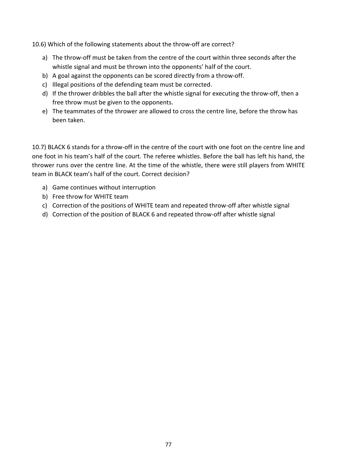10.6) Which of the following statements about the throw-off are correct?

- a) The throw-off must be taken from the centre of the court within three seconds after the whistle signal and must be thrown into the opponents' half of the court.
- b) A goal against the opponents can be scored directly from a throw-off.
- c) Illegal positions of the defending team must be corrected.
- d) If the thrower dribbles the ball after the whistle signal for executing the throw-off, then a free throw must be given to the opponents.
- e) The teammates of the thrower are allowed to cross the centre line, before the throw has been taken.

10.7) BLACK 6 stands for a throw-off in the centre of the court with one foot on the centre line and one foot in his team's half of the court. The referee whistles. Before the ball has left his hand, the thrower runs over the centre line. At the time of the whistle, there were still players from WHITE team in BLACK team's half of the court. Correct decision?

- a) Game continues without interruption
- b) Free throw for WHITE team
- c) Correction of the positions of WHITE team and repeated throw-off after whistle signal
- d) Correction of the position of BLACK 6 and repeated throw-off after whistle signal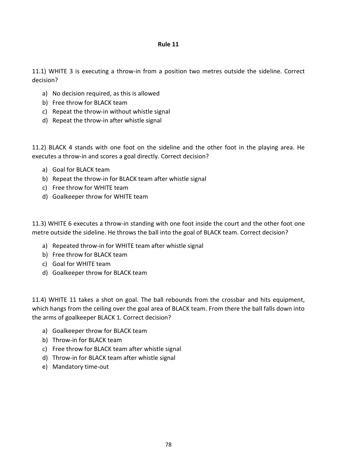11.1) WHITE 3 is executing a throw-in from a position two metres outside the sideline. Correct decision?

- a) No decision required, as this is allowed
- b) Free throw for BLACK team
- c) Repeat the throw-in without whistle signal
- d) Repeat the throw-in after whistle signal

11.2) BLACK 4 stands with one foot on the sideline and the other foot in the playing area. He executes a throw-in and scores a goal directly. Correct decision?

- a) Goal for BLACK team
- b) Repeat the throw-in for BLACK team after whistle signal
- c) Free throw for WHITE team
- d) Goalkeeper throw for WHITE team

11.3) WHITE 6 executes a throw-in standing with one foot inside the court and the other foot one metre outside the sideline. He throws the ball into the goal of BLACK team. Correct decision?

- a) Repeated throw-in for WHITE team after whistle signal
- b) Free throw for BLACK team
- c) Goal for WHITE team
- d) Goalkeeper throw for BLACK team

11.4) WHITE 11 takes a shot on goal. The ball rebounds from the crossbar and hits equipment, which hangs from the ceiling over the goal area of BLACK team. From there the ball falls down into the arms of goalkeeper BLACK 1. Correct decision?

- a) Goalkeeper throw for BLACK team
- b) Throw-in for BLACK team
- c) Free throw for BLACK team after whistle signal
- d) Throw-in for BLACK team after whistle signal
- e) Mandatory time-out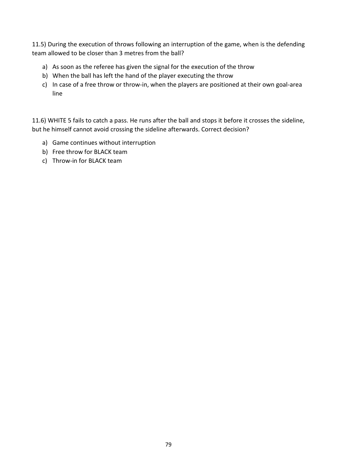11.5) During the execution of throws following an interruption of the game, when is the defending team allowed to be closer than 3 metres from the ball?

- a) As soon as the referee has given the signal for the execution of the throw
- b) When the ball has left the hand of the player executing the throw
- c) In case of a free throw or throw-in, when the players are positioned at their own goal-area line

11.6) WHITE 5 fails to catch a pass. He runs after the ball and stops it before it crosses the sideline, but he himself cannot avoid crossing the sideline afterwards. Correct decision?

- a) Game continues without interruption
- b) Free throw for BLACK team
- c) Throw-in for BLACK team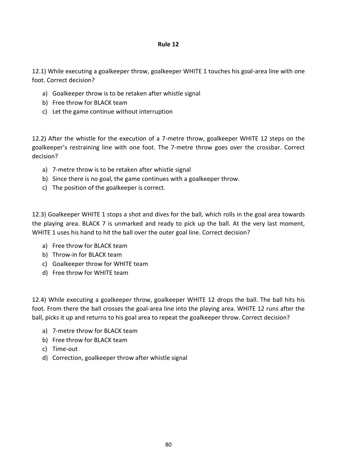12.1) While executing a goalkeeper throw, goalkeeper WHITE 1 touches his goal-area line with one foot. Correct decision?

- a) Goalkeeper throw is to be retaken after whistle signal
- b) Free throw for BLACK team
- c) Let the game continue without interruption

12.2) After the whistle for the execution of a 7-metre throw, goalkeeper WHITE 12 steps on the goalkeeper's restraining line with one foot. The 7-metre throw goes over the crossbar. Correct decision?

- a) 7-metre throw is to be retaken after whistle signal
- b) Since there is no goal, the game continues with a goalkeeper throw.
- c) The position of the goalkeeper is correct.

12.3) Goalkeeper WHITE 1 stops a shot and dives for the ball, which rolls in the goal area towards the playing area. BLACK 7 is unmarked and ready to pick up the ball. At the very last moment, WHITE 1 uses his hand to hit the ball over the outer goal line. Correct decision?

- a) Free throw for BLACK team
- b) Throw-in for BLACK team
- c) Goalkeeper throw for WHITE team
- d) Free throw for WHITE team

12.4) While executing a goalkeeper throw, goalkeeper WHITE 12 drops the ball. The ball hits his foot. From there the ball crosses the goal-area line into the playing area. WHITE 12 runs after the ball, picks it up and returns to his goal area to repeat the goalkeeper throw. Correct decision?

- a) 7-metre throw for BLACK team
- b) Free throw for BLACK team
- c) Time-out
- d) Correction, goalkeeper throw after whistle signal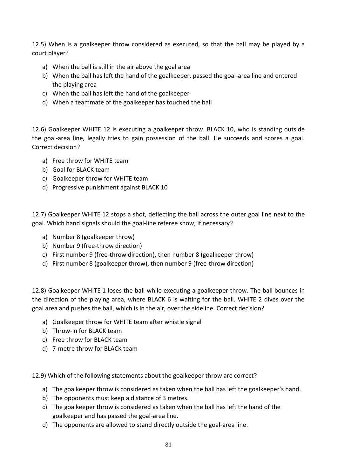12.5) When is a goalkeeper throw considered as executed, so that the ball may be played by a court player?

- a) When the ball is still in the air above the goal area
- b) When the ball has left the hand of the goalkeeper, passed the goal-area line and entered the playing area
- c) When the ball has left the hand of the goalkeeper
- d) When a teammate of the goalkeeper has touched the ball

12.6) Goalkeeper WHITE 12 is executing a goalkeeper throw. BLACK 10, who is standing outside the goal-area line, legally tries to gain possession of the ball. He succeeds and scores a goal. Correct decision?

- a) Free throw for WHITE team
- b) Goal for BLACK team
- c) Goalkeeper throw for WHITE team
- d) Progressive punishment against BLACK 10

12.7) Goalkeeper WHITE 12 stops a shot, deflecting the ball across the outer goal line next to the goal. Which hand signals should the goal-line referee show, if necessary?

- a) Number 8 (goalkeeper throw)
- b) Number 9 (free-throw direction)
- c) First number 9 (free-throw direction), then number 8 (goalkeeper throw)
- d) First number 8 (goalkeeper throw), then number 9 (free-throw direction)

12.8) Goalkeeper WHITE 1 loses the ball while executing a goalkeeper throw. The ball bounces in the direction of the playing area, where BLACK 6 is waiting for the ball. WHITE 2 dives over the goal area and pushes the ball, which is in the air, over the sideline. Correct decision?

- a) Goalkeeper throw for WHITE team after whistle signal
- b) Throw-in for BLACK team
- c) Free throw for BLACK team
- d) 7-metre throw for BLACK team

12.9) Which of the following statements about the goalkeeper throw are correct?

- a) The goalkeeper throw is considered as taken when the ball has left the goalkeeper's hand.
- b) The opponents must keep a distance of 3 metres.
- c) The goalkeeper throw is considered as taken when the ball has left the hand of the goalkeeper and has passed the goal-area line.
- d) The opponents are allowed to stand directly outside the goal-area line.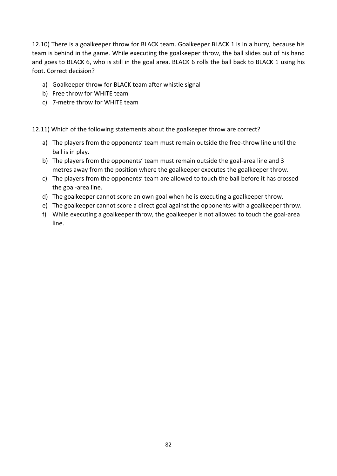12.10) There is a goalkeeper throw for BLACK team. Goalkeeper BLACK 1 is in a hurry, because his team is behind in the game. While executing the goalkeeper throw, the ball slides out of his hand and goes to BLACK 6, who is still in the goal area. BLACK 6 rolls the ball back to BLACK 1 using his foot. Correct decision?

- a) Goalkeeper throw for BLACK team after whistle signal
- b) Free throw for WHITE team
- c) 7-metre throw for WHITE team

12.11) Which of the following statements about the goalkeeper throw are correct?

- a) The players from the opponents' team must remain outside the free-throw line until the ball is in play.
- b) The players from the opponents' team must remain outside the goal-area line and 3 metres away from the position where the goalkeeper executes the goalkeeper throw.
- c) The players from the opponents' team are allowed to touch the ball before it has crossed the goal-area line.
- d) The goalkeeper cannot score an own goal when he is executing a goalkeeper throw.
- e) The goalkeeper cannot score a direct goal against the opponents with a goalkeeper throw.
- f) While executing a goalkeeper throw, the goalkeeper is not allowed to touch the goal-area line.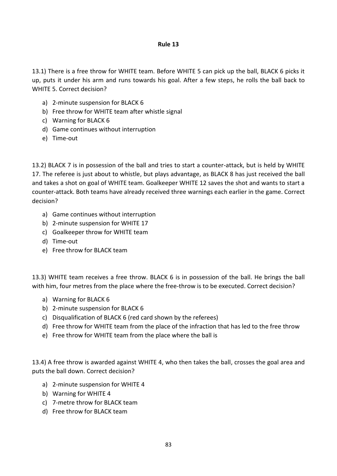13.1) There is a free throw for WHITE team. Before WHITE 5 can pick up the ball, BLACK 6 picks it up, puts it under his arm and runs towards his goal. After a few steps, he rolls the ball back to WHITE 5. Correct decision?

- a) 2-minute suspension for BLACK 6
- b) Free throw for WHITE team after whistle signal
- c) Warning for BLACK 6
- d) Game continues without interruption
- e) Time-out

13.2) BLACK 7 is in possession of the ball and tries to start a counter-attack, but is held by WHITE 17. The referee is just about to whistle, but plays advantage, as BLACK 8 has just received the ball and takes a shot on goal of WHITE team. Goalkeeper WHITE 12 saves the shot and wants to start a counter-attack. Both teams have already received three warnings each earlier in the game. Correct decision?

- a) Game continues without interruption
- b) 2-minute suspension for WHITE 17
- c) Goalkeeper throw for WHITE team
- d) Time-out
- e) Free throw for BLACK team

13.3) WHITE team receives a free throw. BLACK 6 is in possession of the ball. He brings the ball with him, four metres from the place where the free-throw is to be executed. Correct decision?

- a) Warning for BLACK 6
- b) 2-minute suspension for BLACK 6
- c) Disqualification of BLACK 6 (red card shown by the referees)
- d) Free throw for WHITE team from the place of the infraction that has led to the free throw
- e) Free throw for WHITE team from the place where the ball is

13.4) A free throw is awarded against WHITE 4, who then takes the ball, crosses the goal area and puts the ball down. Correct decision?

- a) 2-minute suspension for WHITE 4
- b) Warning for WHITE 4
- c) 7-metre throw for BLACK team
- d) Free throw for BLACK team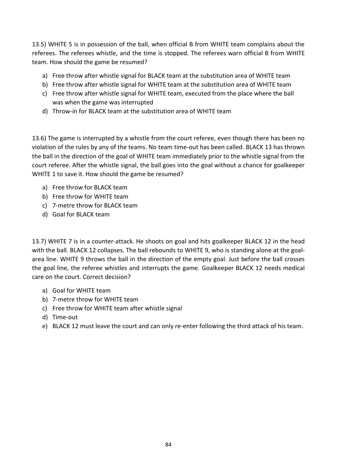13.5) WHITE 5 is in possession of the ball, when official B from WHITE team complains about the referees. The referees whistle, and the time is stopped. The referees warn official B from WHITE team. How should the game be resumed?

- a) Free throw after whistle signal for BLACK team at the substitution area of WHITE team
- b) Free throw after whistle signal for WHITE team at the substitution area of WHITE team
- c) Free throw after whistle signal for WHITE team, executed from the place where the ball was when the game was interrupted
- d) Throw-in for BLACK team at the substitution area of WHITE team

13.6) The game is interrupted by a whistle from the court referee, even though there has been no violation of the rules by any of the teams. No team time-out has been called. BLACK 13 has thrown the ball in the direction of the goal of WHITE team immediately prior to the whistle signal from the court referee. After the whistle signal, the ball goes into the goal without a chance for goalkeeper WHITE 1 to save it. How should the game be resumed?

- a) Free throw for BLACK team
- b) Free throw for WHITE team
- c) 7-metre throw for BLACK team
- d) Goal for BLACK team

13.7) WHITE 7 is in a counter-attack. He shoots on goal and hits goalkeeper BLACK 12 in the head with the ball. BLACK 12 collapses. The ball rebounds to WHITE 9, who is standing alone at the goalarea line. WHITE 9 throws the ball in the direction of the empty goal. Just before the ball crosses the goal line, the referee whistles and interrupts the game. Goalkeeper BLACK 12 needs medical care on the court. Correct decision?

- a) Goal for WHITE team
- b) 7-metre throw for WHITE team
- c) Free throw for WHITE team after whistle signal
- d) Time-out
- e) BLACK 12 must leave the court and can only re-enter following the third attack of his team.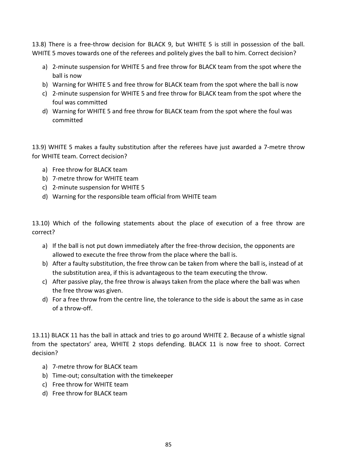13.8) There is a free-throw decision for BLACK 9, but WHITE 5 is still in possession of the ball. WHITE 5 moves towards one of the referees and politely gives the ball to him. Correct decision?

- a) 2-minute suspension for WHITE 5 and free throw for BLACK team from the spot where the ball is now
- b) Warning for WHITE 5 and free throw for BLACK team from the spot where the ball is now
- c) 2-minute suspension for WHITE 5 and free throw for BLACK team from the spot where the foul was committed
- d) Warning for WHITE 5 and free throw for BLACK team from the spot where the foul was committed

13.9) WHITE 5 makes a faulty substitution after the referees have just awarded a 7-metre throw for WHITE team. Correct decision?

- a) Free throw for BLACK team
- b) 7-metre throw for WHITE team
- c) 2-minute suspension for WHITE 5
- d) Warning for the responsible team official from WHITE team

13.10) Which of the following statements about the place of execution of a free throw are correct?

- a) If the ball is not put down immediately after the free-throw decision, the opponents are allowed to execute the free throw from the place where the ball is.
- b) After a faulty substitution, the free throw can be taken from where the ball is, instead of at the substitution area, if this is advantageous to the team executing the throw.
- c) After passive play, the free throw is always taken from the place where the ball was when the free throw was given.
- d) For a free throw from the centre line, the tolerance to the side is about the same as in case of a throw-off.

13.11) BLACK 11 has the ball in attack and tries to go around WHITE 2. Because of a whistle signal from the spectators' area, WHITE 2 stops defending. BLACK 11 is now free to shoot. Correct decision?

- a) 7-metre throw for BLACK team
- b) Time-out; consultation with the timekeeper
- c) Free throw for WHITE team
- d) Free throw for BLACK team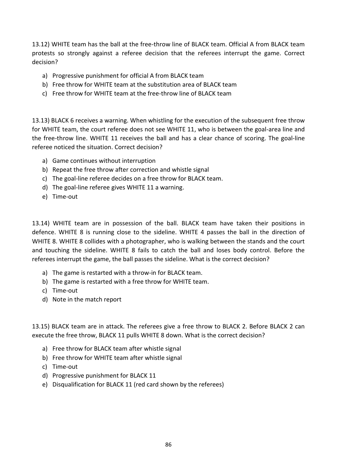13.12) WHITE team has the ball at the free-throw line of BLACK team. Official A from BLACK team protests so strongly against a referee decision that the referees interrupt the game. Correct decision?

- a) Progressive punishment for official A from BLACK team
- b) Free throw for WHITE team at the substitution area of BLACK team
- c) Free throw for WHITE team at the free-throw line of BLACK team

13.13) BLACK 6 receives a warning. When whistling for the execution of the subsequent free throw for WHITE team, the court referee does not see WHITE 11, who is between the goal-area line and the free-throw line. WHITE 11 receives the ball and has a clear chance of scoring. The goal-line referee noticed the situation. Correct decision?

- a) Game continues without interruption
- b) Repeat the free throw after correction and whistle signal
- c) The goal-line referee decides on a free throw for BLACK team.
- d) The goal-line referee gives WHITE 11 a warning.
- e) Time-out

13.14) WHITE team are in possession of the ball. BLACK team have taken their positions in defence. WHITE 8 is running close to the sideline. WHITE 4 passes the ball in the direction of WHITE 8. WHITE 8 collides with a photographer, who is walking between the stands and the court and touching the sideline. WHITE 8 fails to catch the ball and loses body control. Before the referees interrupt the game, the ball passes the sideline. What is the correct decision?

- a) The game is restarted with a throw-in for BLACK team.
- b) The game is restarted with a free throw for WHITE team.
- c) Time-out
- d) Note in the match report

13.15) BLACK team are in attack. The referees give a free throw to BLACK 2. Before BLACK 2 can execute the free throw, BLACK 11 pulls WHITE 8 down. What is the correct decision?

- a) Free throw for BLACK team after whistle signal
- b) Free throw for WHITE team after whistle signal
- c) Time-out
- d) Progressive punishment for BLACK 11
- e) Disqualification for BLACK 11 (red card shown by the referees)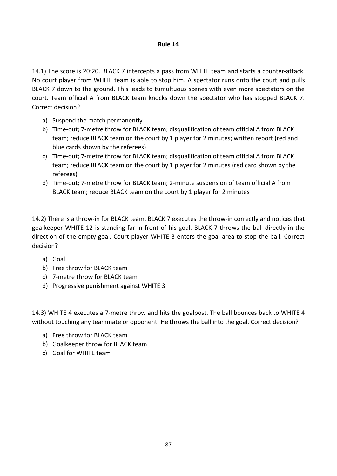14.1) The score is 20:20. BLACK 7 intercepts a pass from WHITE team and starts a counter-attack. No court player from WHITE team is able to stop him. A spectator runs onto the court and pulls BLACK 7 down to the ground. This leads to tumultuous scenes with even more spectators on the court. Team official A from BLACK team knocks down the spectator who has stopped BLACK 7. Correct decision?

- a) Suspend the match permanently
- b) Time-out; 7-metre throw for BLACK team; disqualification of team official A from BLACK team; reduce BLACK team on the court by 1 player for 2 minutes; written report (red and blue cards shown by the referees)
- c) Time-out; 7-metre throw for BLACK team; disqualification of team official A from BLACK team; reduce BLACK team on the court by 1 player for 2 minutes (red card shown by the referees)
- d) Time-out; 7-metre throw for BLACK team; 2-minute suspension of team official A from BLACK team; reduce BLACK team on the court by 1 player for 2 minutes

14.2) There is a throw-in for BLACK team. BLACK 7 executes the throw-in correctly and notices that goalkeeper WHITE 12 is standing far in front of his goal. BLACK 7 throws the ball directly in the direction of the empty goal. Court player WHITE 3 enters the goal area to stop the ball. Correct decision?

- a) Goal
- b) Free throw for BLACK team
- c) 7-metre throw for BLACK team
- d) Progressive punishment against WHITE 3

14.3) WHITE 4 executes a 7-metre throw and hits the goalpost. The ball bounces back to WHITE 4 without touching any teammate or opponent. He throws the ball into the goal. Correct decision?

- a) Free throw for BLACK team
- b) Goalkeeper throw for BLACK team
- c) Goal for WHITE team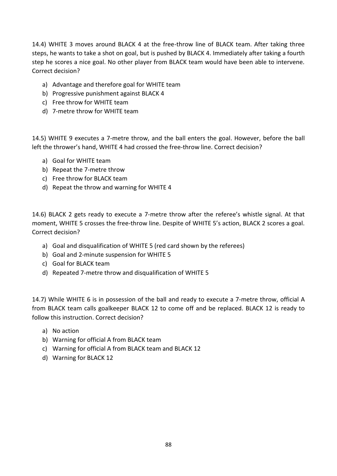14.4) WHITE 3 moves around BLACK 4 at the free-throw line of BLACK team. After taking three steps, he wants to take a shot on goal, but is pushed by BLACK 4. Immediately after taking a fourth step he scores a nice goal. No other player from BLACK team would have been able to intervene. Correct decision?

- a) Advantage and therefore goal for WHITE team
- b) Progressive punishment against BLACK 4
- c) Free throw for WHITE team
- d) 7-metre throw for WHITE team

14.5) WHITE 9 executes a 7-metre throw, and the ball enters the goal. However, before the ball left the thrower's hand, WHITE 4 had crossed the free-throw line. Correct decision?

- a) Goal for WHITE team
- b) Repeat the 7-metre throw
- c) Free throw for BLACK team
- d) Repeat the throw and warning for WHITE 4

14.6) BLACK 2 gets ready to execute a 7-metre throw after the referee's whistle signal. At that moment, WHITE 5 crosses the free-throw line. Despite of WHITE 5's action, BLACK 2 scores a goal. Correct decision?

- a) Goal and disqualification of WHITE 5 (red card shown by the referees)
- b) Goal and 2-minute suspension for WHITE 5
- c) Goal for BLACK team
- d) Repeated 7-metre throw and disqualification of WHITE 5

14.7) While WHITE 6 is in possession of the ball and ready to execute a 7-metre throw, official A from BLACK team calls goalkeeper BLACK 12 to come off and be replaced. BLACK 12 is ready to follow this instruction. Correct decision?

- a) No action
- b) Warning for official A from BLACK team
- c) Warning for official A from BLACK team and BLACK 12
- d) Warning for BLACK 12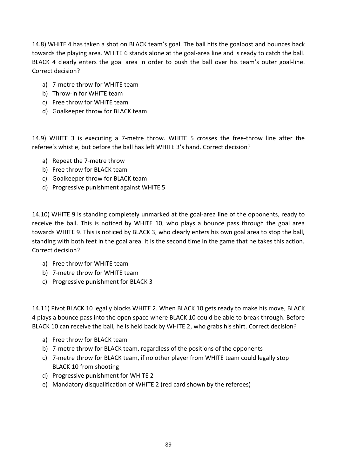14.8) WHITE 4 has taken a shot on BLACK team's goal. The ball hits the goalpost and bounces back towards the playing area. WHITE 6 stands alone at the goal-area line and is ready to catch the ball. BLACK 4 clearly enters the goal area in order to push the ball over his team's outer goal-line. Correct decision?

- a) 7-metre throw for WHITE team
- b) Throw-in for WHITE team
- c) Free throw for WHITE team
- d) Goalkeeper throw for BLACK team

14.9) WHITE 3 is executing a 7-metre throw. WHITE 5 crosses the free-throw line after the referee's whistle, but before the ball has left WHITE 3's hand. Correct decision?

- a) Repeat the 7-metre throw
- b) Free throw for BLACK team
- c) Goalkeeper throw for BLACK team
- d) Progressive punishment against WHITE 5

14.10) WHITE 9 is standing completely unmarked at the goal-area line of the opponents, ready to receive the ball. This is noticed by WHITE 10, who plays a bounce pass through the goal area towards WHITE 9. This is noticed by BLACK 3, who clearly enters his own goal area to stop the ball, standing with both feet in the goal area. It is the second time in the game that he takes this action. Correct decision?

- a) Free throw for WHITE team
- b) 7-metre throw for WHITE team
- c) Progressive punishment for BLACK 3

14.11) Pivot BLACK 10 legally blocks WHITE 2. When BLACK 10 gets ready to make his move, BLACK 4 plays a bounce pass into the open space where BLACK 10 could be able to break through. Before BLACK 10 can receive the ball, he is held back by WHITE 2, who grabs his shirt. Correct decision?

- a) Free throw for BLACK team
- b) 7-metre throw for BLACK team, regardless of the positions of the opponents
- c) 7-metre throw for BLACK team, if no other player from WHITE team could legally stop BLACK 10 from shooting
- d) Progressive punishment for WHITE 2
- e) Mandatory disqualification of WHITE 2 (red card shown by the referees)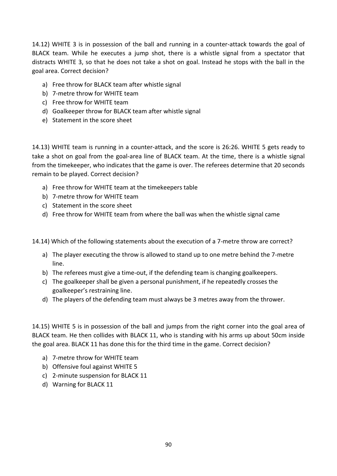14.12) WHITE 3 is in possession of the ball and running in a counter-attack towards the goal of BLACK team. While he executes a jump shot, there is a whistle signal from a spectator that distracts WHITE 3, so that he does not take a shot on goal. Instead he stops with the ball in the goal area. Correct decision?

- a) Free throw for BLACK team after whistle signal
- b) 7-metre throw for WHITE team
- c) Free throw for WHITE team
- d) Goalkeeper throw for BLACK team after whistle signal
- e) Statement in the score sheet

14.13) WHITE team is running in a counter-attack, and the score is 26:26. WHITE 5 gets ready to take a shot on goal from the goal-area line of BLACK team. At the time, there is a whistle signal from the timekeeper, who indicates that the game is over. The referees determine that 20 seconds remain to be played. Correct decision?

- a) Free throw for WHITE team at the timekeepers table
- b) 7-metre throw for WHITE team
- c) Statement in the score sheet
- d) Free throw for WHITE team from where the ball was when the whistle signal came

14.14) Which of the following statements about the execution of a 7-metre throw are correct?

- a) The player executing the throw is allowed to stand up to one metre behind the 7-metre line.
- b) The referees must give a time-out, if the defending team is changing goalkeepers.
- c) The goalkeeper shall be given a personal punishment, if he repeatedly crosses the goalkeeper's restraining line.
- d) The players of the defending team must always be 3 metres away from the thrower.

14.15) WHITE 5 is in possession of the ball and jumps from the right corner into the goal area of BLACK team. He then collides with BLACK 11, who is standing with his arms up about 50cm inside the goal area. BLACK 11 has done this for the third time in the game. Correct decision?

- a) 7-metre throw for WHITE team
- b) Offensive foul against WHITE 5
- c) 2-minute suspension for BLACK 11
- d) Warning for BLACK 11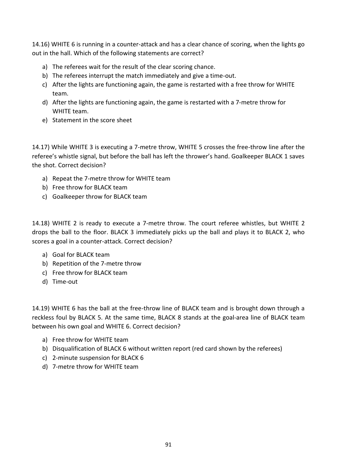14.16) WHITE 6 is running in a counter-attack and has a clear chance of scoring, when the lights go out in the hall. Which of the following statements are correct?

- a) The referees wait for the result of the clear scoring chance.
- b) The referees interrupt the match immediately and give a time-out.
- c) After the lights are functioning again, the game is restarted with a free throw for WHITE team.
- d) After the lights are functioning again, the game is restarted with a 7-metre throw for WHITE team.
- e) Statement in the score sheet

14.17) While WHITE 3 is executing a 7-metre throw, WHITE 5 crosses the free-throw line after the referee's whistle signal, but before the ball has left the thrower's hand. Goalkeeper BLACK 1 saves the shot. Correct decision?

- a) Repeat the 7-metre throw for WHITE team
- b) Free throw for BLACK team
- c) Goalkeeper throw for BLACK team

14.18) WHITE 2 is ready to execute a 7-metre throw. The court referee whistles, but WHITE 2 drops the ball to the floor. BLACK 3 immediately picks up the ball and plays it to BLACK 2, who scores a goal in a counter-attack. Correct decision?

- a) Goal for BLACK team
- b) Repetition of the 7-metre throw
- c) Free throw for BLACK team
- d) Time-out

14.19) WHITE 6 has the ball at the free-throw line of BLACK team and is brought down through a reckless foul by BLACK 5. At the same time, BLACK 8 stands at the goal-area line of BLACK team between his own goal and WHITE 6. Correct decision?

- a) Free throw for WHITE team
- b) Disqualification of BLACK 6 without written report (red card shown by the referees)
- c) 2-minute suspension for BLACK 6
- d) 7-metre throw for WHITE team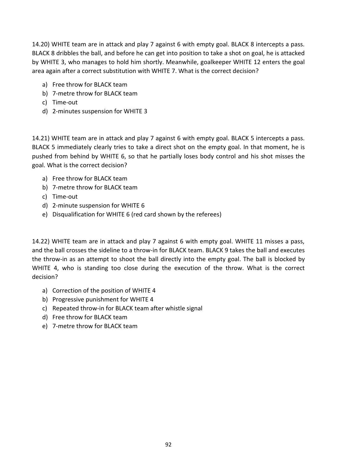14.20) WHITE team are in attack and play 7 against 6 with empty goal. BLACK 8 intercepts a pass. BLACK 8 dribbles the ball, and before he can get into position to take a shot on goal, he is attacked by WHITE 3, who manages to hold him shortly. Meanwhile, goalkeeper WHITE 12 enters the goal area again after a correct substitution with WHITE 7. What is the correct decision?

- a) Free throw for BLACK team
- b) 7-metre throw for BLACK team
- c) Time-out
- d) 2-minutes suspension for WHITE 3

14.21) WHITE team are in attack and play 7 against 6 with empty goal. BLACK 5 intercepts a pass. BLACK 5 immediately clearly tries to take a direct shot on the empty goal. In that moment, he is pushed from behind by WHITE 6, so that he partially loses body control and his shot misses the goal. What is the correct decision?

- a) Free throw for BLACK team
- b) 7-metre throw for BLACK team
- c) Time-out
- d) 2-minute suspension for WHITE 6
- e) Disqualification for WHITE 6 (red card shown by the referees)

14.22) WHITE team are in attack and play 7 against 6 with empty goal. WHITE 11 misses a pass, and the ball crosses the sideline to a throw-in for BLACK team. BLACK 9 takes the ball and executes the throw-in as an attempt to shoot the ball directly into the empty goal. The ball is blocked by WHITE 4, who is standing too close during the execution of the throw. What is the correct decision?

- a) Correction of the position of WHITE 4
- b) Progressive punishment for WHITE 4
- c) Repeated throw-in for BLACK team after whistle signal
- d) Free throw for BLACK team
- e) 7-metre throw for BLACK team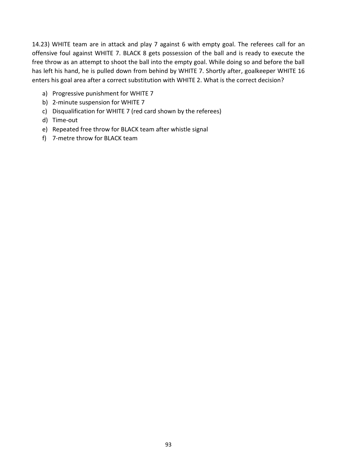14.23) WHITE team are in attack and play 7 against 6 with empty goal. The referees call for an offensive foul against WHITE 7. BLACK 8 gets possession of the ball and is ready to execute the free throw as an attempt to shoot the ball into the empty goal. While doing so and before the ball has left his hand, he is pulled down from behind by WHITE 7. Shortly after, goalkeeper WHITE 16 enters his goal area after a correct substitution with WHITE 2. What is the correct decision?

- a) Progressive punishment for WHITE 7
- b) 2-minute suspension for WHITE 7
- c) Disqualification for WHITE 7 (red card shown by the referees)
- d) Time-out
- e) Repeated free throw for BLACK team after whistle signal
- f) 7-metre throw for BLACK team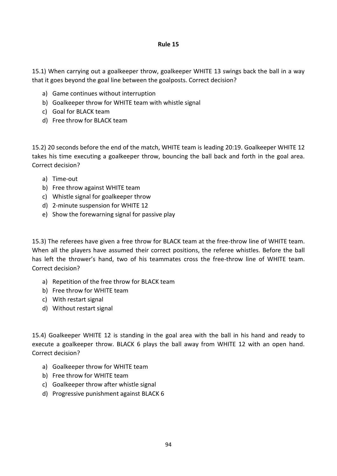15.1) When carrying out a goalkeeper throw, goalkeeper WHITE 13 swings back the ball in a way that it goes beyond the goal line between the goalposts. Correct decision?

- a) Game continues without interruption
- b) Goalkeeper throw for WHITE team with whistle signal
- c) Goal for BLACK team
- d) Free throw for BLACK team

15.2) 20 seconds before the end of the match, WHITE team is leading 20:19. Goalkeeper WHITE 12 takes his time executing a goalkeeper throw, bouncing the ball back and forth in the goal area. Correct decision?

- a) Time-out
- b) Free throw against WHITE team
- c) Whistle signal for goalkeeper throw
- d) 2-minute suspension for WHITE 12
- e) Show the forewarning signal for passive play

15.3) The referees have given a free throw for BLACK team at the free-throw line of WHITE team. When all the players have assumed their correct positions, the referee whistles. Before the ball has left the thrower's hand, two of his teammates cross the free-throw line of WHITE team. Correct decision?

- a) Repetition of the free throw for BLACK team
- b) Free throw for WHITE team
- c) With restart signal
- d) Without restart signal

15.4) Goalkeeper WHITE 12 is standing in the goal area with the ball in his hand and ready to execute a goalkeeper throw. BLACK 6 plays the ball away from WHITE 12 with an open hand. Correct decision?

- a) Goalkeeper throw for WHITE team
- b) Free throw for WHITE team
- c) Goalkeeper throw after whistle signal
- d) Progressive punishment against BLACK 6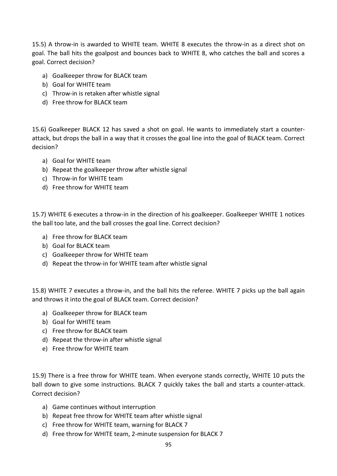15.5) A throw-in is awarded to WHITE team. WHITE 8 executes the throw-in as a direct shot on goal. The ball hits the goalpost and bounces back to WHITE 8, who catches the ball and scores a goal. Correct decision?

- a) Goalkeeper throw for BLACK team
- b) Goal for WHITE team
- c) Throw-in is retaken after whistle signal
- d) Free throw for BLACK team

15.6) Goalkeeper BLACK 12 has saved a shot on goal. He wants to immediately start a counterattack, but drops the ball in a way that it crosses the goal line into the goal of BLACK team. Correct decision?

- a) Goal for WHITE team
- b) Repeat the goalkeeper throw after whistle signal
- c) Throw-in for WHITE team
- d) Free throw for WHITE team

15.7) WHITE 6 executes a throw-in in the direction of his goalkeeper. Goalkeeper WHITE 1 notices the ball too late, and the ball crosses the goal line. Correct decision?

- a) Free throw for BLACK team
- b) Goal for BLACK team
- c) Goalkeeper throw for WHITE team
- d) Repeat the throw-in for WHITE team after whistle signal

15.8) WHITE 7 executes a throw-in, and the ball hits the referee. WHITE 7 picks up the ball again and throws it into the goal of BLACK team. Correct decision?

- a) Goalkeeper throw for BLACK team
- b) Goal for WHITE team
- c) Free throw for BLACK team
- d) Repeat the throw-in after whistle signal
- e) Free throw for WHITE team

15.9) There is a free throw for WHITE team. When everyone stands correctly, WHITE 10 puts the ball down to give some instructions. BLACK 7 quickly takes the ball and starts a counter-attack. Correct decision?

- a) Game continues without interruption
- b) Repeat free throw for WHITE team after whistle signal
- c) Free throw for WHITE team, warning for BLACK 7
- d) Free throw for WHITE team, 2-minute suspension for BLACK 7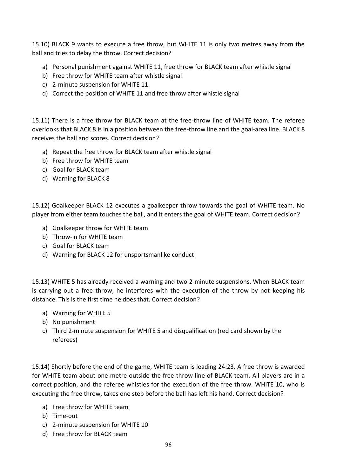15.10) BLACK 9 wants to execute a free throw, but WHITE 11 is only two metres away from the ball and tries to delay the throw. Correct decision?

- a) Personal punishment against WHITE 11, free throw for BLACK team after whistle signal
- b) Free throw for WHITE team after whistle signal
- c) 2-minute suspension for WHITE 11
- d) Correct the position of WHITE 11 and free throw after whistle signal

15.11) There is a free throw for BLACK team at the free-throw line of WHITE team. The referee overlooks that BLACK 8 is in a position between the free-throw line and the goal-area line. BLACK 8 receives the ball and scores. Correct decision?

- a) Repeat the free throw for BLACK team after whistle signal
- b) Free throw for WHITE team
- c) Goal for BLACK team
- d) Warning for BLACK 8

15.12) Goalkeeper BLACK 12 executes a goalkeeper throw towards the goal of WHITE team. No player from either team touches the ball, and it enters the goal of WHITE team. Correct decision?

- a) Goalkeeper throw for WHITE team
- b) Throw-in for WHITE team
- c) Goal for BLACK team
- d) Warning for BLACK 12 for unsportsmanlike conduct

15.13) WHITE 5 has already received a warning and two 2-minute suspensions. When BLACK team is carrying out a free throw, he interferes with the execution of the throw by not keeping his distance. This is the first time he does that. Correct decision?

- a) Warning for WHITE 5
- b) No punishment
- c) Third 2-minute suspension for WHITE 5 and disqualification (red card shown by the referees)

15.14) Shortly before the end of the game, WHITE team is leading 24:23. A free throw is awarded for WHITE team about one metre outside the free-throw line of BLACK team. All players are in a correct position, and the referee whistles for the execution of the free throw. WHITE 10, who is executing the free throw, takes one step before the ball has left his hand. Correct decision?

- a) Free throw for WHITE team
- b) Time-out
- c) 2-minute suspension for WHITE 10
- d) Free throw for BLACK team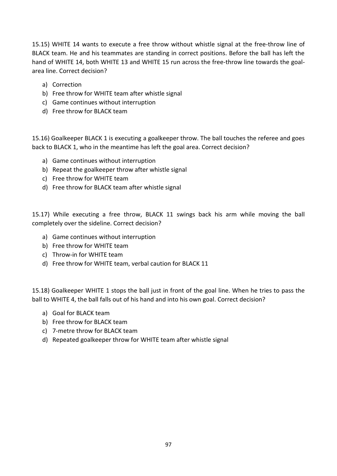15.15) WHITE 14 wants to execute a free throw without whistle signal at the free-throw line of BLACK team. He and his teammates are standing in correct positions. Before the ball has left the hand of WHITE 14, both WHITE 13 and WHITE 15 run across the free-throw line towards the goalarea line. Correct decision?

- a) Correction
- b) Free throw for WHITE team after whistle signal
- c) Game continues without interruption
- d) Free throw for BLACK team

15.16) Goalkeeper BLACK 1 is executing a goalkeeper throw. The ball touches the referee and goes back to BLACK 1, who in the meantime has left the goal area. Correct decision?

- a) Game continues without interruption
- b) Repeat the goalkeeper throw after whistle signal
- c) Free throw for WHITE team
- d) Free throw for BLACK team after whistle signal

15.17) While executing a free throw, BLACK 11 swings back his arm while moving the ball completely over the sideline. Correct decision?

- a) Game continues without interruption
- b) Free throw for WHITE team
- c) Throw-in for WHITE team
- d) Free throw for WHITE team, verbal caution for BLACK 11

15.18) Goalkeeper WHITE 1 stops the ball just in front of the goal line. When he tries to pass the ball to WHITE 4, the ball falls out of his hand and into his own goal. Correct decision?

- a) Goal for BLACK team
- b) Free throw for BLACK team
- c) 7-metre throw for BLACK team
- d) Repeated goalkeeper throw for WHITE team after whistle signal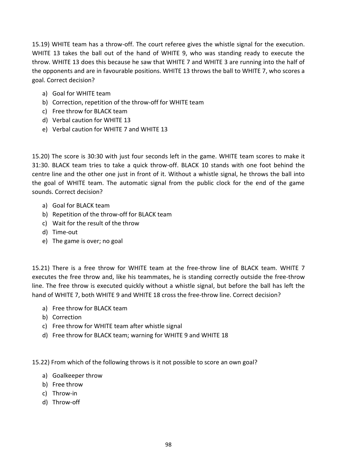15.19) WHITE team has a throw-off. The court referee gives the whistle signal for the execution. WHITE 13 takes the ball out of the hand of WHITE 9, who was standing ready to execute the throw. WHITE 13 does this because he saw that WHITE 7 and WHITE 3 are running into the half of the opponents and are in favourable positions. WHITE 13 throws the ball to WHITE 7, who scores a goal. Correct decision?

- a) Goal for WHITE team
- b) Correction, repetition of the throw-off for WHITE team
- c) Free throw for BLACK team
- d) Verbal caution for WHITE 13
- e) Verbal caution for WHITE 7 and WHITE 13

15.20) The score is 30:30 with just four seconds left in the game. WHITE team scores to make it 31:30. BLACK team tries to take a quick throw-off. BLACK 10 stands with one foot behind the centre line and the other one just in front of it. Without a whistle signal, he throws the ball into the goal of WHITE team. The automatic signal from the public clock for the end of the game sounds. Correct decision?

- a) Goal for BLACK team
- b) Repetition of the throw-off for BLACK team
- c) Wait for the result of the throw
- d) Time-out
- e) The game is over; no goal

15.21) There is a free throw for WHITE team at the free-throw line of BLACK team. WHITE 7 executes the free throw and, like his teammates, he is standing correctly outside the free-throw line. The free throw is executed quickly without a whistle signal, but before the ball has left the hand of WHITE 7, both WHITE 9 and WHITE 18 cross the free-throw line. Correct decision?

- a) Free throw for BLACK team
- b) Correction
- c) Free throw for WHITE team after whistle signal
- d) Free throw for BLACK team; warning for WHITE 9 and WHITE 18

15.22) From which of the following throws is it not possible to score an own goal?

- a) Goalkeeper throw
- b) Free throw
- c) Throw-in
- d) Throw-off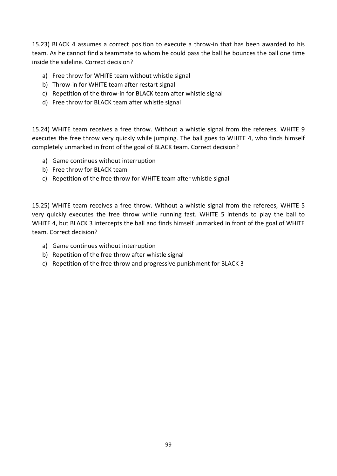15.23) BLACK 4 assumes a correct position to execute a throw-in that has been awarded to his team. As he cannot find a teammate to whom he could pass the ball he bounces the ball one time inside the sideline. Correct decision?

- a) Free throw for WHITE team without whistle signal
- b) Throw-in for WHITE team after restart signal
- c) Repetition of the throw-in for BLACK team after whistle signal
- d) Free throw for BLACK team after whistle signal

15.24) WHITE team receives a free throw. Without a whistle signal from the referees, WHITE 9 executes the free throw very quickly while jumping. The ball goes to WHITE 4, who finds himself completely unmarked in front of the goal of BLACK team. Correct decision?

- a) Game continues without interruption
- b) Free throw for BLACK team
- c) Repetition of the free throw for WHITE team after whistle signal

15.25) WHITE team receives a free throw. Without a whistle signal from the referees, WHITE 5 very quickly executes the free throw while running fast. WHITE 5 intends to play the ball to WHITE 4, but BLACK 3 intercepts the ball and finds himself unmarked in front of the goal of WHITE team. Correct decision?

- a) Game continues without interruption
- b) Repetition of the free throw after whistle signal
- c) Repetition of the free throw and progressive punishment for BLACK 3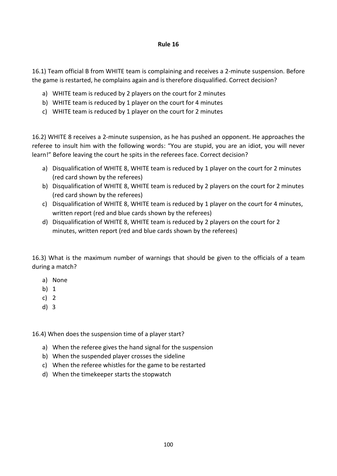16.1) Team official B from WHITE team is complaining and receives a 2-minute suspension. Before the game is restarted, he complains again and is therefore disqualified. Correct decision?

- a) WHITE team is reduced by 2 players on the court for 2 minutes
- b) WHITE team is reduced by 1 player on the court for 4 minutes
- c) WHITE team is reduced by 1 player on the court for 2 minutes

16.2) WHITE 8 receives a 2-minute suspension, as he has pushed an opponent. He approaches the referee to insult him with the following words: "You are stupid, you are an idiot, you will never learn!" Before leaving the court he spits in the referees face. Correct decision?

- a) Disqualification of WHITE 8, WHITE team is reduced by 1 player on the court for 2 minutes (red card shown by the referees)
- b) Disqualification of WHITE 8, WHITE team is reduced by 2 players on the court for 2 minutes (red card shown by the referees)
- c) Disqualification of WHITE 8, WHITE team is reduced by 1 player on the court for 4 minutes, written report (red and blue cards shown by the referees)
- d) Disqualification of WHITE 8, WHITE team is reduced by 2 players on the court for 2 minutes, written report (red and blue cards shown by the referees)

16.3) What is the maximum number of warnings that should be given to the officials of a team during a match?

- a) None
- b) 1
- c) 2
- d) 3

16.4) When does the suspension time of a player start?

- a) When the referee gives the hand signal for the suspension
- b) When the suspended player crosses the sideline
- c) When the referee whistles for the game to be restarted
- d) When the timekeeper starts the stopwatch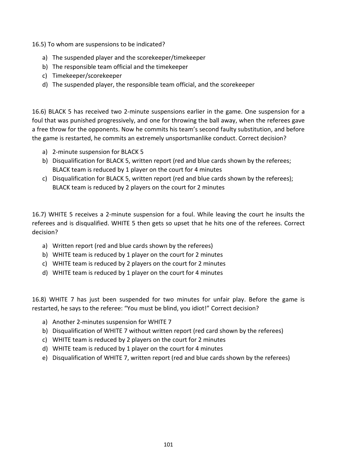16.5) To whom are suspensions to be indicated?

- a) The suspended player and the scorekeeper/timekeeper
- b) The responsible team official and the timekeeper
- c) Timekeeper/scorekeeper
- d) The suspended player, the responsible team official, and the scorekeeper

16.6) BLACK 5 has received two 2-minute suspensions earlier in the game. One suspension for a foul that was punished progressively, and one for throwing the ball away, when the referees gave a free throw for the opponents. Now he commits his team's second faulty substitution, and before the game is restarted, he commits an extremely unsportsmanlike conduct. Correct decision?

- a) 2-minute suspension for BLACK 5
- b) Disqualification for BLACK 5, written report (red and blue cards shown by the referees; BLACK team is reduced by 1 player on the court for 4 minutes
- c) Disqualification for BLACK 5, written report (red and blue cards shown by the referees); BLACK team is reduced by 2 players on the court for 2 minutes

16.7) WHITE 5 receives a 2-minute suspension for a foul. While leaving the court he insults the referees and is disqualified. WHITE 5 then gets so upset that he hits one of the referees. Correct decision?

- a) Written report (red and blue cards shown by the referees)
- b) WHITE team is reduced by 1 player on the court for 2 minutes
- c) WHITE team is reduced by 2 players on the court for 2 minutes
- d) WHITE team is reduced by 1 player on the court for 4 minutes

16.8) WHITE 7 has just been suspended for two minutes for unfair play. Before the game is restarted, he says to the referee: "You must be blind, you idiot!" Correct decision?

- a) Another 2-minutes suspension for WHITE 7
- b) Disqualification of WHITE 7 without written report (red card shown by the referees)
- c) WHITE team is reduced by 2 players on the court for 2 minutes
- d) WHITE team is reduced by 1 player on the court for 4 minutes
- e) Disqualification of WHITE 7, written report (red and blue cards shown by the referees)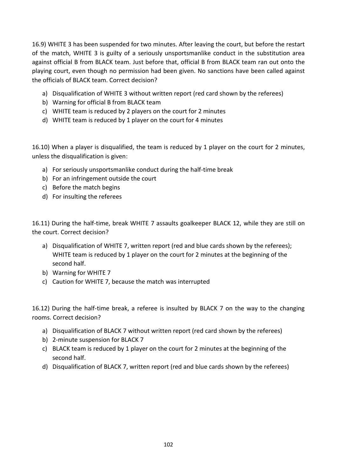16.9) WHITE 3 has been suspended for two minutes. After leaving the court, but before the restart of the match, WHITE 3 is guilty of a seriously unsportsmanlike conduct in the substitution area against official B from BLACK team. Just before that, official B from BLACK team ran out onto the playing court, even though no permission had been given. No sanctions have been called against the officials of BLACK team. Correct decision?

- a) Disqualification of WHITE 3 without written report (red card shown by the referees)
- b) Warning for official B from BLACK team
- c) WHITE team is reduced by 2 players on the court for 2 minutes
- d) WHITE team is reduced by 1 player on the court for 4 minutes

16.10) When a player is disqualified, the team is reduced by 1 player on the court for 2 minutes, unless the disqualification is given:

- a) For seriously unsportsmanlike conduct during the half-time break
- b) For an infringement outside the court
- c) Before the match begins
- d) For insulting the referees

16.11) During the half-time, break WHITE 7 assaults goalkeeper BLACK 12, while they are still on the court. Correct decision?

- a) Disqualification of WHITE 7, written report (red and blue cards shown by the referees); WHITE team is reduced by 1 player on the court for 2 minutes at the beginning of the second half.
- b) Warning for WHITE 7
- c) Caution for WHITE 7, because the match was interrupted

16.12) During the half-time break, a referee is insulted by BLACK 7 on the way to the changing rooms. Correct decision?

- a) Disqualification of BLACK 7 without written report (red card shown by the referees)
- b) 2-minute suspension for BLACK 7
- c) BLACK team is reduced by 1 player on the court for 2 minutes at the beginning of the second half.
- d) Disqualification of BLACK 7, written report (red and blue cards shown by the referees)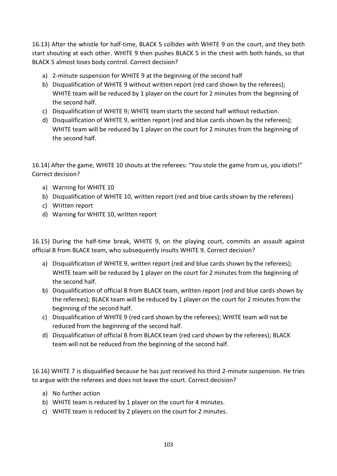16.13) After the whistle for half-time, BLACK 5 collides with WHITE 9 on the court, and they both start shouting at each other. WHITE 9 then pushes BLACK 5 in the chest with both hands, so that BLACK 5 almost loses body control. Correct decision?

- a) 2-minute suspension for WHITE 9 at the beginning of the second half
- b) Disqualification of WHITE 9 without written report (red card shown by the referees); WHITE team will be reduced by 1 player on the court for 2 minutes from the beginning of the second half.
- c) Disqualification of WHITE 9; WHITE team starts the second half without reduction.
- d) Disqualification of WHITE 9, written report (red and blue cards shown by the referees); WHITE team will be reduced by 1 player on the court for 2 minutes from the beginning of the second half.

16.14) After the game, WHITE 10 shouts at the referees: "You stole the game from us, you idiots!" Correct decision?

- a) Warning for WHITE 10
- b) Disqualification of WHITE 10, written report (red and blue cards shown by the referees)
- c) Written report
- d) Warning for WHITE 10, written report

16.15) During the half-time break, WHITE 9, on the playing court, commits an assault against official B from BLACK team, who subsequently insults WHITE 9. Correct decision?

- a) Disqualification of WHITE 9, written report (red and blue cards shown by the referees); WHITE team will be reduced by 1 player on the court for 2 minutes from the beginning of the second half.
- b) Disqualification of official B from BLACK team, written report (red and blue cards shown by the referees); BLACK team will be reduced by 1 player on the court for 2 minutes from the beginning of the second half.
- c) Disqualification of WHITE 9 (red card shown by the referees); WHITE team will not be reduced from the beginning of the second half.
- d) Disqualification of official B from BLACK team (red card shown by the referees); BLACK team will not be reduced from the beginning of the second half.

16.16) WHITE 7 is disqualified because he has just received his third 2-minute suspension. He tries to argue with the referees and does not leave the court. Correct decision?

- a) No further action
- b) WHITE team is reduced by 1 player on the court for 4 minutes.
- c) WHITE team is reduced by 2 players on the court for 2 minutes.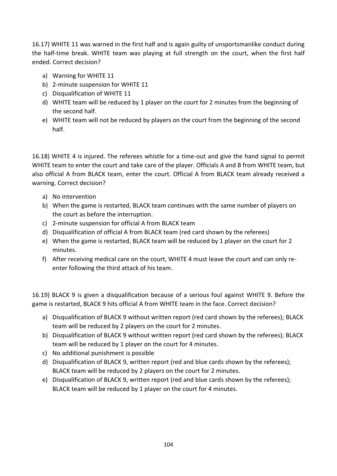16.17) WHITE 11 was warned in the first half and is again guilty of unsportsmanlike conduct during the half-time break. WHITE team was playing at full strength on the court, when the first half ended. Correct decision?

- a) Warning for WHITE 11
- b) 2-minute suspension for WHITE 11
- c) Disqualification of WHITE 11
- d) WHITE team will be reduced by 1 player on the court for 2 minutes from the beginning of the second half.
- e) WHITE team will not be reduced by players on the court from the beginning of the second half.

16.18) WHITE 4 is injured. The referees whistle for a time-out and give the hand signal to permit WHITE team to enter the court and take care of the player. Officials A and B from WHITE team, but also official A from BLACK team, enter the court. Official A from BLACK team already received a warning. Correct decision?

- a) No intervention
- b) When the game is restarted, BLACK team continues with the same number of players on the court as before the interruption.
- c) 2-minute suspension for official A from BLACK team
- d) Disqualification of official A from BLACK team (red card shown by the referees)
- e) When the game is restarted, BLACK team will be reduced by 1 player on the court for 2 minutes.
- f) After receiving medical care on the court, WHITE 4 must leave the court and can only reenter following the third attack of his team.

16.19) BLACK 9 is given a disqualification because of a serious foul against WHITE 9. Before the game is restarted, BLACK 9 hits official A from WHITE team in the face. Correct decision?

- a) Disqualification of BLACK 9 without written report (red card shown by the referees); BLACK team will be reduced by 2 players on the court for 2 minutes.
- b) Disqualification of BLACK 9 without written report (red card shown by the referees); BLACK team will be reduced by 1 player on the court for 4 minutes.
- c) No additional punishment is possible
- d) Disqualification of BLACK 9, written report (red and blue cards shown by the referees); BLACK team will be reduced by 2 players on the court for 2 minutes.
- e) Disqualification of BLACK 9, written report (red and blue cards shown by the referees); BLACK team will be reduced by 1 player on the court for 4 minutes.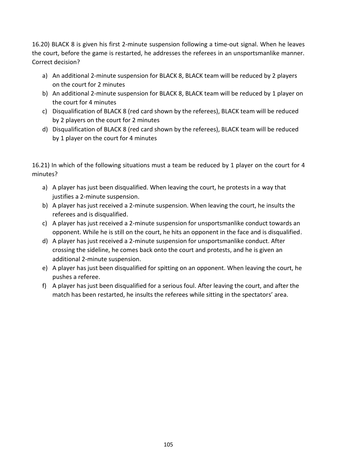16.20) BLACK 8 is given his first 2-minute suspension following a time-out signal. When he leaves the court, before the game is restarted, he addresses the referees in an unsportsmanlike manner. Correct decision?

- a) An additional 2-minute suspension for BLACK 8, BLACK team will be reduced by 2 players on the court for 2 minutes
- b) An additional 2-minute suspension for BLACK 8, BLACK team will be reduced by 1 player on the court for 4 minutes
- c) Disqualification of BLACK 8 (red card shown by the referees), BLACK team will be reduced by 2 players on the court for 2 minutes
- d) Disqualification of BLACK 8 (red card shown by the referees), BLACK team will be reduced by 1 player on the court for 4 minutes

16.21) In which of the following situations must a team be reduced by 1 player on the court for 4 minutes?

- a) A player has just been disqualified. When leaving the court, he protests in a way that justifies a 2-minute suspension.
- b) A player has just received a 2-minute suspension. When leaving the court, he insults the referees and is disqualified.
- c) A player has just received a 2-minute suspension for unsportsmanlike conduct towards an opponent. While he is still on the court, he hits an opponent in the face and is disqualified.
- d) A player has just received a 2-minute suspension for unsportsmanlike conduct. After crossing the sideline, he comes back onto the court and protests, and he is given an additional 2-minute suspension.
- e) A player has just been disqualified for spitting on an opponent. When leaving the court, he pushes a referee.
- f) A player has just been disqualified for a serious foul. After leaving the court, and after the match has been restarted, he insults the referees while sitting in the spectators' area.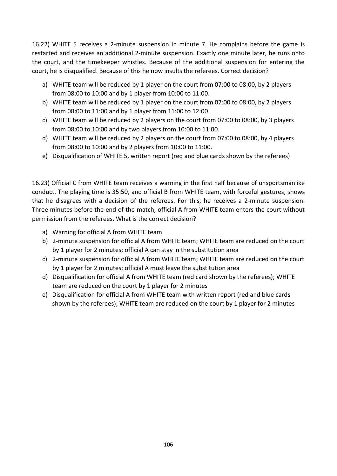16.22) WHITE 5 receives a 2-minute suspension in minute 7. He complains before the game is restarted and receives an additional 2-minute suspension. Exactly one minute later, he runs onto the court, and the timekeeper whistles. Because of the additional suspension for entering the court, he is disqualified. Because of this he now insults the referees. Correct decision?

- a) WHITE team will be reduced by 1 player on the court from 07:00 to 08:00, by 2 players from 08:00 to 10:00 and by 1 player from 10:00 to 11:00.
- b) WHITE team will be reduced by 1 player on the court from 07:00 to 08:00, by 2 players from 08:00 to 11:00 and by 1 player from 11:00 to 12:00.
- c) WHITE team will be reduced by 2 players on the court from 07:00 to 08:00, by 3 players from 08:00 to 10:00 and by two players from 10:00 to 11:00.
- d) WHITE team will be reduced by 2 players on the court from 07:00 to 08:00, by 4 players from 08:00 to 10:00 and by 2 players from 10:00 to 11:00.
- e) Disqualification of WHITE 5, written report (red and blue cards shown by the referees)

16.23) Official C from WHITE team receives a warning in the first half because of unsportsmanlike conduct. The playing time is 35:50, and official B from WHITE team, with forceful gestures, shows that he disagrees with a decision of the referees. For this, he receives a 2-minute suspension. Three minutes before the end of the match, official A from WHITE team enters the court without permission from the referees. What is the correct decision?

- a) Warning for official A from WHITE team
- b) 2-minute suspension for official A from WHITE team; WHITE team are reduced on the court by 1 player for 2 minutes; official A can stay in the substitution area
- c) 2-minute suspension for official A from WHITE team; WHITE team are reduced on the court by 1 player for 2 minutes; official A must leave the substitution area
- d) Disqualification for official A from WHITE team (red card shown by the referees); WHITE team are reduced on the court by 1 player for 2 minutes
- e) Disqualification for official A from WHITE team with written report (red and blue cards shown by the referees); WHITE team are reduced on the court by 1 player for 2 minutes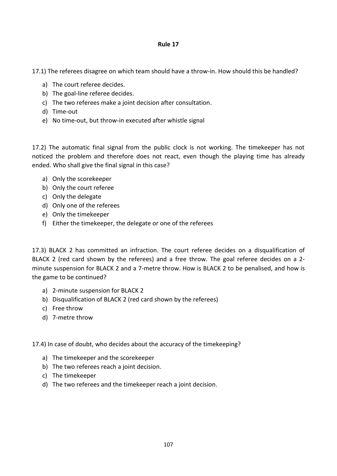17.1) The referees disagree on which team should have a throw-in. How should this be handled?

- a) The court referee decides.
- b) The goal-line referee decides.
- c) The two referees make a joint decision after consultation.
- d) Time-out
- e) No time-out, but throw-in executed after whistle signal

17.2) The automatic final signal from the public clock is not working. The timekeeper has not noticed the problem and therefore does not react, even though the playing time has already ended. Who shall give the final signal in this case?

- a) Only the scorekeeper
- b) Only the court referee
- c) Only the delegate
- d) Only one of the referees
- e) Only the timekeeper
- f) Either the timekeeper, the delegate or one of the referees

17.3) BLACK 2 has committed an infraction. The court referee decides on a disqualification of BLACK 2 (red card shown by the referees) and a free throw. The goal referee decides on a 2 minute suspension for BLACK 2 and a 7-metre throw. How is BLACK 2 to be penalised, and how is the game to be continued?

- a) 2-minute suspension for BLACK 2
- b) Disqualification of BLACK 2 (red card shown by the referees)
- c) Free throw
- d) 7-metre throw

17.4) In case of doubt, who decides about the accuracy of the timekeeping?

- a) The timekeeper and the scorekeeper
- b) The two referees reach a joint decision.
- c) The timekeeper
- d) The two referees and the timekeeper reach a joint decision.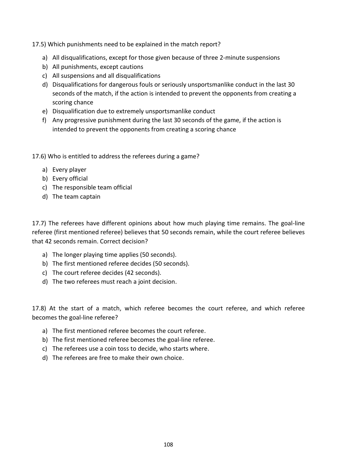17.5) Which punishments need to be explained in the match report?

- a) All disqualifications, except for those given because of three 2-minute suspensions
- b) All punishments, except cautions
- c) All suspensions and all disqualifications
- d) Disqualifications for dangerous fouls or seriously unsportsmanlike conduct in the last 30 seconds of the match, if the action is intended to prevent the opponents from creating a scoring chance
- e) Disqualification due to extremely unsportsmanlike conduct
- f) Any progressive punishment during the last 30 seconds of the game, if the action is intended to prevent the opponents from creating a scoring chance
- 17.6) Who is entitled to address the referees during a game?
	- a) Every player
	- b) Every official
	- c) The responsible team official
	- d) The team captain

17.7) The referees have different opinions about how much playing time remains. The goal-line referee (first mentioned referee) believes that 50 seconds remain, while the court referee believes that 42 seconds remain. Correct decision?

- a) The longer playing time applies (50 seconds).
- b) The first mentioned referee decides (50 seconds).
- c) The court referee decides (42 seconds).
- d) The two referees must reach a joint decision.

17.8) At the start of a match, which referee becomes the court referee, and which referee becomes the goal-line referee?

- a) The first mentioned referee becomes the court referee.
- b) The first mentioned referee becomes the goal-line referee.
- c) The referees use a coin toss to decide, who starts where.
- d) The referees are free to make their own choice.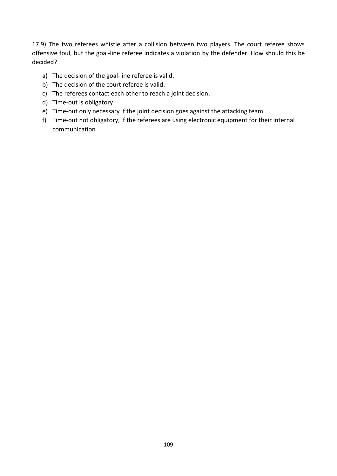17.9) The two referees whistle after a collision between two players. The court referee shows offensive foul, but the goal-line referee indicates a violation by the defender. How should this be decided?

- a) The decision of the goal-line referee is valid.
- b) The decision of the court referee is valid.
- c) The referees contact each other to reach a joint decision.
- d) Time-out is obligatory
- e) Time-out only necessary if the joint decision goes against the attacking team
- f) Time-out not obligatory, if the referees are using electronic equipment for their internal communication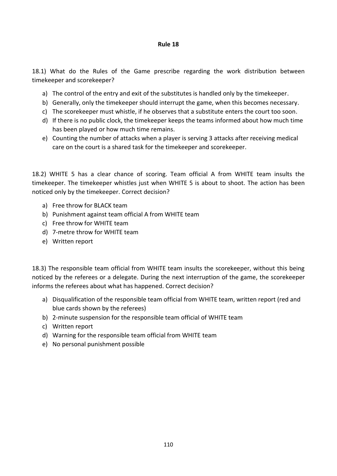## **Rule 18**

18.1) What do the Rules of the Game prescribe regarding the work distribution between timekeeper and scorekeeper?

- a) The control of the entry and exit of the substitutes is handled only by the timekeeper.
- b) Generally, only the timekeeper should interrupt the game, when this becomes necessary.
- c) The scorekeeper must whistle, if he observes that a substitute enters the court too soon.
- d) If there is no public clock, the timekeeper keeps the teams informed about how much time has been played or how much time remains.
- e) Counting the number of attacks when a player is serving 3 attacks after receiving medical care on the court is a shared task for the timekeeper and scorekeeper.

18.2) WHITE 5 has a clear chance of scoring. Team official A from WHITE team insults the timekeeper. The timekeeper whistles just when WHITE 5 is about to shoot. The action has been noticed only by the timekeeper. Correct decision?

- a) Free throw for BLACK team
- b) Punishment against team official A from WHITE team
- c) Free throw for WHITE team
- d) 7-metre throw for WHITE team
- e) Written report

18.3) The responsible team official from WHITE team insults the scorekeeper, without this being noticed by the referees or a delegate. During the next interruption of the game, the scorekeeper informs the referees about what has happened. Correct decision?

- a) Disqualification of the responsible team official from WHITE team, written report (red and blue cards shown by the referees)
- b) 2-minute suspension for the responsible team official of WHITE team
- c) Written report
- d) Warning for the responsible team official from WHITE team
- e) No personal punishment possible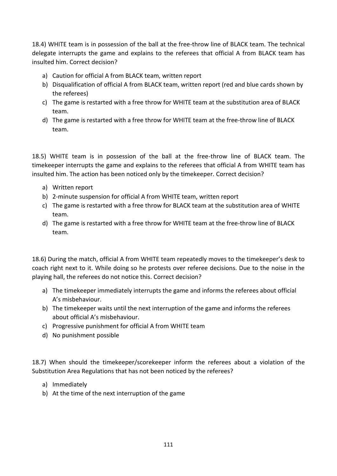18.4) WHITE team is in possession of the ball at the free-throw line of BLACK team. The technical delegate interrupts the game and explains to the referees that official A from BLACK team has insulted him. Correct decision?

- a) Caution for official A from BLACK team, written report
- b) Disqualification of official A from BLACK team, written report (red and blue cards shown by the referees)
- c) The game is restarted with a free throw for WHITE team at the substitution area of BLACK team.
- d) The game is restarted with a free throw for WHITE team at the free-throw line of BLACK team.

18.5) WHITE team is in possession of the ball at the free-throw line of BLACK team. The timekeeper interrupts the game and explains to the referees that official A from WHITE team has insulted him. The action has been noticed only by the timekeeper. Correct decision?

- a) Written report
- b) 2-minute suspension for official A from WHITE team, written report
- c) The game is restarted with a free throw for BLACK team at the substitution area of WHITE team.
- d) The game is restarted with a free throw for WHITE team at the free-throw line of BLACK team.

18.6) During the match, official A from WHITE team repeatedly moves to the timekeeper's desk to coach right next to it. While doing so he protests over referee decisions. Due to the noise in the playing hall, the referees do not notice this. Correct decision?

- a) The timekeeper immediately interrupts the game and informs the referees about official A's misbehaviour.
- b) The timekeeper waits until the next interruption of the game and informs the referees about official A's misbehaviour.
- c) Progressive punishment for official A from WHITE team
- d) No punishment possible

18.7) When should the timekeeper/scorekeeper inform the referees about a violation of the Substitution Area Regulations that has not been noticed by the referees?

- a) Immediately
- b) At the time of the next interruption of the game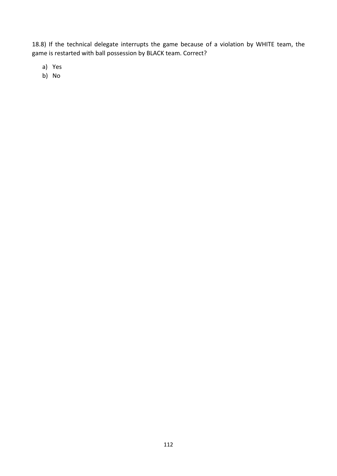18.8) If the technical delegate interrupts the game because of a violation by WHITE team, the game is restarted with ball possession by BLACK team. Correct?

a) Yes

b) No